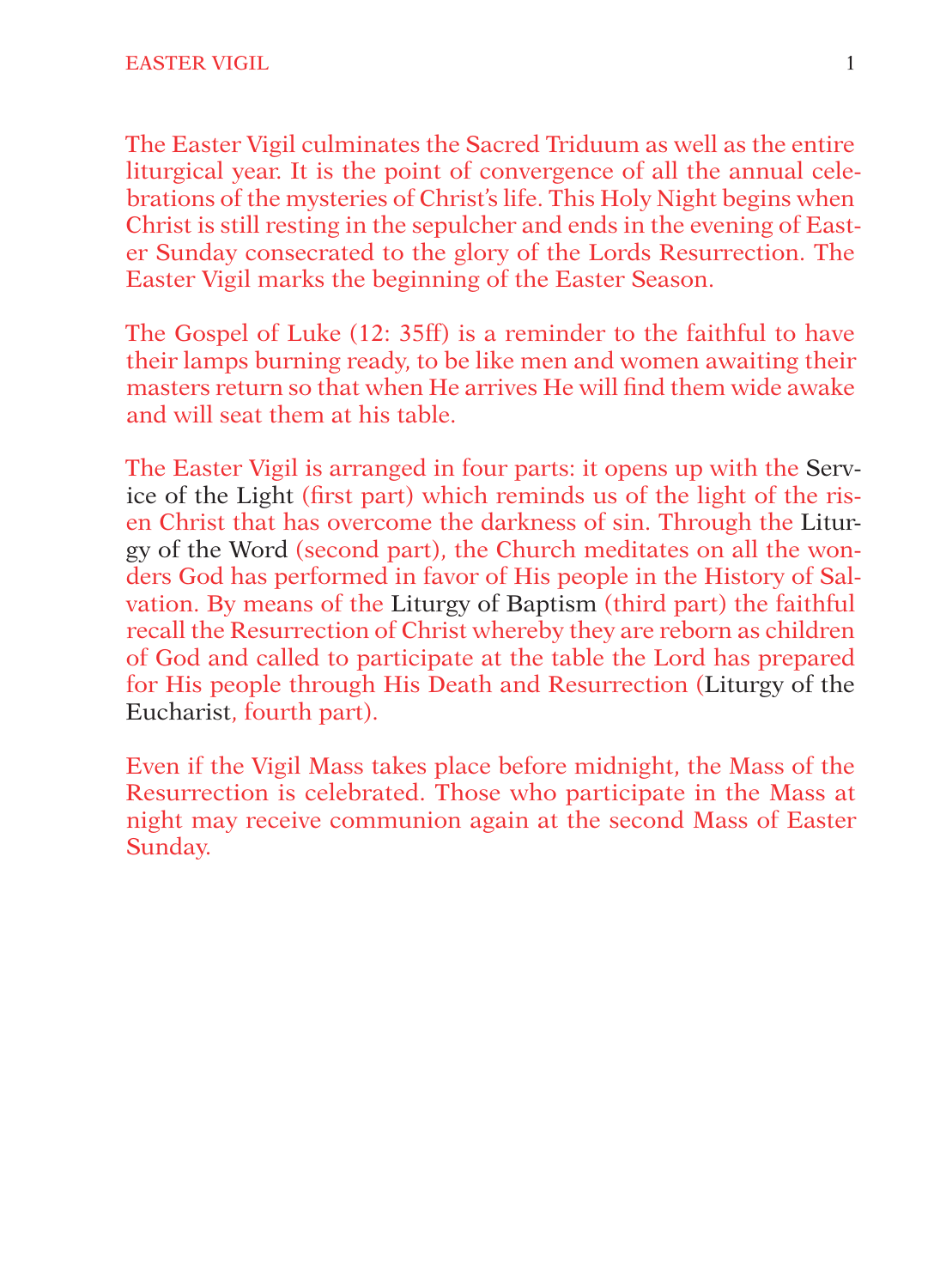The Easter Vigil culminates the Sacred Triduum as well as the entire liturgical year. It is the point of convergence of all the annual celebrations of the mysteries of Christ's life. This Holy Night begins when Christ is still resting in the sepulcher and ends in the evening of Easter Sunday consecrated to the glory of the Lords Resurrection. The Easter Vigil marks the beginning of the Easter Season.

The Gospel of Luke (12: 35ff) is a reminder to the faithful to have their lamps burning ready, to be like men and women awaiting their masters return so that when He arrives He will find them wide awake and will seat them at his table.

The Easter Vigil is arranged in four parts: it opens up with the Service of the Light (first part) which reminds us of the light of the risen Christ that has overcome the darkness of sin. Through the Liturgy of the Word (second part), the Church meditates on all the wonders God has performed in favor of His people in the History of Salvation. By means of the Liturgy of Baptism (third part) the faithful recall the Resurrection of Christ whereby they are reborn as children of God and called to participate at the table the Lord has prepared for His people through His Death and Resurrection (Liturgy of the Eucharist, fourth part).

Even if the Vigil Mass takes place before midnight, the Mass of the Resurrection is celebrated. Those who participate in the Mass at night may receive communion again at the second Mass of Easter Sunday.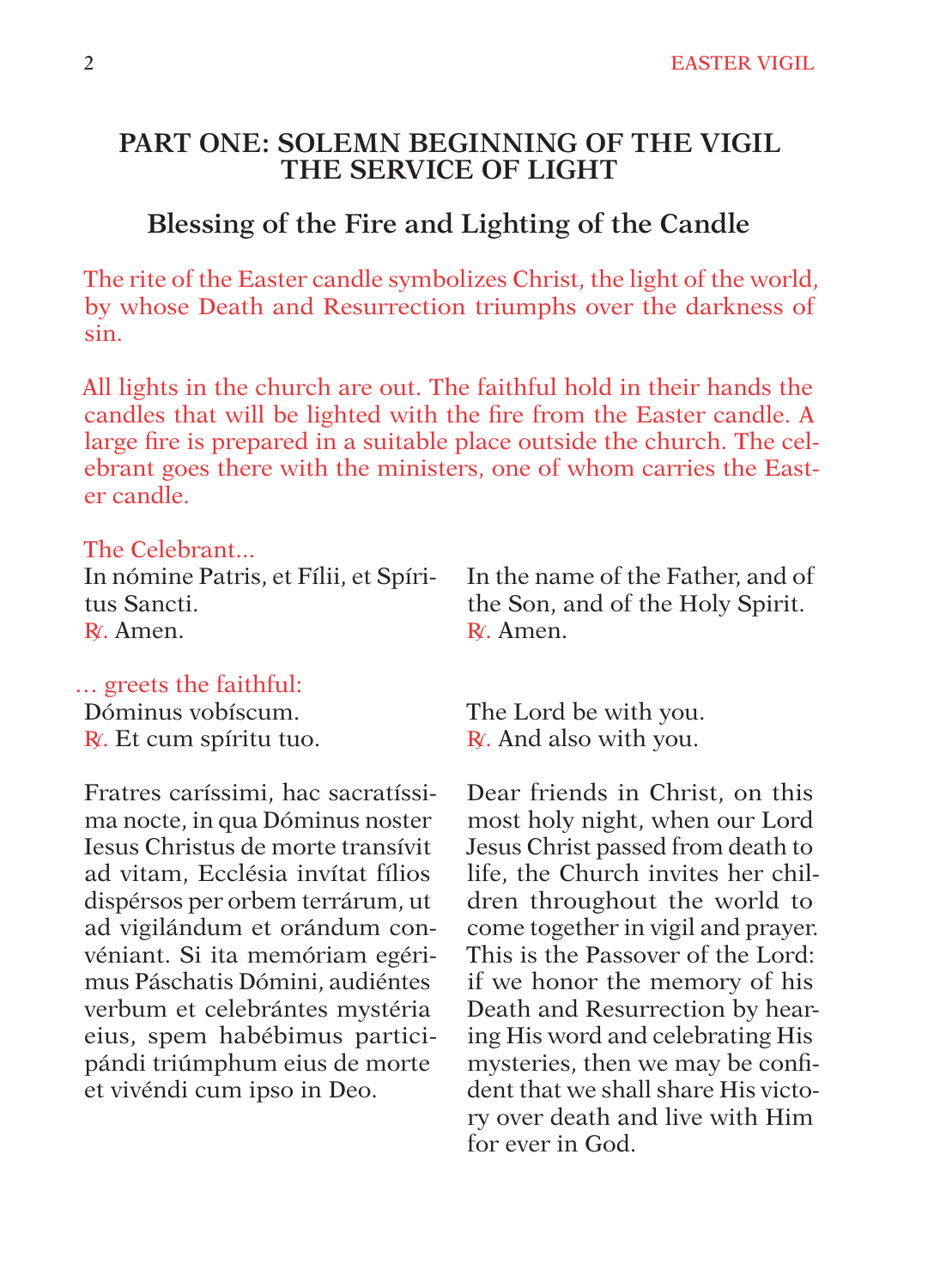# **PART ONE: SOLEMN BEGINNING OF THE VIGIL THE SERVICE OF LIGHT**

# **Blessing of the Fire and Lighting of the Candle**

The rite of the Easter candle symbolizes Christ, the light of the world, by whose Death and Resurrection triumphs over the darkness of sin.

All lights in the church are out. The faithful hold in their hands the candles that will be lighted with the fire from the Easter candle. A large fire is prepared in a suitable place outside the church. The celebrant goes there with the ministers, one of whom carries the Easter candle.

#### The Celebrant...

In nómine Patris, et Fílii, et Spíritus Sancti. R∕ Amen

In the name of the Father, and of the Son, and of the Holy Spirit. R∕ Amen.

#### … greets the faithful: Dóminus vobíscum.

R∫. Et cum spíritu tuo.

Fratres caríssimi, hac sacratíssima nocte, in qua Dóminus noster Iesus Christus de morte transívit ad vitam, Ecclésia invítat fílios dispérsos per orbem terrárum, ut ad vigilándum et orándum convéniant. Si ita memóriam egérimus Páschatis Dómini, audiéntes verbum et celebrántes mystéria eius, spem habébimus participándi triúmphum eius de morte et vivéndi cum ipso in Deo.

The Lord be with you. R∫. And also with you.

Dear friends in Christ, on this most holy night, when our Lord Jesus Christ passed from death to life, the Church invites her children throughout the world to come together in vigil and prayer. This is the Passover of the Lord: if we honor the memory of his Death and Resurrection by hearing His word and celebrating His mysteries, then we may be confident that we shall share His victory over death and live with Him for ever in God.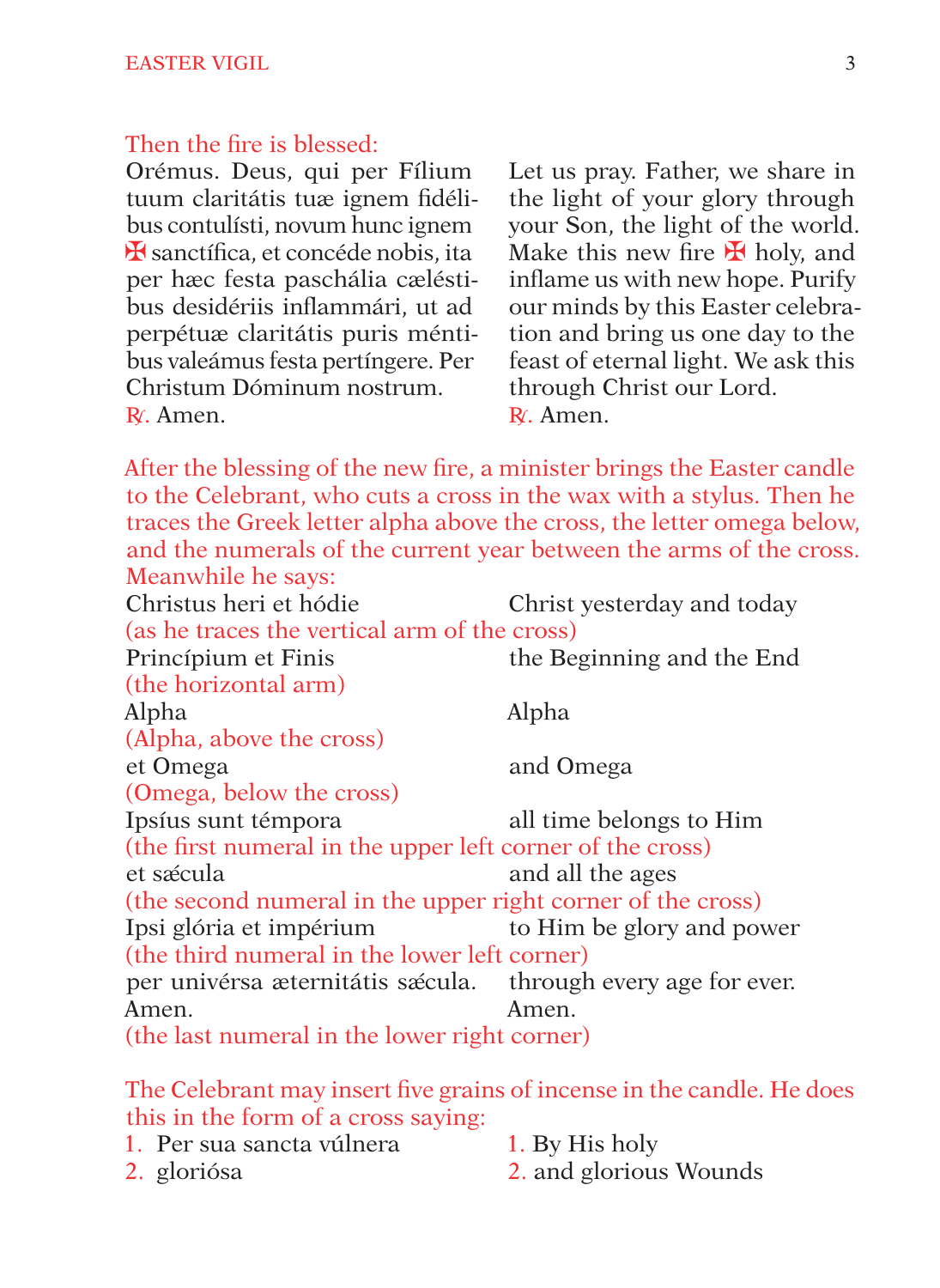#### Then the fire is blessed:

Orémus. Deus, qui per Fílium tuum claritátis tuæ ignem fidélibus contulísti, novum hunc ignem ✠ sanctífica, et concéde nobis, ita per hæc festa paschália cæléstibus desidériis inflammári, ut ad perpétuæ claritátis puris méntibus valeámus festa pertíngere. Per Christum Dóminum nostrum. R<sup>∫</sup> . Amen.

Let us pray. Father, we share in the light of your glory through your Son, the light of the world. Make this new fire  $\mathbf{\ddot{H}}$  holy, and inflame us with new hope. Purify our minds by this Easter celebration and bring us one day to the feast of eternal light. We ask this through Christ our Lord. R<sup>∫</sup> . Amen.

After the blessing of the new fire, a minister brings the Easter candle to the Celebrant, who cuts a cross in the wax with a stylus. Then he traces the Greek letter alpha above the cross, the letter omega below, and the numerals of the current year between the arms of the cross. Meanwhile he says: Christus heri et hódie (as he traces the vertical arm of the cross) Princípium et Finis (the horizontal arm) Alpha (Alpha, above the cross) et Omega (Omega, below the cross) Ipsíus sunt témpora (the first numeral in the upper left corner of the cross) et sæ´cula (the second numeral in the upper right corner of the cross) Ipsi glória et impérium (the third numeral in the lower left corner) per univérsa æternitátis sæcula. Amen. (the last numeral in the lower right corner) Christ yesterday and today the Beginning and the End Alpha and Omega all time belongs to Him and all the ages to Him be glory and power through every age for ever. Amen.

#### The Celebrant may insert five grains of incense in the candle. He does this in the form of a cross saying:

- 1. Per sua sancta vúlnera
- 1. By His holy

2. gloriósa

2. and glorious Wounds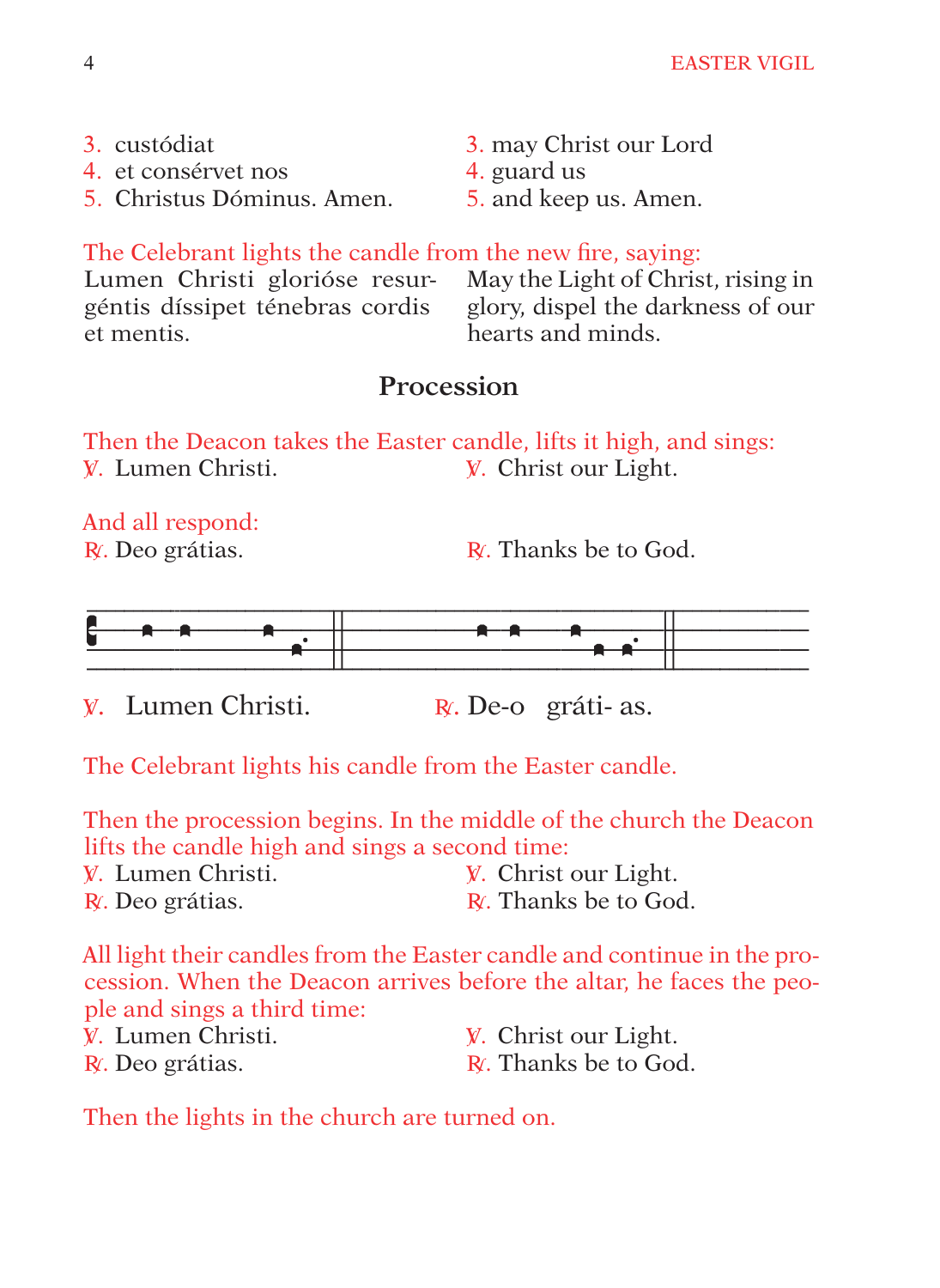| 3. custódiat               | 3. may Christ our Lord |
|----------------------------|------------------------|
| 4. et consérvet nos        | 4. guard us            |
| 5. Christus Dóminus. Amen. | 5. and keep us. Amen.  |

#### The Celebrant lights the candle from the new fire, saying:

géntis díssipet ténebras cordis et mentis.

Lumen Christi glorióse resur-May the Light of Christ, rising in glory, dispel the darkness of our hearts and minds.

# **Procession**

Then the Deacon takes the Easter candle, lifts it high, and sings: V<sup>∫</sup> . Lumen Christi. V<sup>∫</sup> . Christ our Light.

And all respond: R<sup>∫</sup> . Deo grátias.

R⊆Thanks be to God.



V<sup>∫</sup> . Lumen Christi. R<sup>∫</sup> . De-o gráti- as.

The Celebrant lights his candle from the Easter candle.

Then the procession begins. In the middle of the church the Deacon lifts the candle high and sings a second time:

| V. Lumen Christi. | <b>y</b> . Christ our Light. |
|-------------------|------------------------------|
| R. Deo grátias.   | <b>R.</b> Thanks be to God.  |

All light their candles from the Easter candle and continue in the procession. When the Deacon arrives before the altar, he faces the people and sings a third time:

| V. Lumen Christi. | <i>y</i> . Christ our Light. |
|-------------------|------------------------------|
| R. Deo grátias.   | <b>R.</b> Thanks be to God.  |

Then the lights in the church are turned on.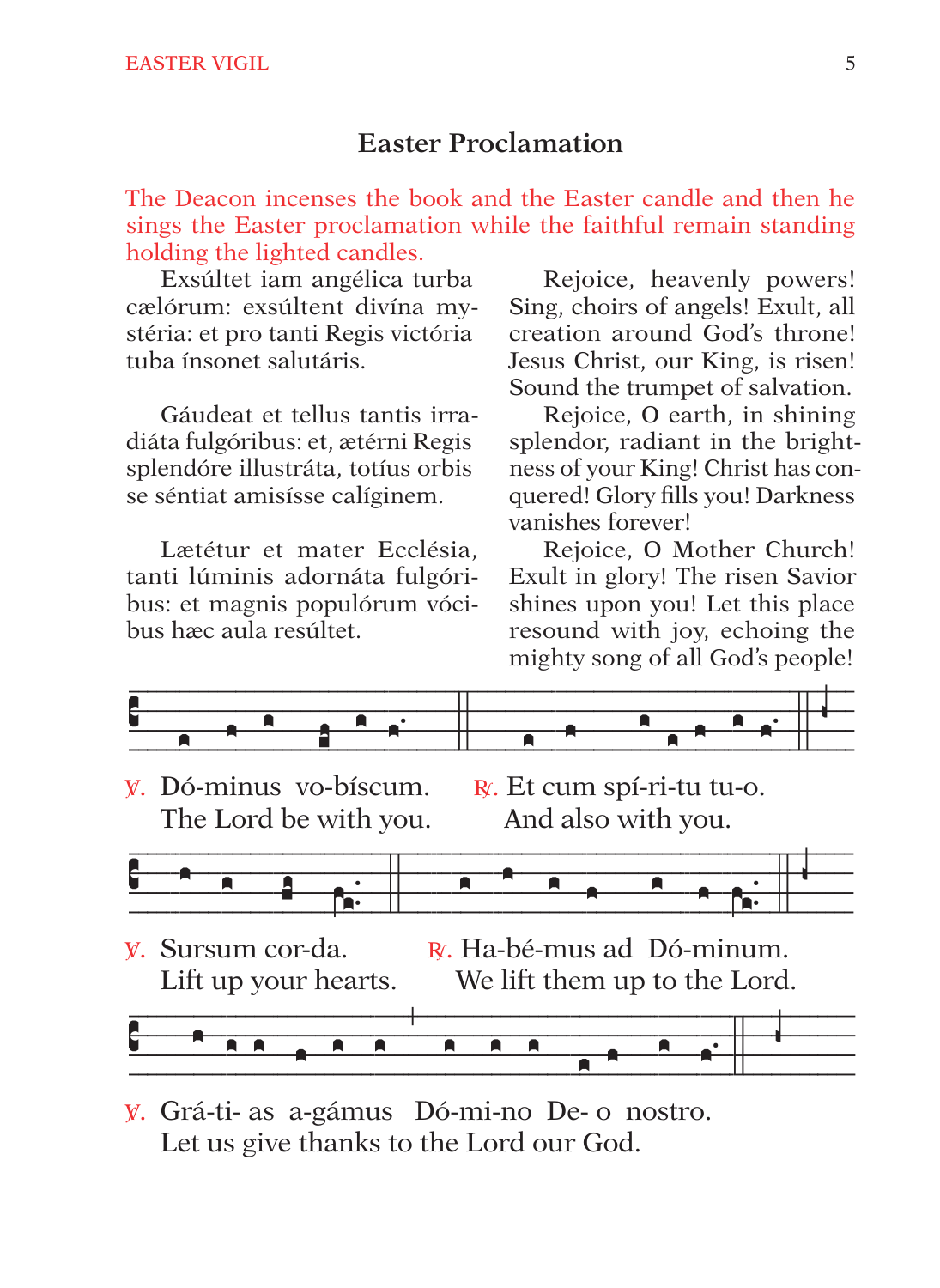#### **Easter Proclamation**

The Deacon incenses the book and the Easter candle and then he sings the Easter proclamation while the faithful remain standing holding the lighted candles.

Exsúltet iam angélica turba cælórum: exsúltent divína mystéria: et pro tanti Regis victória tuba ínsonet salutáris

Gáudeat et tellus tantis irradiáta fulgóribus: et, ætérni Regis splendóre illustráta, totíus orbis se séntiat amisísse calíginem.

Lætétur et mater Ecclésia. tanti lúminis adornáta fulgóribus: et magnis populórum vócibus hæc aula resúltet

Rejoice, heavenly powers! Sing, choirs of angels! Exult, all creation around God's throne! Jesus Christ, our King, is risen! Sound the trumpet of salvation.

Rejoice, O earth, in shining splendor, radiant in the brightness of your King! Christ has conquered! Glory fills you! Darkness vanishes forever!

Rejoice, O Mother Church! Exult in glory! The risen Savior shines upon you! Let this place resound with joy, echoing the mighty song of all God's people!



y. Dó-minus vo-bíscum.  $R$ . Et cum spí-ri-tu tu-o. The Lord be with you. And also with you.



V. Sursum cor-da.  $\mathbb{R}$ . Ha-bé-mus ad Dó-minum. Lift up your hearts. We lift them up to the Lord.



y. Grá-ti- as a-gámus Dó-mi-no De- o nostro. Let us give thanks to the Lord our God.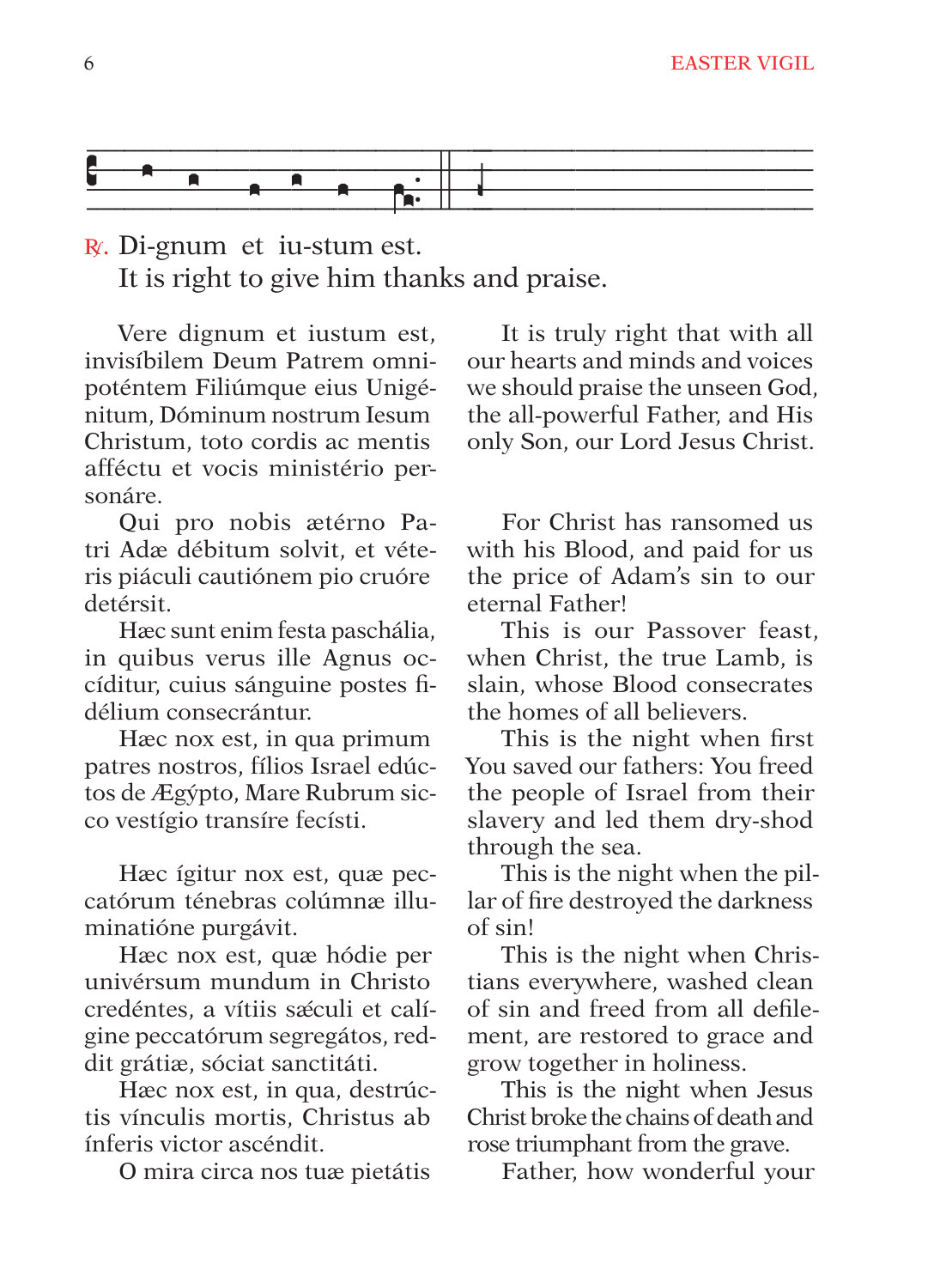

R∫. Di-gnum et iu-stum est. It is right to give him thanks and praise.

Vere dignum et iustum est, invisíbilem Deum Patrem omnipoténtem Filiúmque eius Unigénitum, Dóminum nostrum Iesum Christum, toto cordis ac mentis afféctu et vocis ministério personáre.

Qui pro nobis ætérno Patri Adæ débitum solvit, et véteris piáculi cautiónem pio cruóre detérsit.

Hæc sunt enim festa paschália, in quibus verus ille Agnus occíditur, cuius sánguine postes fidélium consecrántur.

Hæc nox est, in qua primum patres nostros, fílios Israel edúctos de Ægýpto, Mare Rubrum sicco vestígio transíre fecísti.

Hæc ígitur nox est, quæ peccatórum ténebras colúmnæ illuminatióne purgávit.

Hæc nox est, quæ hódie per univérsum mundum in Christo credéntes, a vítiis sæculi et calígine peccatórum segregátos, reddit grátiæ, sóciat sanctitáti.

Hæc nox est, in qua, destrúctis vínculis mortis, Christus ab ínferis victor ascéndit.

O mira circa nos tuæ pietátis

It is truly right that with all our hearts and minds and voices we should praise the unseen God, the all-powerful Father, and His only Son, our Lord Jesus Christ.

For Christ has ransomed us with his Blood, and paid for us the price of Adam's sin to our eternal Father!

This is our Passover feast, when Christ, the true Lamb, is slain, whose Blood consecrates the homes of all believers.

This is the night when first You saved our fathers: You freed the people of Israel from their slavery and led them dry-shod through the sea.

This is the night when the pillar of fire destroyed the darkness of sin!

This is the night when Christians everywhere, washed clean of sin and freed from all defilement, are restored to grace and grow together in holiness.

This is the night when Jesus Christ broke the chains of death and rose triumphant from the grave.

Father, how wonderful your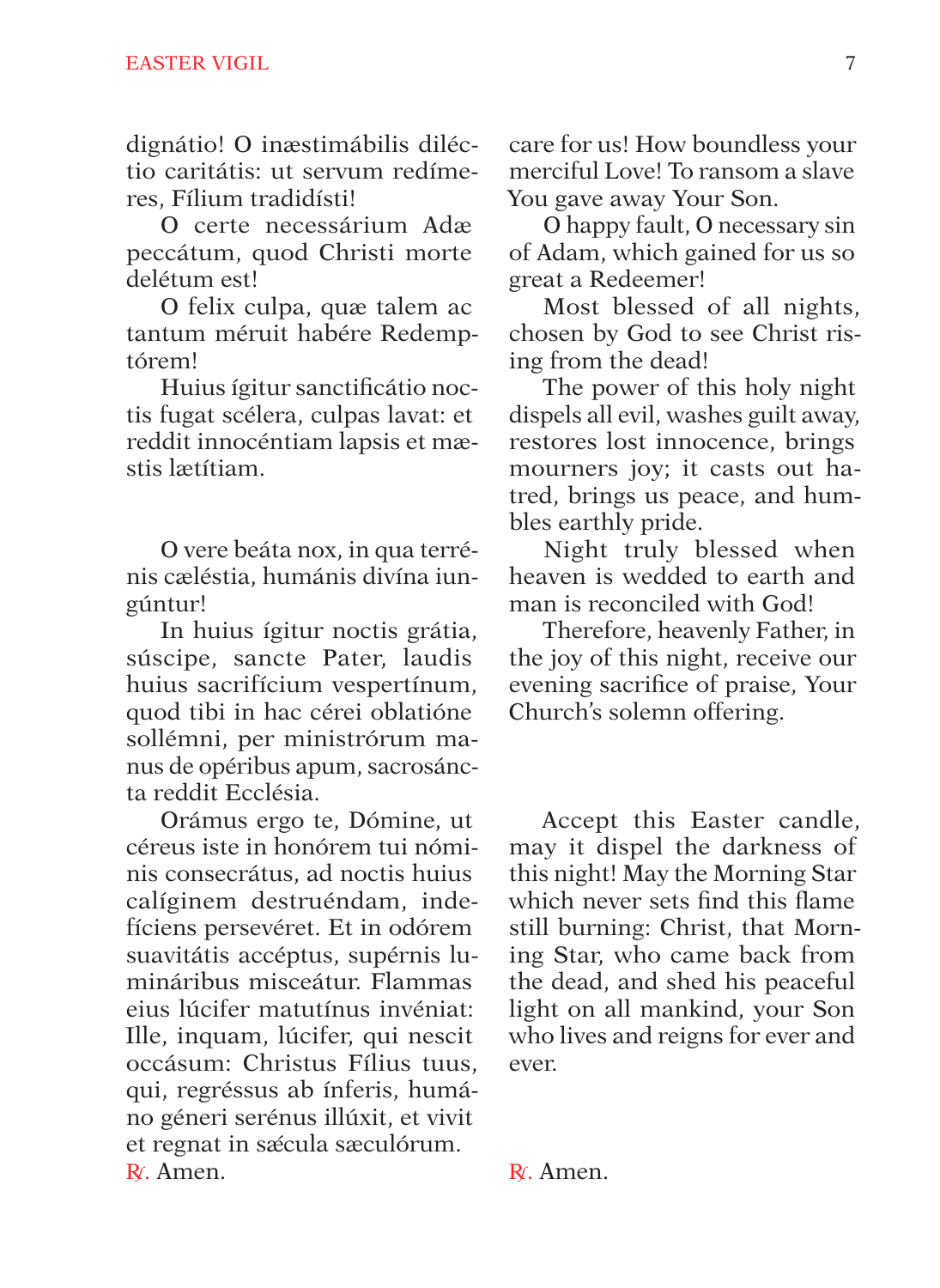dignátio! O inæstimábilis diléctio caritátis: ut servum redímeres, Fílium tradidísti!

O certe necessárium Adæ peccátum, quod Christi morte delétum est!

O felix culpa, quæ talem ac tantum méruit habére Redemptórem!

Huius ígitur sanctificátio noctis fugat scélera, culpas lavat: et reddit innocéntiam lapsis et mæstis lætítiam.

O vere beáta nox, in qua terrénis cæléstia, humánis divína iungúntur!

In huius ígitur noctis grátia, súscipe, sancte Pater, laudis huius sacrifícium vespertínum, quod tibi in hac cérei oblatióne sollémni, per ministrórum manus de opéribus apum, sacrosáncta reddit Ecclésia.

Orámus ergo te, Dómine, ut céreus iste in honórem tui nóminis consecrátus, ad noctis huius calíginem destruéndam, indefíciens persevéret. Et in odórem suavitátis accéptus, supérnis lumináribus misceátur. Flammas eius lúcifer matutínus invéniat: Ille, inquam, lúcifer, qui nescit occásum: Christus Fílius tuus, qui, regréssus ab ínferis, humáno géneri serénus illúxit, et vivit et regnat in sæcula sæculórum. R<sup>∫</sup> . Amen.

care for us! How boundless your merciful Love! To ransom a slave You gave away Your Son.

O happy fault, O necessary sin of Adam, which gained for us so great a Redeemer!

Most blessed of all nights, chosen by God to see Christ rising from the dead!

The power of this holy night dispels all evil, washes guilt away, restores lost innocence, brings mourners joy; it casts out hatred, brings us peace, and humbles earthly pride.

Night truly blessed when heaven is wedded to earth and man is reconciled with God!

Therefore, heavenly Father, in the joy of this night, receive our evening sacrifice of praise, Your Church's solemn offering.

Accept this Easter candle, may it dispel the darkness of this night! May the Morning Star which never sets find this flame still burning: Christ, that Morning Star, who came back from the dead, and shed his peaceful light on all mankind, your Son who lives and reigns for ever and ever.

R<sup>∫</sup> . Amen.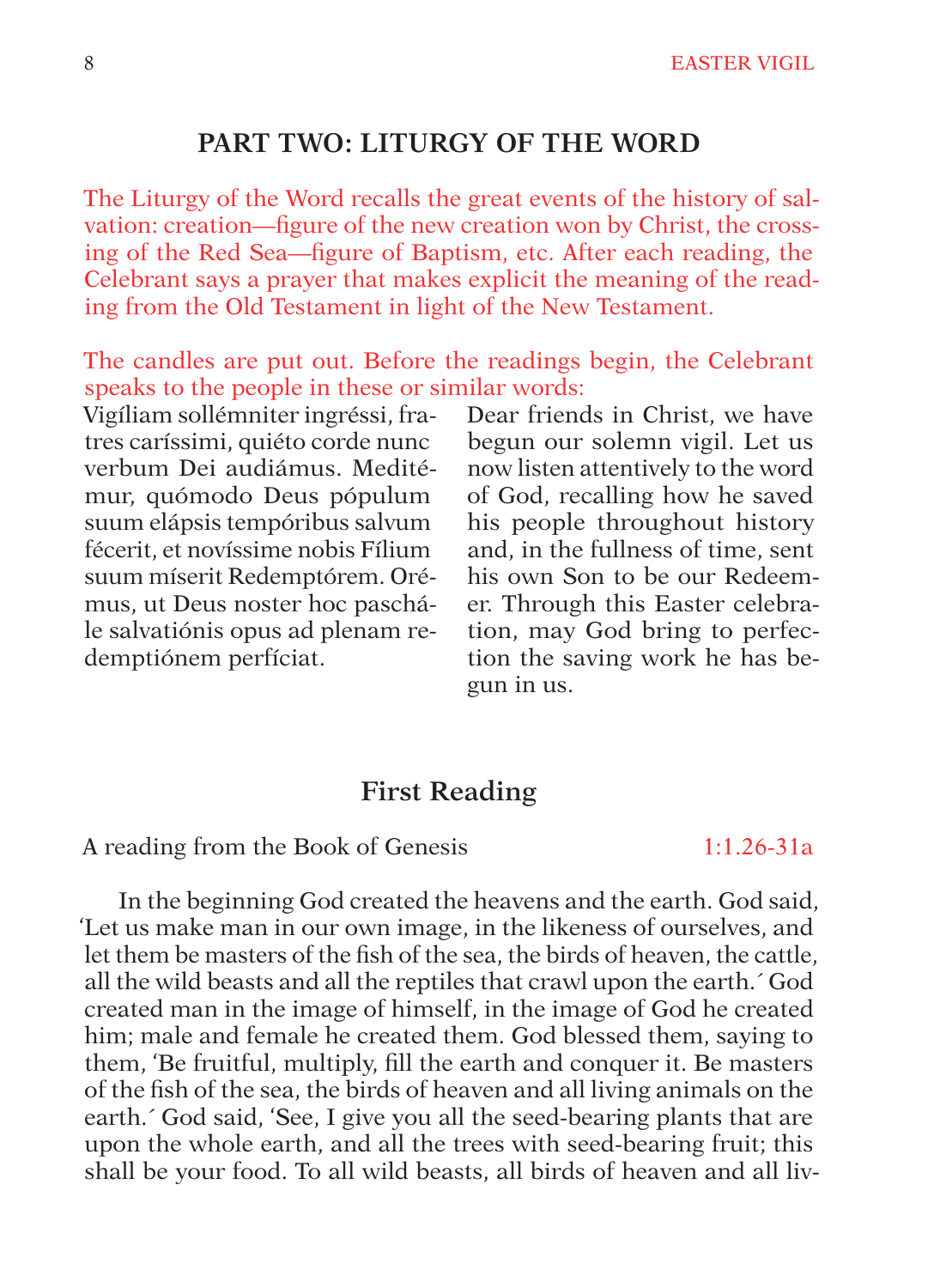# **PART TWO: LITURGY OF THE WORD**

The Liturgy of the Word recalls the great events of the history of salvation: creation—figure of the new creation won by Christ, the crossing of the Red Sea—figure of Baptism, etc. After each reading, the Celebrant says a prayer that makes explicit the meaning of the reading from the Old Testament in light of the New Testament.

The candles are put out. Before the readings begin, the Celebrant speaks to the people in these or similar words:

Vigíliam sollémniter ingréssi, fratres caríssimi, quiéto corde nunc verbum Dei audiámus. Meditémur, quómodo Deus pópulum suum elápsis tempóribus salvum fécerit, et novíssime nobis Fílium suum míserit Redemptórem. Orémus, ut Deus noster hoc paschále salvatiónis opus ad plenam redemptiónem perfíciat.

Dear friends in Christ, we have begun our solemn vigil. Let us now listen attentively to the word of God, recalling how he saved his people throughout history and, in the fullness of time, sent his own Son to be our Redeemer. Through this Easter celebration, may God bring to perfection the saving work he has begun in us.

# **First Reading**

#### A reading from the Book of Genesis 1:1.26-31a

In the beginning God created the heavens and the earth. God said, 'Let us make man in our own image, in the likeness of ourselves, and let them be masters of the fish of the sea, the birds of heaven, the cattle, all the wild beasts and all the reptiles that crawl upon the earth.´ God created man in the image of himself, in the image of God he created him; male and female he created them. God blessed them, saying to them, 'Be fruitful, multiply, fill the earth and conquer it. Be masters of the fish of the sea, the birds of heaven and all living animals on the earth.´ God said, 'See, I give you all the seed-bearing plants that are upon the whole earth, and all the trees with seed-bearing fruit; this shall be your food. To all wild beasts, all birds of heaven and all liv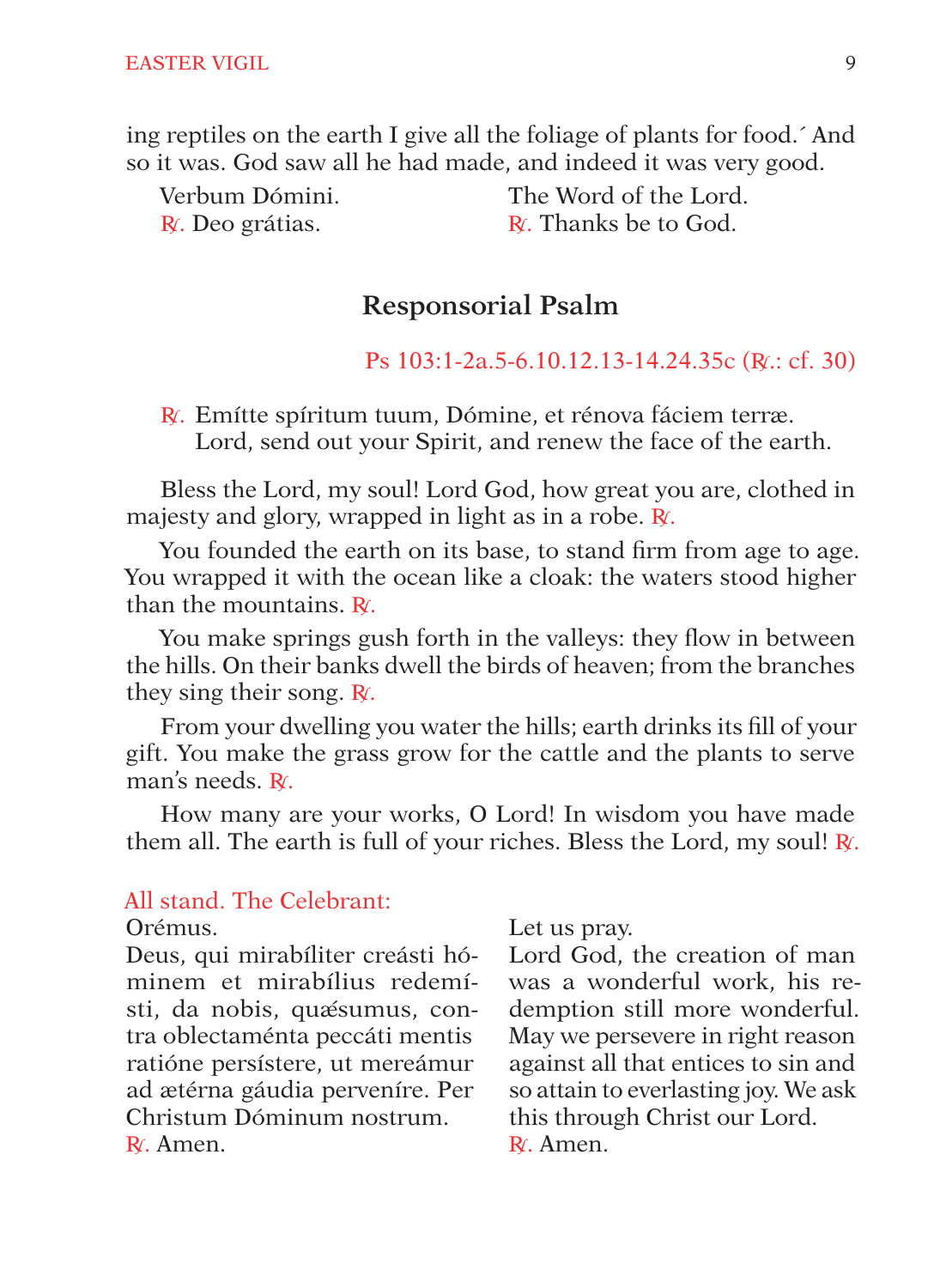ing reptiles on the earth I give all the foliage of plants for food.´ And so it was. God saw all he had made, and indeed it was very good.

Verbum Dómini. The Word of the Lord. R∫. Deo grátias. R∫. Thanks be to God.

# **Responsorial Psalm**

Ps 103:1-2a.5-6.10.12.13-14.24.35c (R∴ cf. 30)

R<sup>∫</sup> . Emítte spíritum tuum, Dómine, et rénova fáciem terræ. Lord, send out your Spirit, and renew the face of the earth.

Bless the Lord, my soul! Lord God, how great you are, clothed in majesty and glory, wrapped in light as in a robe.  $\mathbb{R}^7$ .

You founded the earth on its base, to stand firm from age to age. You wrapped it with the ocean like a cloak: the waters stood higher than the mountains. R∩

You make springs gush forth in the valleys: they flow in between the hills. On their banks dwell the birds of heaven; from the branches they sing their song.  $\mathbb{R}$ .

From your dwelling you water the hills; earth drinks its fill of your gift. You make the grass grow for the cattle and the plants to serve man's needs. R∩

How many are your works, O Lord! In wisdom you have made them all. The earth is full of your riches. Bless the Lord, my soul!  $\mathbb{R}$ .

#### All stand. The Celebrant:

Orémus.

Deus, qui mirabíliter creásti hóminem et mirabílius redemísti, da nobis, quæsumus, contra oblectaménta peccáti mentis ratióne persístere, ut mereámur ad ætérna gáudia perveníre. Per Christum Dóminum nostrum. R<sup>∫</sup> . Amen.

Let us pray.

Lord God, the creation of man was a wonderful work, his redemption still more wonderful. May we persevere in right reason against all that entices to sin and so attain to everlasting joy. We ask this through Christ our Lord. R<sup>∫</sup> . Amen.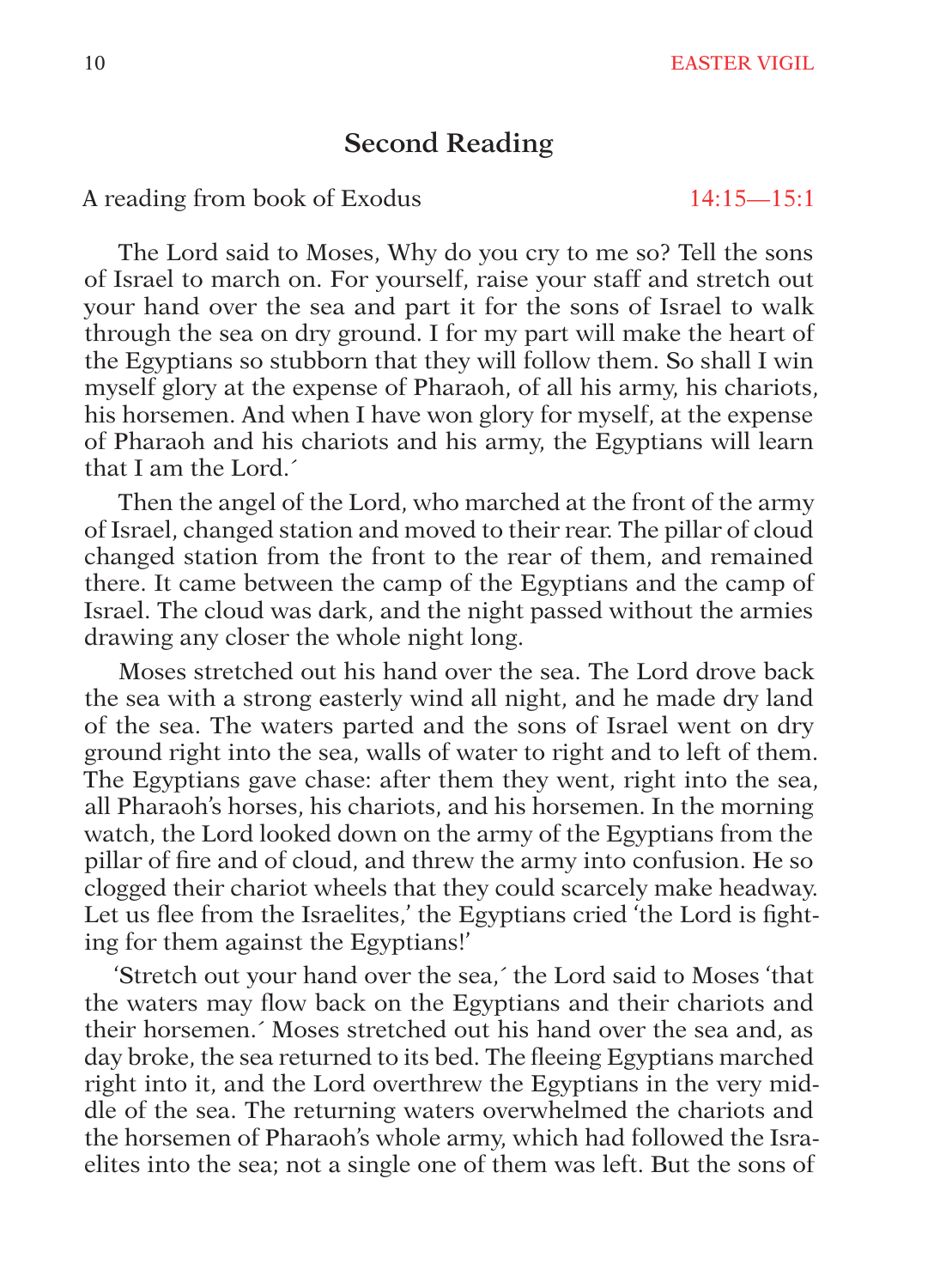## **Second Reading**

A reading from book of Exodus 14:15—15:1

The Lord said to Moses, Why do you cry to me so? Tell the sons of Israel to march on. For yourself, raise your staff and stretch out your hand over the sea and part it for the sons of Israel to walk through the sea on dry ground. I for my part will make the heart of the Egyptians so stubborn that they will follow them. So shall I win myself glory at the expense of Pharaoh, of all his army, his chariots, his horsemen. And when I have won glory for myself, at the expense of Pharaoh and his chariots and his army, the Egyptians will learn that I am the Lord.´

Then the angel of the Lord, who marched at the front of the army of Israel, changed station and moved to their rear. The pillar of cloud changed station from the front to the rear of them, and remained there. It came between the camp of the Egyptians and the camp of Israel. The cloud was dark, and the night passed without the armies drawing any closer the whole night long.

Moses stretched out his hand over the sea. The Lord drove back the sea with a strong easterly wind all night, and he made dry land of the sea. The waters parted and the sons of Israel went on dry ground right into the sea, walls of water to right and to left of them. The Egyptians gave chase: after them they went, right into the sea, all Pharaoh's horses, his chariots, and his horsemen. In the morning watch, the Lord looked down on the army of the Egyptians from the pillar of fire and of cloud, and threw the army into confusion. He so clogged their chariot wheels that they could scarcely make headway. Let us flee from the Israelites,' the Egyptians cried 'the Lord is fighting for them against the Egyptians!'

'Stretch out your hand over the sea,´ the Lord said to Moses 'that the waters may flow back on the Egyptians and their chariots and their horsemen.´ Moses stretched out his hand over the sea and, as day broke, the sea returned to its bed. The fleeing Egyptians marched right into it, and the Lord overthrew the Egyptians in the very middle of the sea. The returning waters overwhelmed the chariots and the horsemen of Pharaoh's whole army, which had followed the Israelites into the sea; not a single one of them was left. But the sons of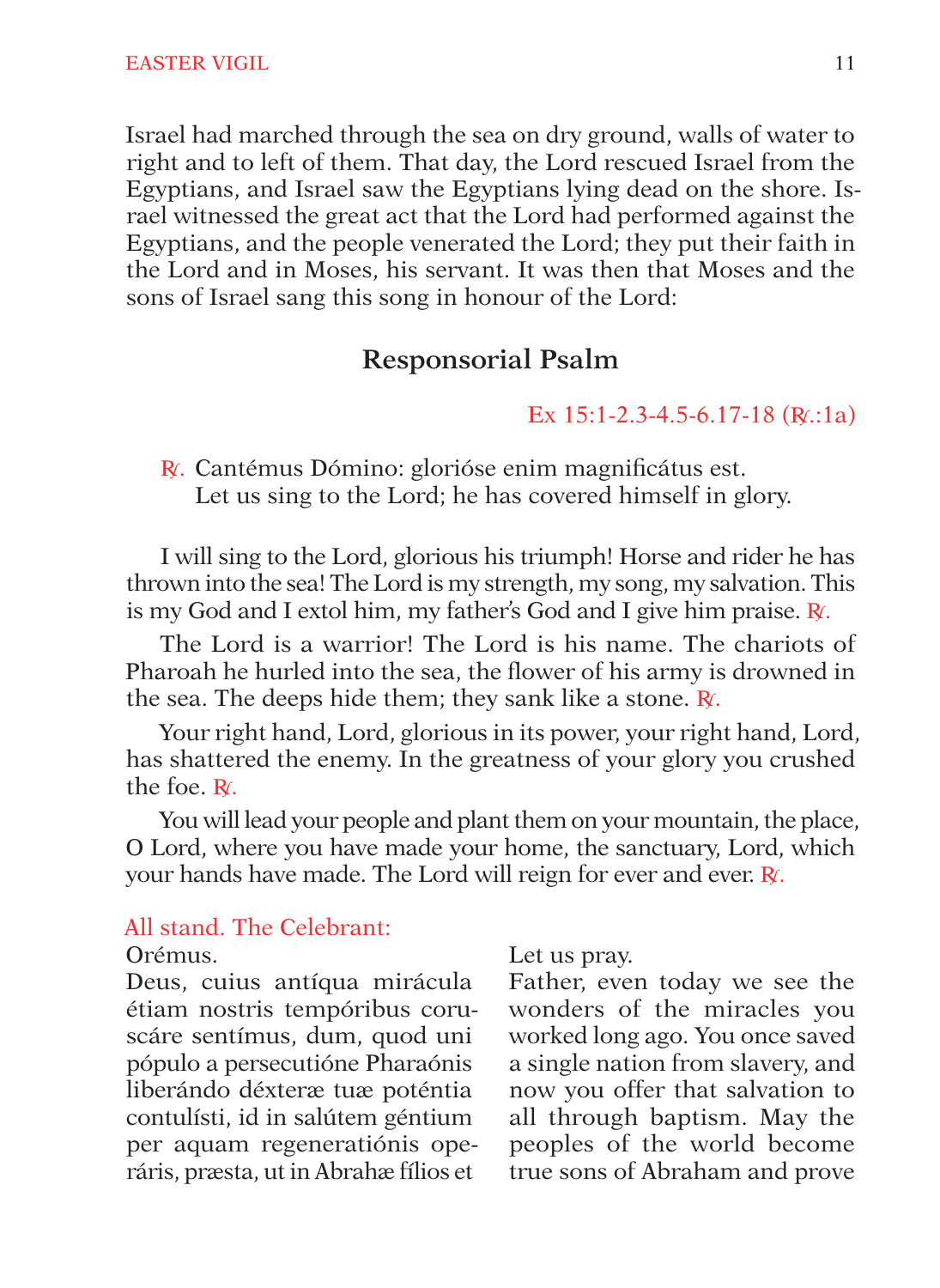Israel had marched through the sea on dry ground, walls of water to right and to left of them. That day, the Lord rescued Israel from the Egyptians, and Israel saw the Egyptians lying dead on the shore. Israel witnessed the great act that the Lord had performed against the Egyptians, and the people venerated the Lord; they put their faith in the Lord and in Moses, his servant. It was then that Moses and the sons of Israel sang this song in honour of the Lord:

# **Responsorial Psalm**

#### Ex  $15:1-2.3-4.5-6.17-18$  (R $\ldots$ 1a)

R<sup>∫</sup> . Cantémus Dómino: glorióse enim magnificátus est. Let us sing to the Lord; he has covered himself in glory.

I will sing to the Lord, glorious his triumph! Horse and rider he has thrown into the sea! The Lord is my strength, my song, my salvation. This is my God and I extol him, my father's God and I give him praise. R<sup>∫</sup> .

The Lord is a warrior! The Lord is his name. The chariots of Pharoah he hurled into the sea, the flower of his army is drowned in the sea. The deeps hide them; they sank like a stone.  $\mathbb{R}^2$ .

Your right hand, Lord, glorious in its power, your right hand, Lord, has shattered the enemy. In the greatness of your glory you crushed the foe. R∩.

You will lead your people and plant them on your mountain, the place, O Lord, where you have made your home, the sanctuary, Lord, which your hands have made. The Lord will reign for ever and ever. R<sup>∫</sup> .

### All stand. The Celebrant:

#### Orémus.

Deus, cuius antíqua mirácula étiam nostris tempóribus coruscáre sentímus, dum, quod uni pópulo a persecutióne Pharaónis liberándo déxteræ tuæ poténtia contulísti, id in salútem géntium per aquam regeneratiónis operáris, præsta, ut in Abrahæ fílios et

Let us pray.

Father, even today we see the wonders of the miracles you worked long ago. You once saved a single nation from slavery, and now you offer that salvation to all through baptism. May the peoples of the world become true sons of Abraham and prove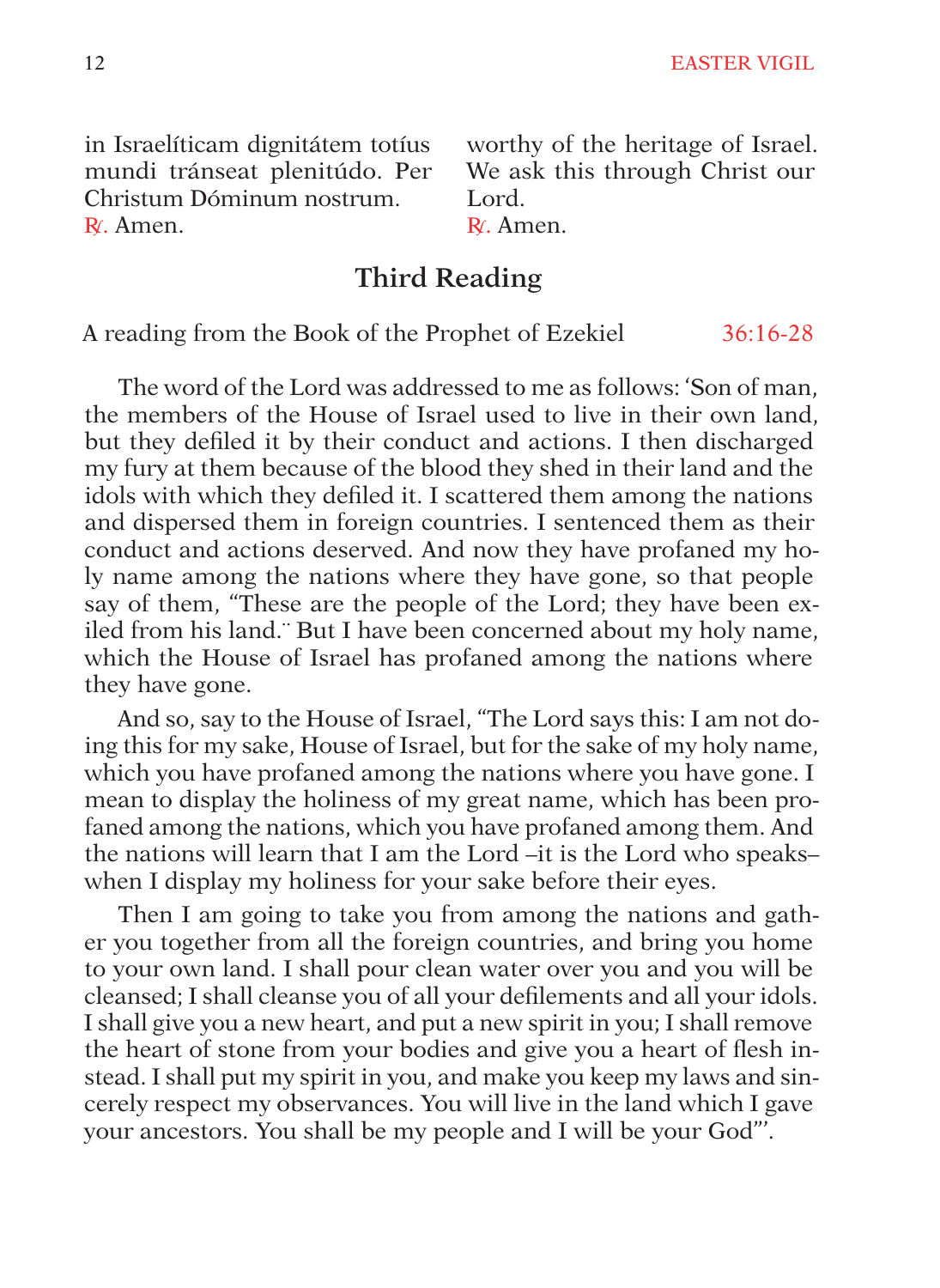in Israelíticam dignitátem totíus mundi tránseat plenitúdo. Per Christum Dóminum nostrum. R∕ Amen.

worthy of the heritage of Israel. We ask this through Christ our Lord.

R<sup>∫</sup> . Amen.

# **Third Reading**

A reading from the Book of the Prophet of Ezekiel 36:16-28

The word of the Lord was addressed to me as follows: 'Son of man, the members of the House of Israel used to live in their own land, but they defiled it by their conduct and actions. I then discharged my fury at them because of the blood they shed in their land and the idols with which they defiled it. I scattered them among the nations and dispersed them in foreign countries. I sentenced them as their conduct and actions deserved. And now they have profaned my holy name among the nations where they have gone, so that people say of them, "These are the people of the Lord; they have been exiled from his land.¨ But I have been concerned about my holy name, which the House of Israel has profaned among the nations where they have gone.

And so, say to the House of Israel, "The Lord says this: I am not doing this for my sake, House of Israel, but for the sake of my holy name, which you have profaned among the nations where you have gone. I mean to display the holiness of my great name, which has been profaned among the nations, which you have profaned among them. And the nations will learn that I am the Lord –it is the Lord who speaks– when I display my holiness for your sake before their eyes.

Then I am going to take you from among the nations and gather you together from all the foreign countries, and bring you home to your own land. I shall pour clean water over you and you will be cleansed; I shall cleanse you of all your defilements and all your idols. I shall give you a new heart, and put a new spirit in you; I shall remove the heart of stone from your bodies and give you a heart of flesh instead. I shall put my spirit in you, and make you keep my laws and sincerely respect my observances. You will live in the land which I gave your ancestors. You shall be my people and I will be your God"'.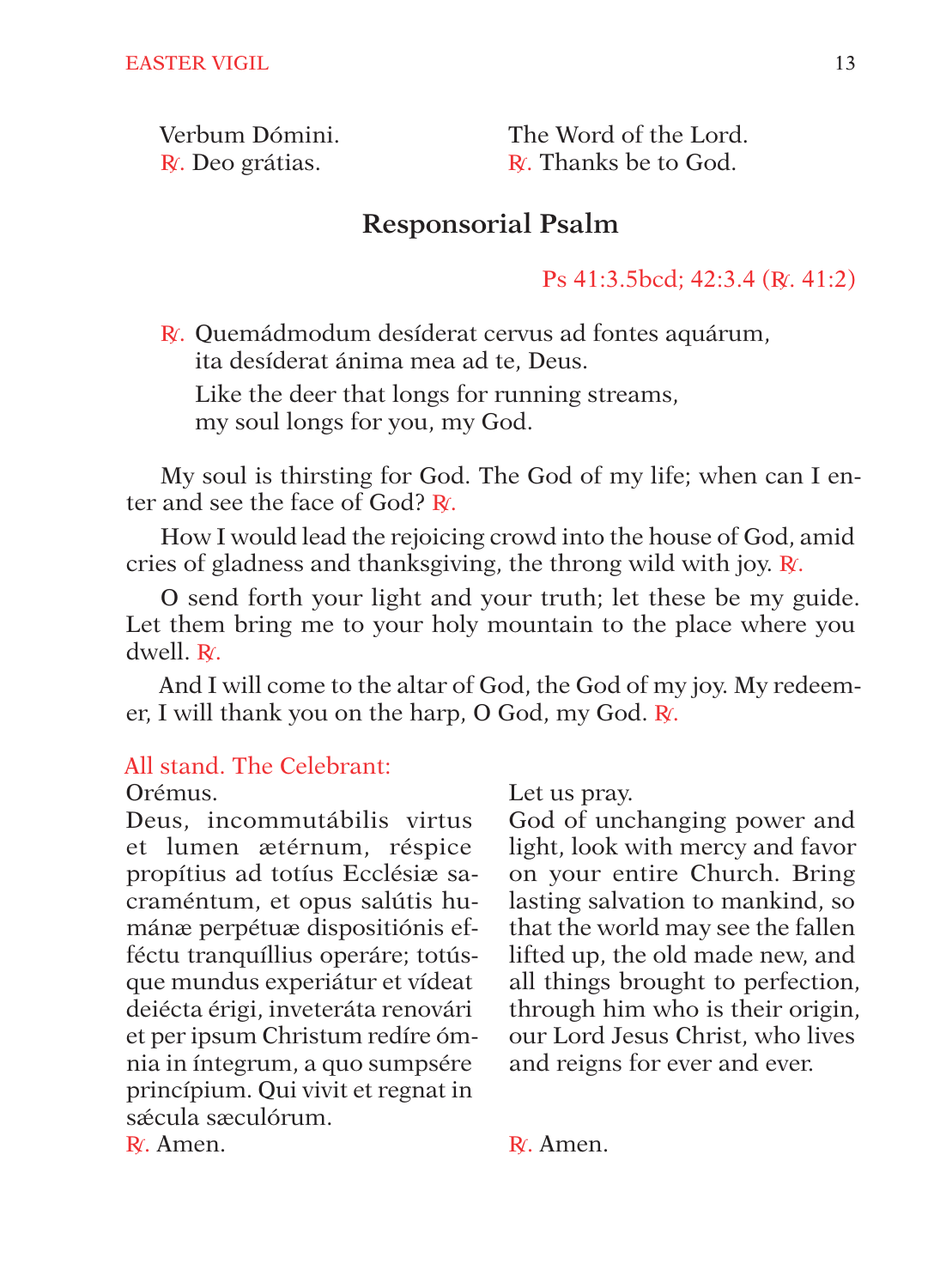Verbum Dómini. The Word of the Lord.<br> $R$  Deo grátias.  $R$  Thanks be to God. R⊖ Thanks be to God.

# **Responsorial Psalm**

Ps 41:3.5bcd; 42:3.4 (R<sup>∫</sup> . 41:2)

R<sup>∫</sup> . Quemádmodum desíderat cervus ad fontes aquárum, ita desíderat ánima mea ad te, Deus.

Like the deer that longs for running streams. my soul longs for you, my God.

My soul is thirsting for God. The God of my life; when can I enter and see the face of God? R⊖

How I would lead the rejoicing crowd into the house of God, amid cries of gladness and thanksgiving, the throng wild with joy. R∫.

O send forth your light and your truth; let these be my guide. Let them bring me to your holy mountain to the place where you  $dwell$   $R/$ 

And I will come to the altar of God, the God of my joy. My redeemer, I will thank you on the harp, O God, my God. R∫.

#### All stand. The Celebrant:

Orémus.

Deus, incommutábilis virtus et lumen ætérnum, réspice propítius ad totíus Ecclésiæ sacraméntum, et opus salútis humánæ perpétuæ dispositiónis efféctu tranquíllius operáre; totúsque mundus experiátur et vídeat deiécta érigi, inveteráta renovári et per ipsum Christum redíre ómnia in íntegrum, a quo sumpsére princípium. Qui vivit et regnat in sæculórum R<sup>∫</sup> . Amen.

Let us pray.

God of unchanging power and light, look with mercy and favor on your entire Church. Bring lasting salvation to mankind, so that the world may see the fallen lifted up, the old made new, and all things brought to perfection, through him who is their origin, our Lord Jesus Christ, who lives and reigns for ever and ever.

R<sup>∫</sup> . Amen.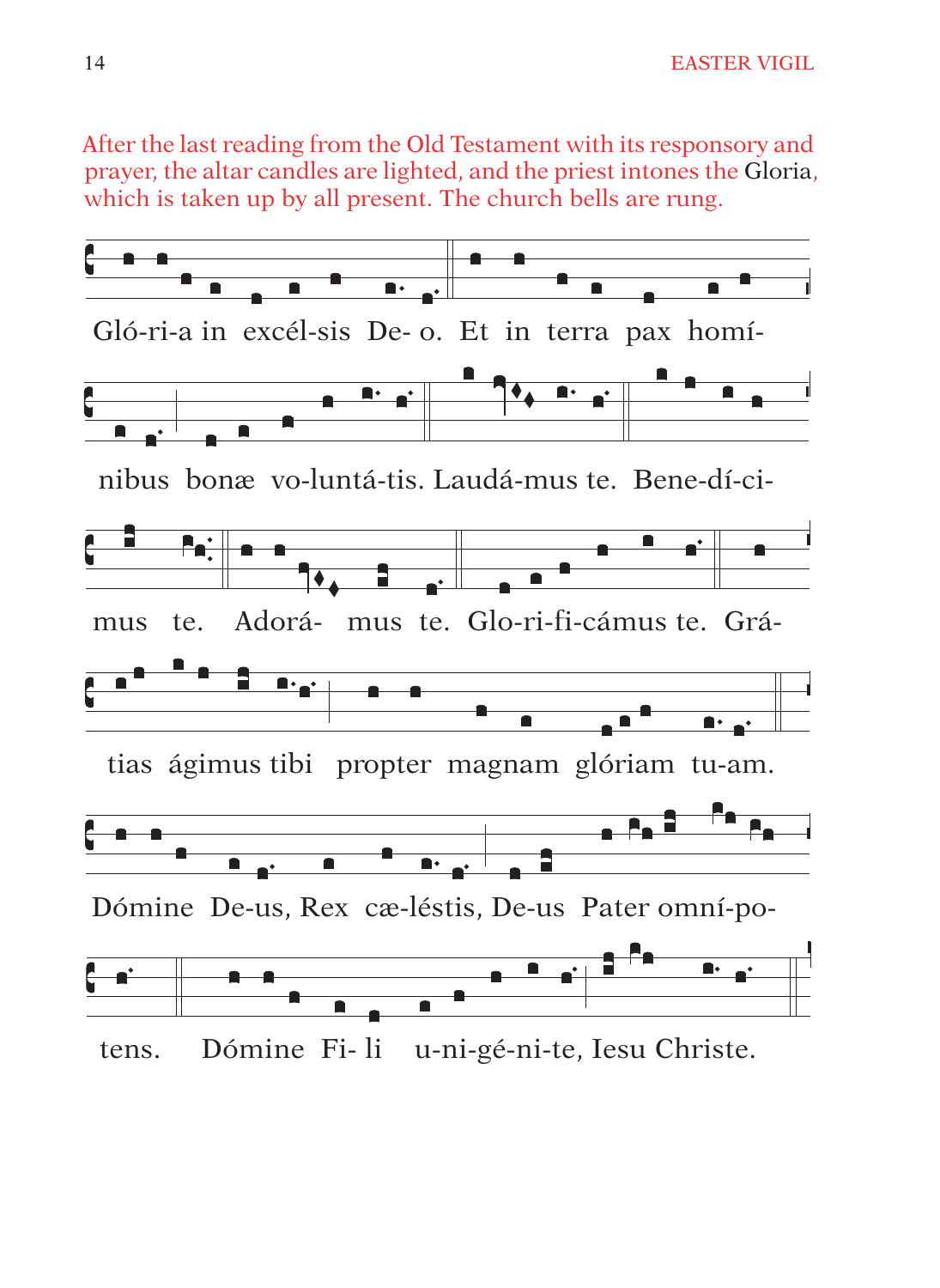**EASTER VIGIL** 

After the last reading from the Old Testament with its responsory and prayer, the altar candles are lighted, and the priest intones the Gloria, which is taken up by all present. The church bells are rung.

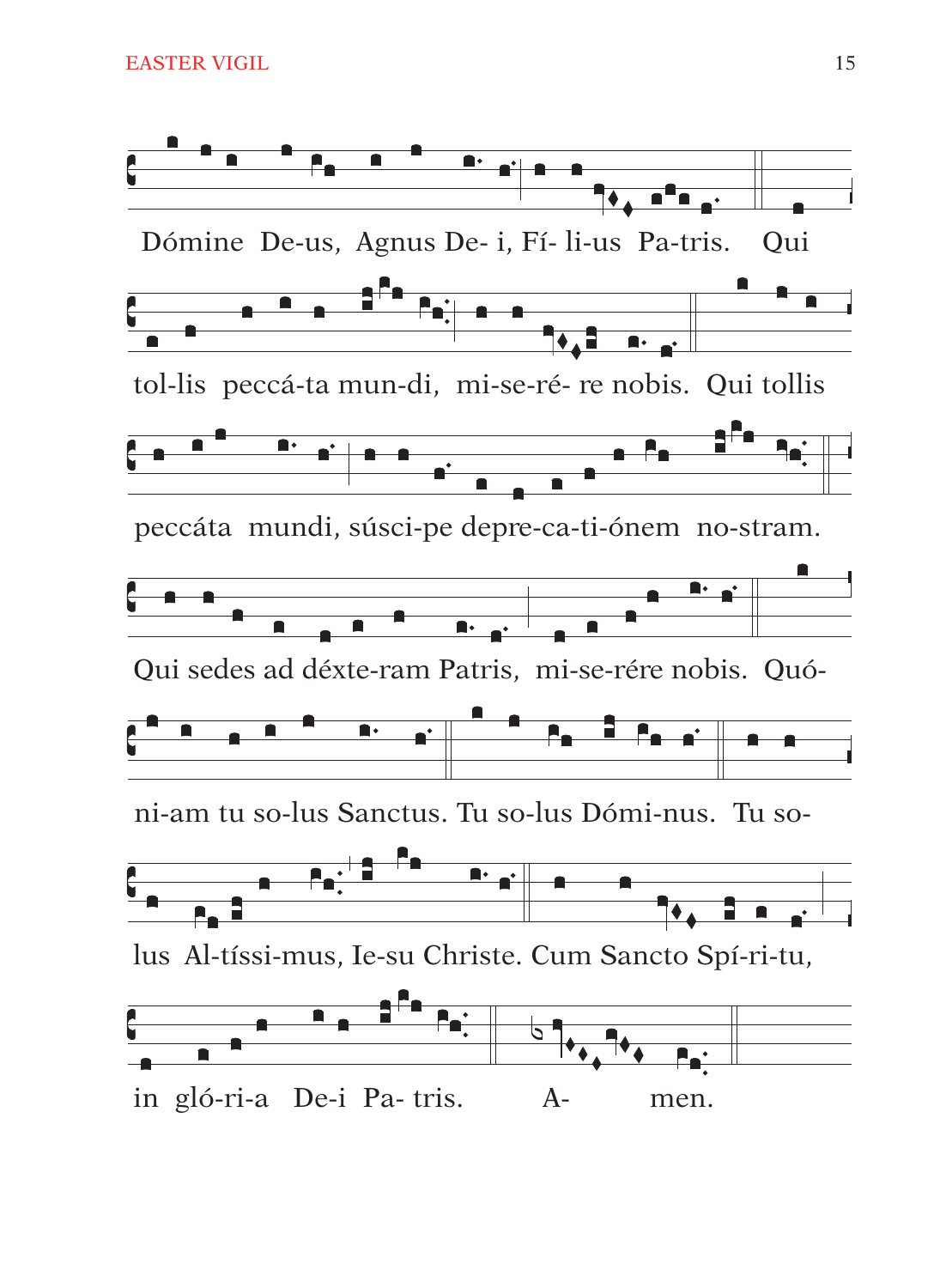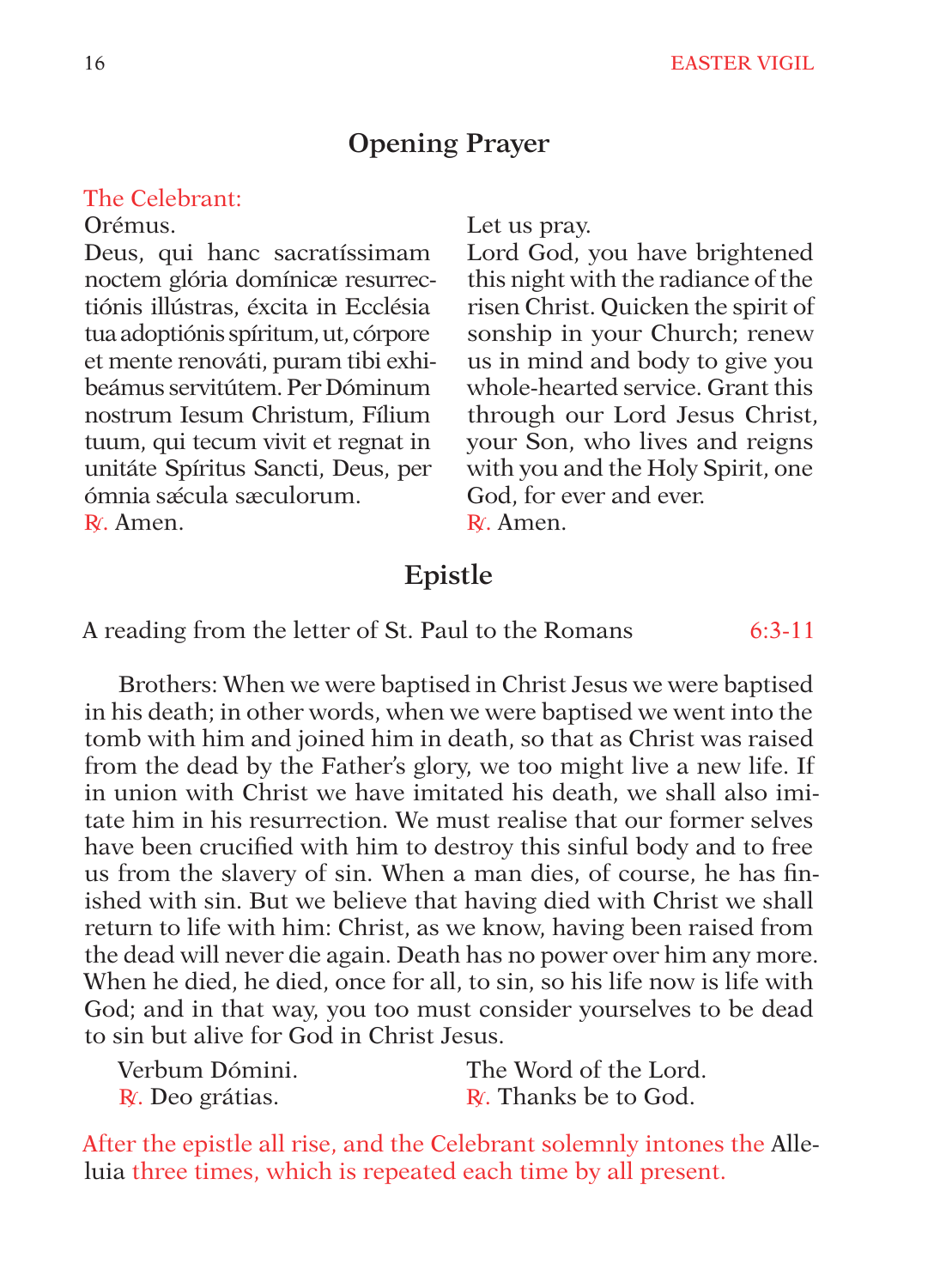### **Opening Prayer**

#### The Celebrant:

Orémus.

Deus, qui hanc sacratíssimam noctem glória domínicæ resurrectiónis illústras, éxcita in Ecclésia tua adoptiónis spíritum, ut, córpore et mente renováti, puram tibi exhibeámus servitútem. Per Dóminum nostrum Iesum Christum, Fílium tuum, qui tecum vivit et regnat in unitáte Spíritus Sancti, Deus, per ómnia sæcula sæculorum. R∕ Amen

Let us pray.

Lord God, you have brightened this night with the radiance of the risen Christ. Quicken the spirit of sonship in your Church; renew us in mind and body to give you whole-hearted service. Grant this through our Lord Jesus Christ, your Son, who lives and reigns with you and the Holy Spirit, one God, for ever and ever. R∕ Amen

# **Epistle**

A reading from the letter of St. Paul to the Romans 6:3-11

Brothers: When we were baptised in Christ Jesus we were baptised in his death; in other words, when we were baptised we went into the tomb with him and joined him in death, so that as Christ was raised from the dead by the Father's glory, we too might live a new life. If in union with Christ we have imitated his death, we shall also imitate him in his resurrection. We must realise that our former selves have been crucified with him to destroy this sinful body and to free us from the slavery of sin. When a man dies, of course, he has finished with sin. But we believe that having died with Christ we shall return to life with him: Christ, as we know, having been raised from the dead will never die again. Death has no power over him any more. When he died, he died, once for all, to sin, so his life now is life with God; and in that way, you too must consider yourselves to be dead to sin but alive for God in Christ Jesus.

| Verbum Dómini.     | The Word of the Lord. |
|--------------------|-----------------------|
| $R$ . Deo grátias. | R. Thanks be to God.  |

After the epistle all rise, and the Celebrant solemnly intones the Alleluia three times, which is repeated each time by all present.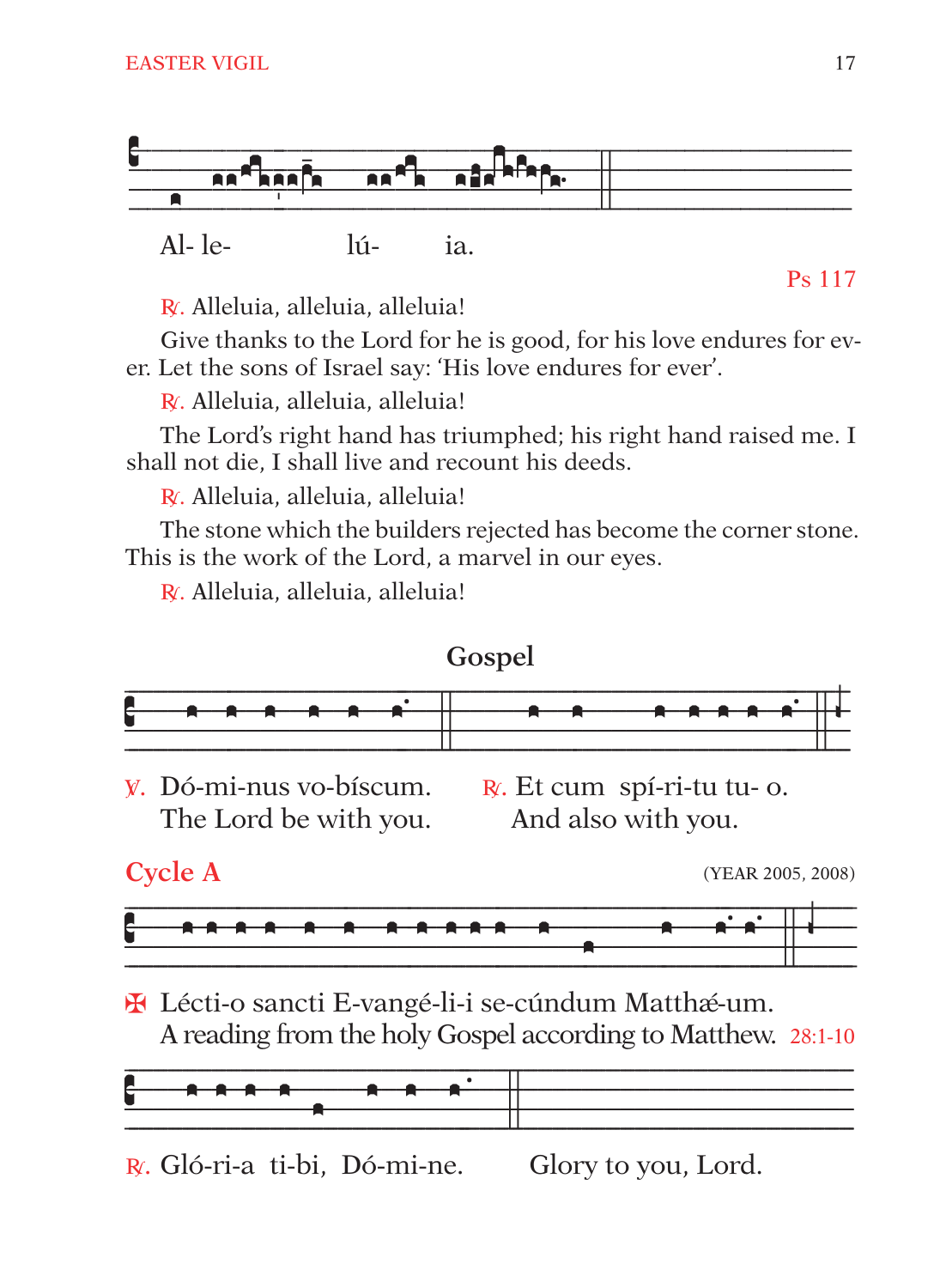

R. Alleluia, alleluia, alleluia!

Give thanks to the Lord for he is good, for his love endures for ever. Let the sons of Israel say: 'His love endures for ever'.

R. Alleluia, alleluia, alleluia!

The Lord's right hand has triumphed; his right hand raised me. I shall not die, I shall live and recount his deeds.

R. Alleluia, alleluia, alleluia!

The stone which the builders rejected has become the corner stone. This is the work of the Lord, a marvel in our eves.

R. Alleluia, alleluia, alleluia!



R. Gló-ri-a ti-bi, Dó-mi-ne. Glory to you, Lord. Ps 117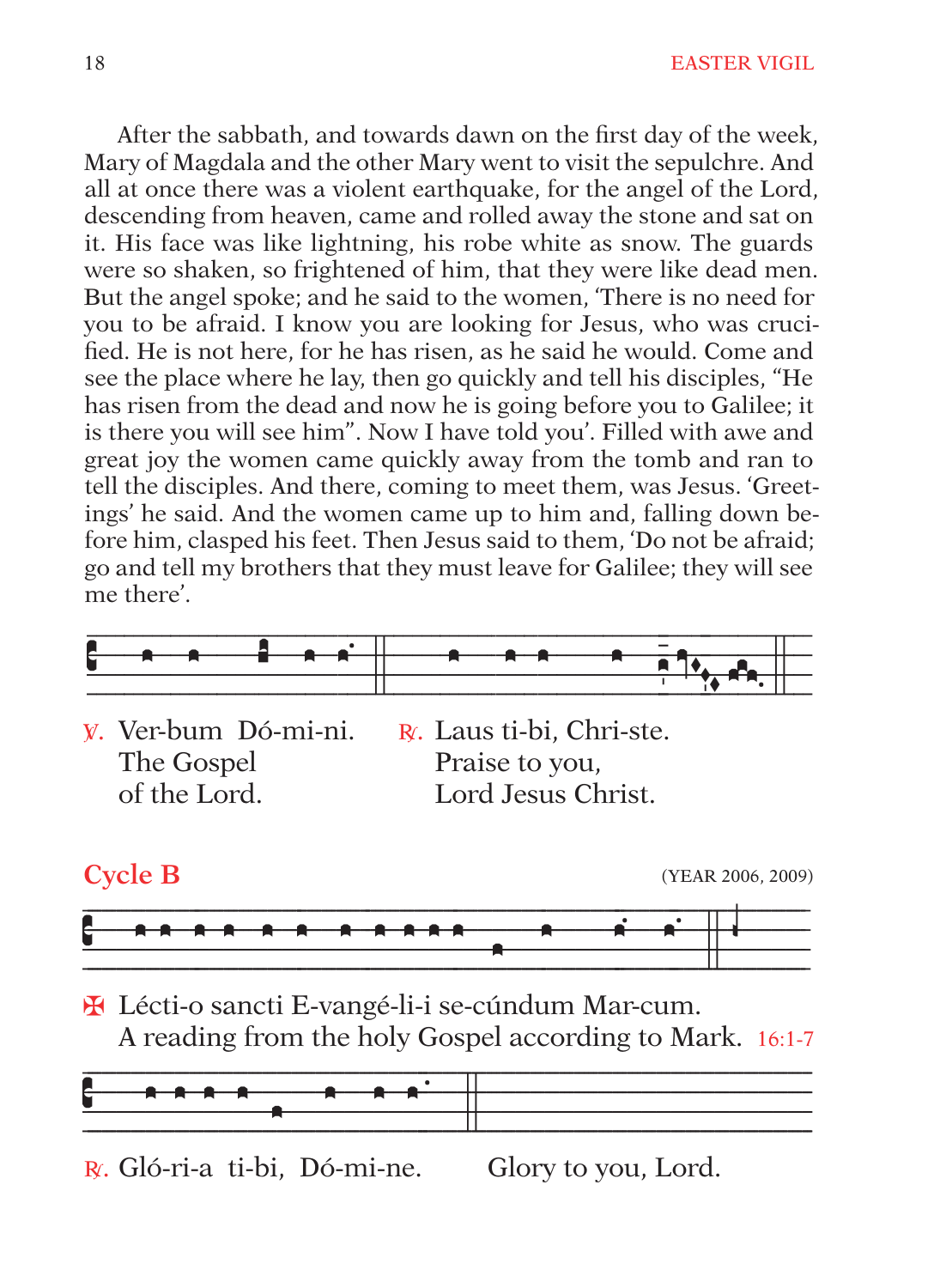18 EASTER VIGHT

After the sabbath, and towards dawn on the first day of the week, Mary of Magdala and the other Mary went to visit the sepulchre. And all at once there was a violent earthquake, for the angel of the Lord, descending from heaven, came and rolled away the stone and sat on it. His face was like lightning, his robe white as snow. The guards were so shaken, so frightened of him, that they were like dead men. But the angel spoke; and he said to the women, 'There is no need for you to be afraid. I know you are looking for Jesus, who was crucified. He is not here, for he has risen, as he said he would. Come and see the place where he lay, then go quickly and tell his disciples, "He has risen from the dead and now he is going before you to Galilee; it is there you will see him". Now I have told you'. Filled with awe and great joy the women came quickly away from the tomb and ran to tell the disciples. And there, coming to meet them, was Jesus. 'Greetings' he said. And the women came up to him and, falling down before him, clasped his feet. Then Jesus said to them, 'Do not be afraid; go and tell my brothers that they must leave for Galilee; they will see me there'.



V<sup>∫</sup> . Ver-bum Dó-mi-ni. R<sup>∫</sup> . Laus ti-bi, Chri-ste. The Gospel Praise to you, of the Lord. Lord Jesus Christ.

**Cycle B** (YEAR 2006, 2009)



✠ Lécti-o sancti E-vangé-li-i se-cúndum Mar-cum. A reading from the holy Gospel according to Mark. 16:1-7



R, Gló-ri-a ti-bi, Dó-mi-ne. Glory to you, Lord.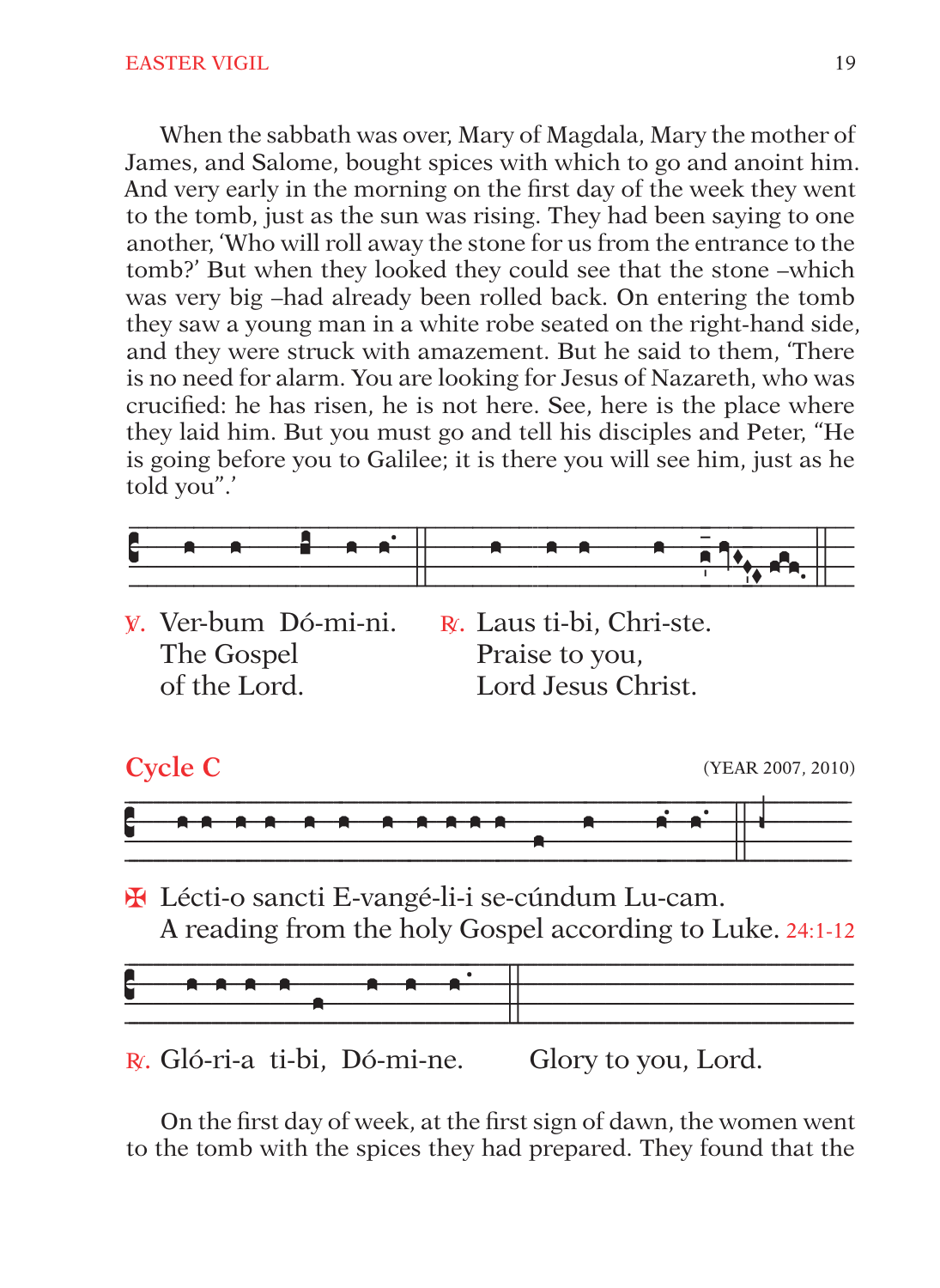When the sabbath was over. Mary of Magdala, Mary the mother of James, and Salome, bought spices with which to go and anoint him. And very early in the morning on the first day of the week they went to the tomb, just as the sun was rising. They had been saying to one another. 'Who will roll away the stone for us from the entrance to the tomb?' But when they looked they could see that the stone -which was very big –had already been rolled back. On entering the tomb they saw a young man in a white robe seated on the right-hand side. and they were struck with amazement. But he said to them, 'There is no need for alarm. You are looking for Jesus of Nazareth, who was crucified: he has risen, he is not here. See, here is the place where they laid him. But you must go and tell his disciples and Peter, "He is going before you to Galilee; it is there you will see him, just as he told you".



v. Ver-bum Dó-mi-ni. R. Laus ti-bi. Chri-ste. The Gospel Praise to you, of the Lord. Lord Jesus Christ.

# **Cycle C**

(YEAR 2007, 2010)



H Lécti-o sancti E-vangé-li-i se-cúndum Lu-cam. A reading from the holy Gospel according to Luke. 24:1-12



R. Gló-ri-a ti-bi, Dó-mi-ne. Glory to you, Lord.

On the first day of week, at the first sign of dawn, the women went to the tomb with the spices they had prepared. They found that the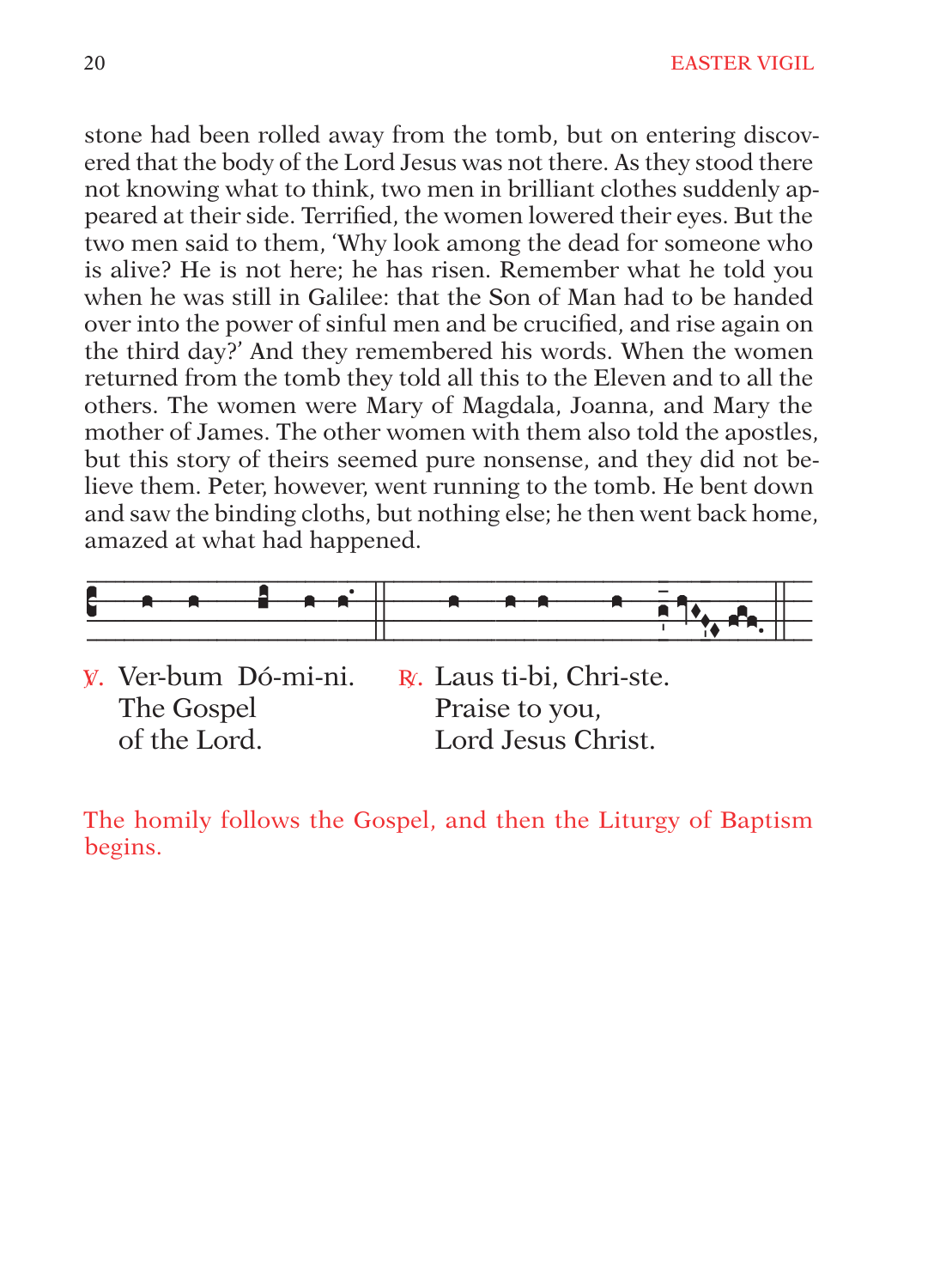stone had been rolled away from the tomb, but on entering discovered that the body of the Lord Jesus was not there. As they stood there not knowing what to think, two men in brilliant clothes suddenly appeared at their side. Terrified, the women lowered their eves. But the two men said to them. 'Why look among the dead for someone who is alive? He is not here; he has risen. Remember what he told you when he was still in Galilee: that the Son of Man had to be handed over into the power of sinful men and be crucified, and rise again on the third day?' And they remembered his words. When the women returned from the tomb they told all this to the Eleven and to all the others. The women were Mary of Magdala, Joanna, and Mary the mother of James. The other women with them also told the apostles, but this story of theirs seemed pure nonsense, and they did not believe them. Peter, however, went running to the tomb. He bent down and saw the binding cloths, but nothing else; he then went back home, amazed at what had happened.



v. Ver-bum Dó-mi-ni. The Gospel of the Lord.

R. Laus ti-bi. Chri-ste. Praise to you. Lord Jesus Christ

The homily follows the Gospel, and then the Liturgy of Baptism begins.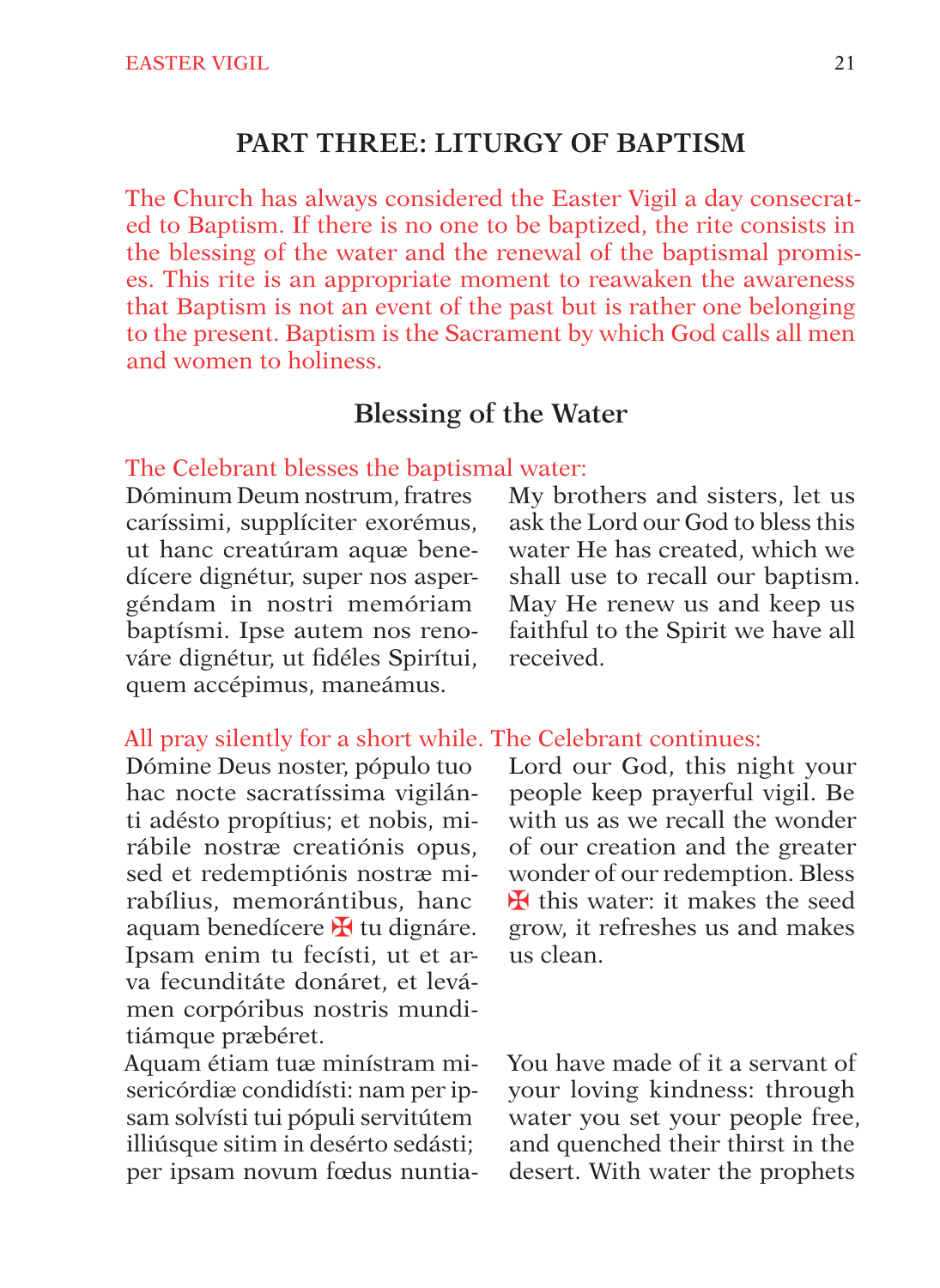# **PART THREE: LITURGY OF BAPTISM**

The Church has always considered the Easter Vigil a day consecrated to Baptism. If there is no one to be baptized, the rite consists in the blessing of the water and the renewal of the baptismal promises. This rite is an appropriate moment to reawaken the awareness that Baptism is not an event of the past but is rather one belonging to the present. Baptism is the Sacrament by which God calls all men and women to holiness.

## **Blessing of the Water**

#### The Celebrant blesses the baptismal water:

Dóminum Deum nostrum, fratres caríssimi, supplíciter exorémus, ut hanc creatúram aquæ benedícere dignétur, super nos aspergéndam in nostri memóriam baptísmi. Ipse autem nos renováre dignétur, ut fidéles Spirítui, quem accépimus, maneámus.

My brothers and sisters, let us ask the Lord our God to bless this water He has created, which we shall use to recall our baptism. May He renew us and keep us faithful to the Spirit we have all received.

#### All pray silently for a short while. The Celebrant continues:

Dómine Deus noster, pópulo tuo hac nocte sacratíssima vigilánti adésto propítius; et nobis, mirábile nostræ creatiónis opus, sed et redemptiónis nostræ mirabílius, memorántibus, hanc aquam benedícere **H** tu dignáre. Ipsam enim tu fecísti, ut et arva fecunditáte donáret, et levámen corpóribus nostris munditiámque præbéret.

Aquam étiam tuæ minístram misericórdiæ condidísti: nam per ipsam solvísti tui pópuli servitútem illiúsque sitim in desérto sedásti; per ipsam novum fœdus nuntiaLord our God, this night your people keep prayerful vigil. Be with us as we recall the wonder of our creation and the greater wonder of our redemption. Bless ✠ this water: it makes the seed grow, it refreshes us and makes us clean.

You have made of it a servant of your loving kindness: through water you set your people free, and quenched their thirst in the desert. With water the prophets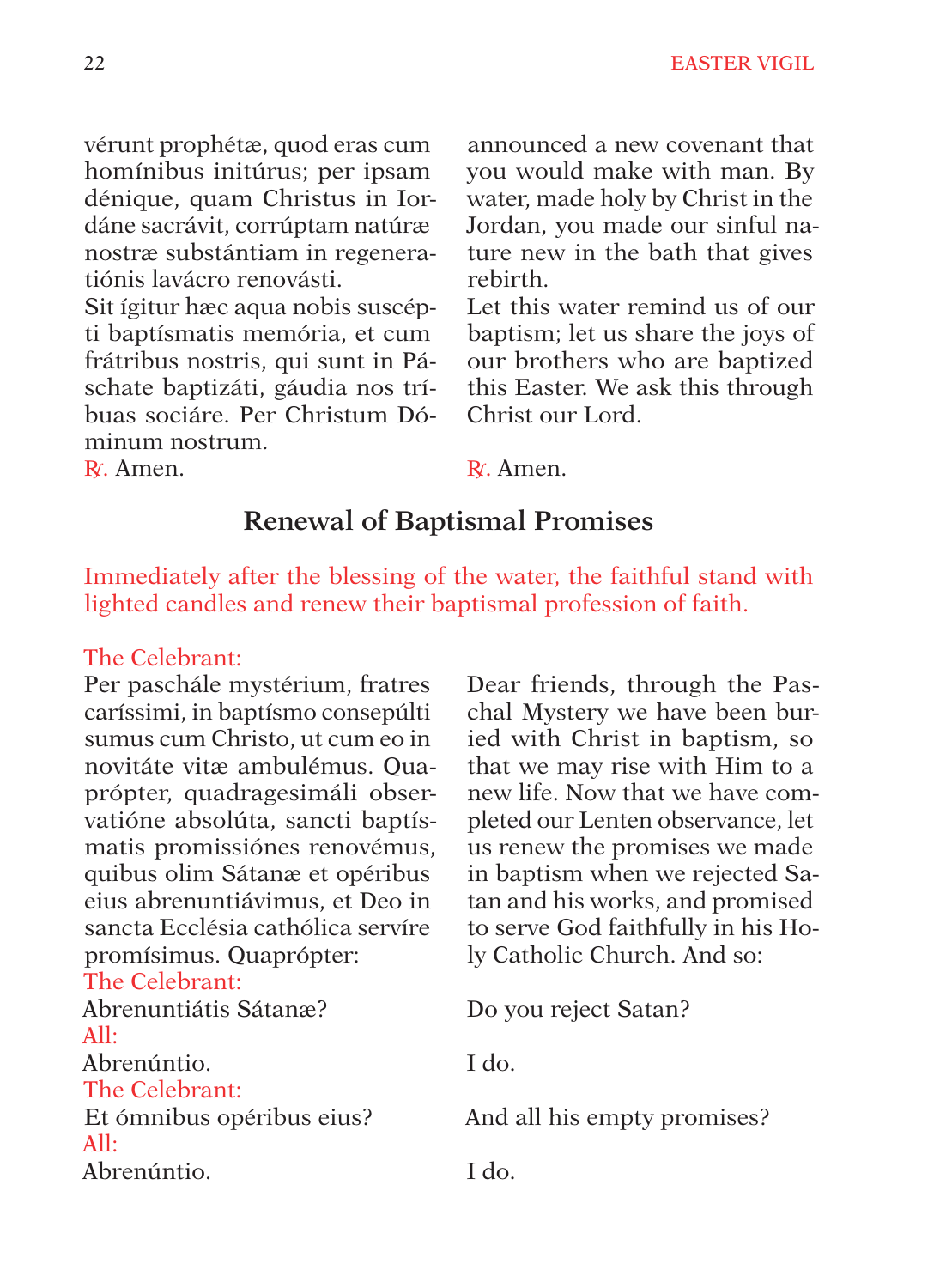vérunt prophétæ, quod eras cum homínibus initúrus; per ipsam dénique, quam Christus in Iordáne sacrávit, corrúptam natúræ nostræ substántiam in regeneratiónis lavácro renovásti.

Sit ígitur hæc aqua nobis suscépti baptísmatis memória, et cum frátribus nostris, qui sunt in Páschate baptizáti, gáudia nos tríbuas sociáre. Per Christum Dóminum nostrum.

announced a new covenant that you would make with man. By water, made holy by Christ in the Jordan, you made our sinful nature new in the bath that gives rebirth.

Let this water remind us of our baptism; let us share the joys of our brothers who are baptized this Easter. We ask this through Christ our Lord.

R∕ Amen.

R∕ Amen.

# **Renewal of Baptismal Promises**

Immediately after the blessing of the water, the faithful stand with lighted candles and renew their baptismal profession of faith.

#### The Celebrant:

Per paschále mystérium, fratres caríssimi, in baptísmo consepúlti sumus cum Christo, ut cum eo in novitáte vitæ ambulémus. Quaprópter, quadragesimáli observatióne absolúta, sancti baptísmatis promissiónes renovémus, quibus olim Sátanæ et opéribus eius abrenuntiávimus, et Deo in sancta Ecclésia cathólica servíre promísimus. Quaprópter:

## The Celebrant:

Abrenuntiátis Sátanæ?  $\Delta$ ll $\cdot$ Abrenúntio. The Celebrant: Et ómnibus opéribus eius? All: Abrenúntio.

Dear friends, through the Paschal Mystery we have been buried with Christ in baptism, so that we may rise with Him to a new life. Now that we have completed our Lenten observance, let us renew the promises we made in baptism when we rejected Satan and his works, and promised to serve God faithfully in his Holy Catholic Church. And so:

Do you reject Satan?

I do.

And all his empty promises?

I do.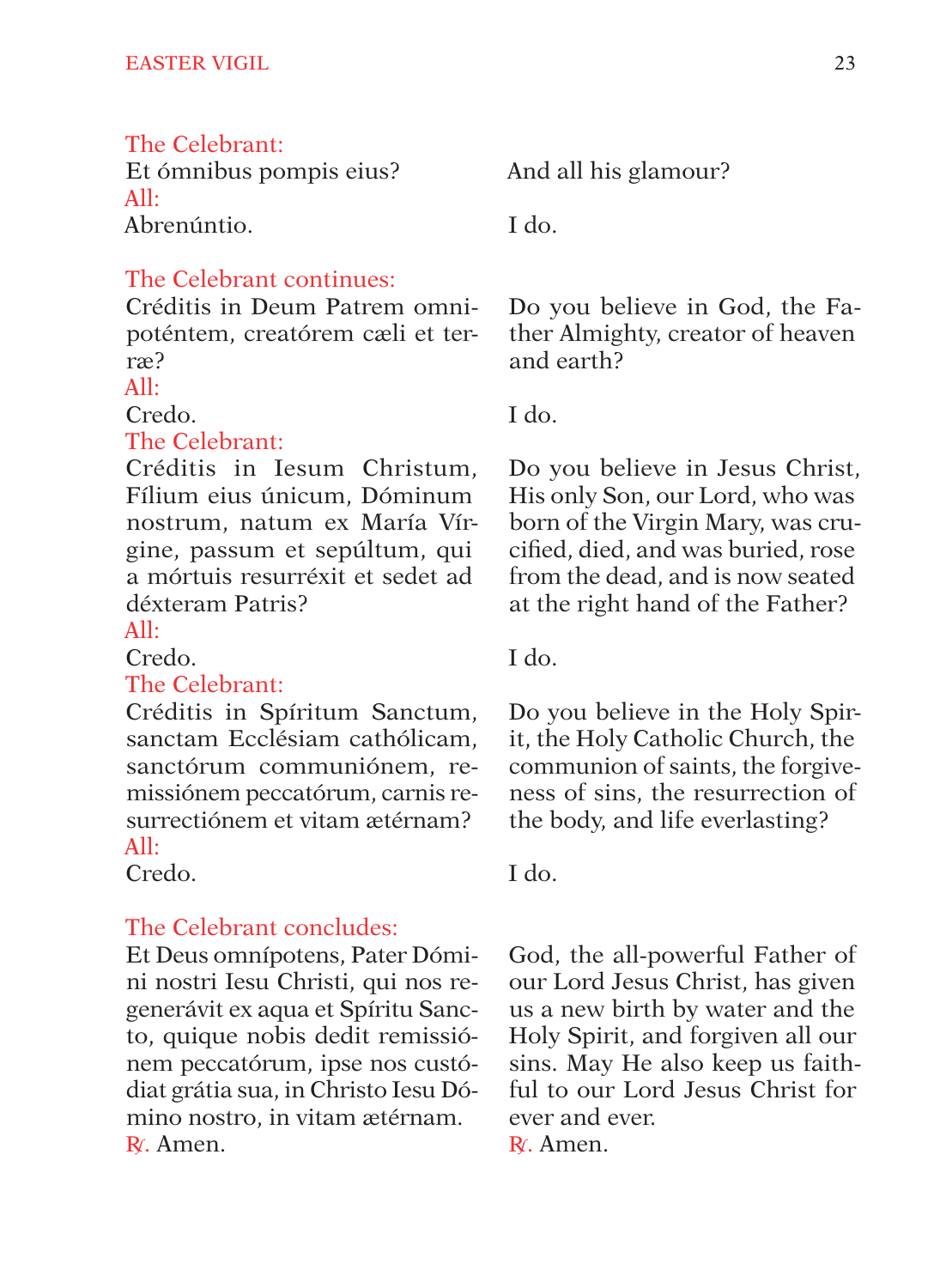#### The Celebrant:

Et ómnibus pompis eius? All:

Abrenúntio.

#### The Celebrant continues:

Créditis in Deum Patrem omnipoténtem, creatórem cæli et terræ?

# All:

Credo.

#### The Celebrant:

Créditis in Iesum Christum, Fílium eius únicum, Dóminum nostrum, natum ex María Vírgine, passum et sepúltum, qui a mórtuis resurréxit et sedet ad déxteram Patris?

#### All:

Credo.

#### The Celebrant:

Créditis in Spíritum Sanctum, sanctam Ecclésiam cathólicam, sanctórum communiónem, remissiónem peccatórum, carnis resurrectiónem et vitam ætérnam? All:

Credo.

#### The Celebrant concludes:

Et Deus omnípotens, Pater Dómini nostri Iesu Christi, qui nos regenerávit ex aqua et Spíritu Sancto, quique nobis dedit remissiónem peccatórum, ipse nos custódiat grátia sua, in Christo Iesu Dómino nostro, in vitam ætérnam. R<sup>∫</sup> . Amen.

And all his glamour?

I do.

Do you believe in God, the Father Almighty, creator of heaven and earth?

I do.

Do you believe in Jesus Christ, His only Son, our Lord, who was born of the Virgin Mary, was crucified, died, and was buried, rose from the dead, and is now seated at the right hand of the Father?

I do.

Do you believe in the Holy Spirit, the Holy Catholic Church, the communion of saints, the forgiveness of sins, the resurrection of the body, and life everlasting?

I do.

God, the all-powerful Father of our Lord Jesus Christ, has given us a new birth by water and the Holy Spirit, and forgiven all our sins. May He also keep us faithful to our Lord Jesus Christ for ever and ever.

R<sup>∫</sup> . Amen.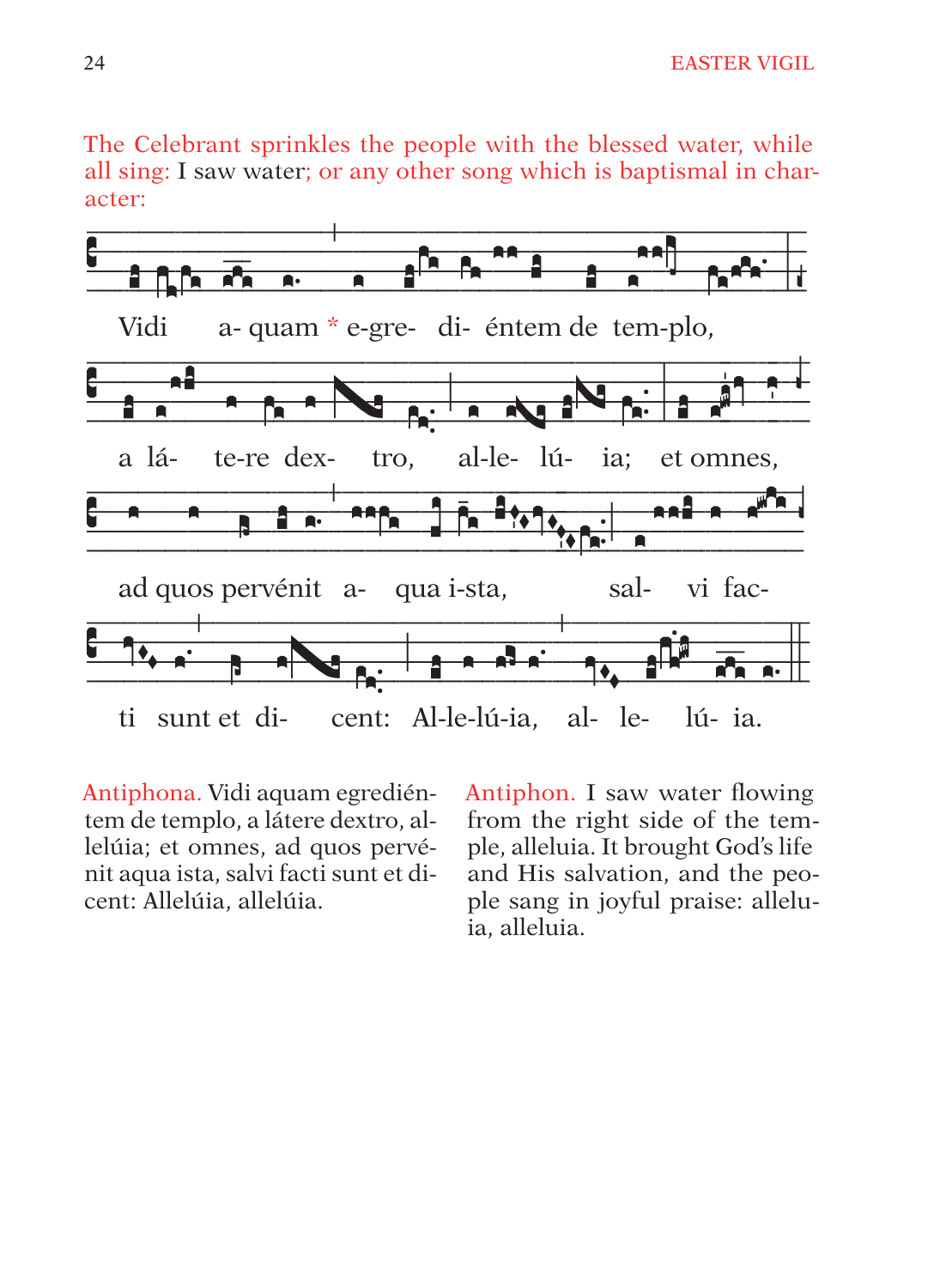The Celebrant sprinkles the people with the blessed water, while all sing: I saw water; or any other song which is baptismal in character<sup>.</sup>



Antiphona. Vidi aquam egrediéntem de templo, a látere dextro, allelúia; et omnes, ad quos pervénit aqua ista, salvi facti sunt et dicent: Allelúia, allelúia.

Antiphon. I saw water flowing from the right side of the temple, alleluia. It brought God's life and His salvation, and the people sang in joyful praise: alleluia, alleluia.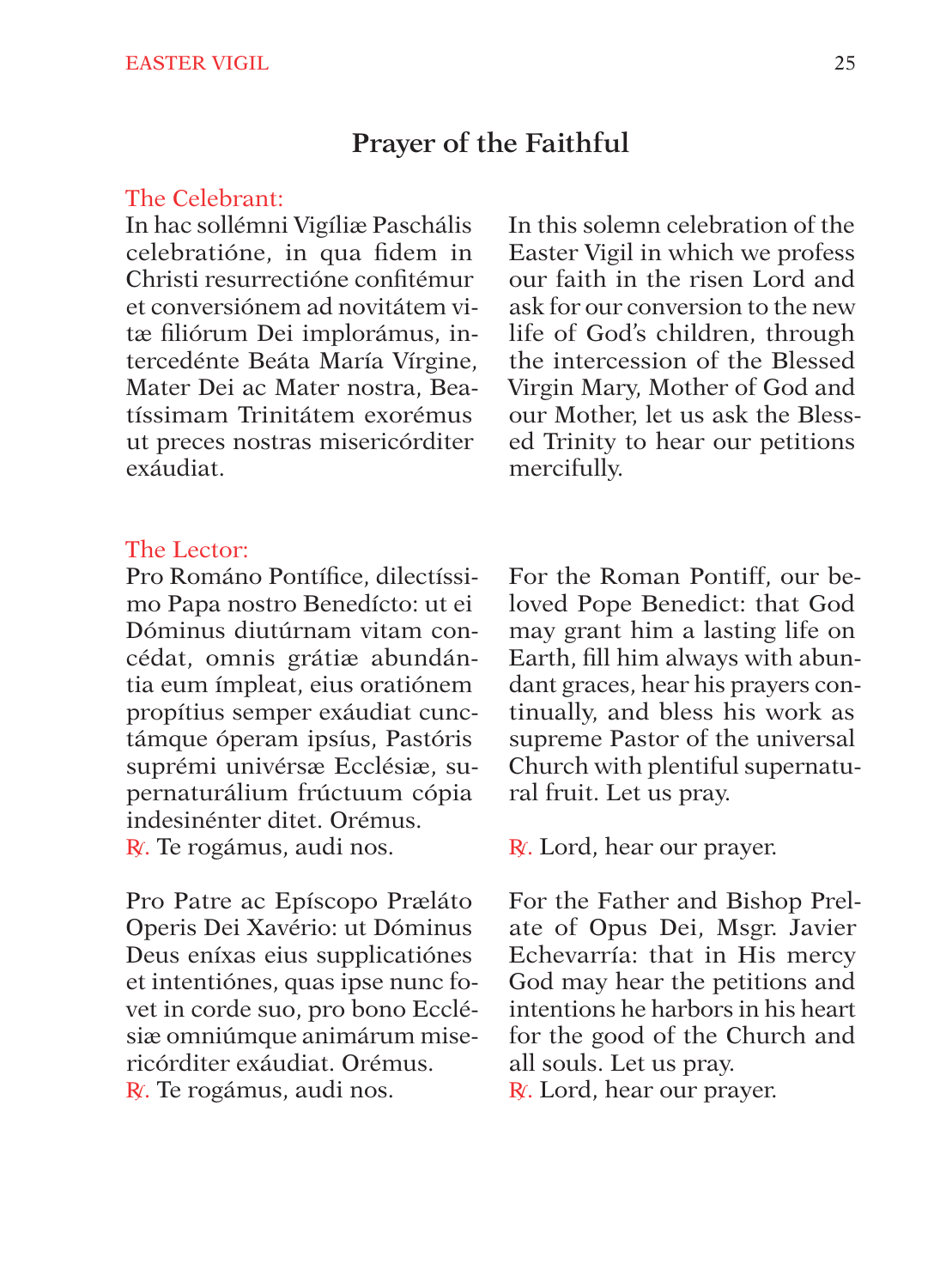# **Prayer of the Faithful**

#### The Celebrant:

In hac sollémni Vigíliæ Paschális celebratióne, in qua fidem in Christi resurrectióne confitémur et conversiónem ad novitátem vitæ filiórum Dei implorámus, intercedénte Beáta María Vírgine, Mater Dei ac Mater nostra, Beatíssimam Trinitátem exorémus ut preces nostras misericórditer exáudiat.

In this solemn celebration of the Easter Vigil in which we profess our faith in the risen Lord and ask for our conversion to the new life of God's children, through the intercession of the Blessed Virgin Mary, Mother of God and our Mother, let us ask the Blessed Trinity to hear our petitions mercifully.

#### The Lector:

Pro Románo Pontífice, dilectíssimo Papa nostro Benedícto: ut ei Dóminus diutúrnam vitam concédat, omnis grátiæ abundántia eum ímpleat, eius oratiónem propítius semper exáudiat cunctámque óperam ipsíus, Pastóris suprémi univérsæ Ecclésiæ, supernaturálium frúctuum cópia indesinénter ditet. Orémus. R<sup>∫</sup> . Te rogámus, audi nos.

Pro Patre ac Epíscopo Præláto Operis Dei Xavério: ut Dóminus Deus eníxas eius supplicatiónes et intentiónes, quas ipse nunc fovet in corde suo, pro bono Ecclésiæ omniúmque animárum misericórditer exáudiat. Orémus. R<sup>∫</sup> . Te rogámus, audi nos.

For the Roman Pontiff, our beloved Pope Benedict: that God may grant him a lasting life on Earth, fill him always with abundant graces, hear his prayers continually, and bless his work as supreme Pastor of the universal Church with plentiful supernatural fruit. Let us pray.

R∫. Lord, hear our prayer.

For the Father and Bishop Prelate of Opus Dei, Msgr. Javier Echevarría: that in His mercy God may hear the petitions and intentions he harbors in his heart for the good of the Church and all souls. Let us pray.

R∫. Lord, hear our prayer.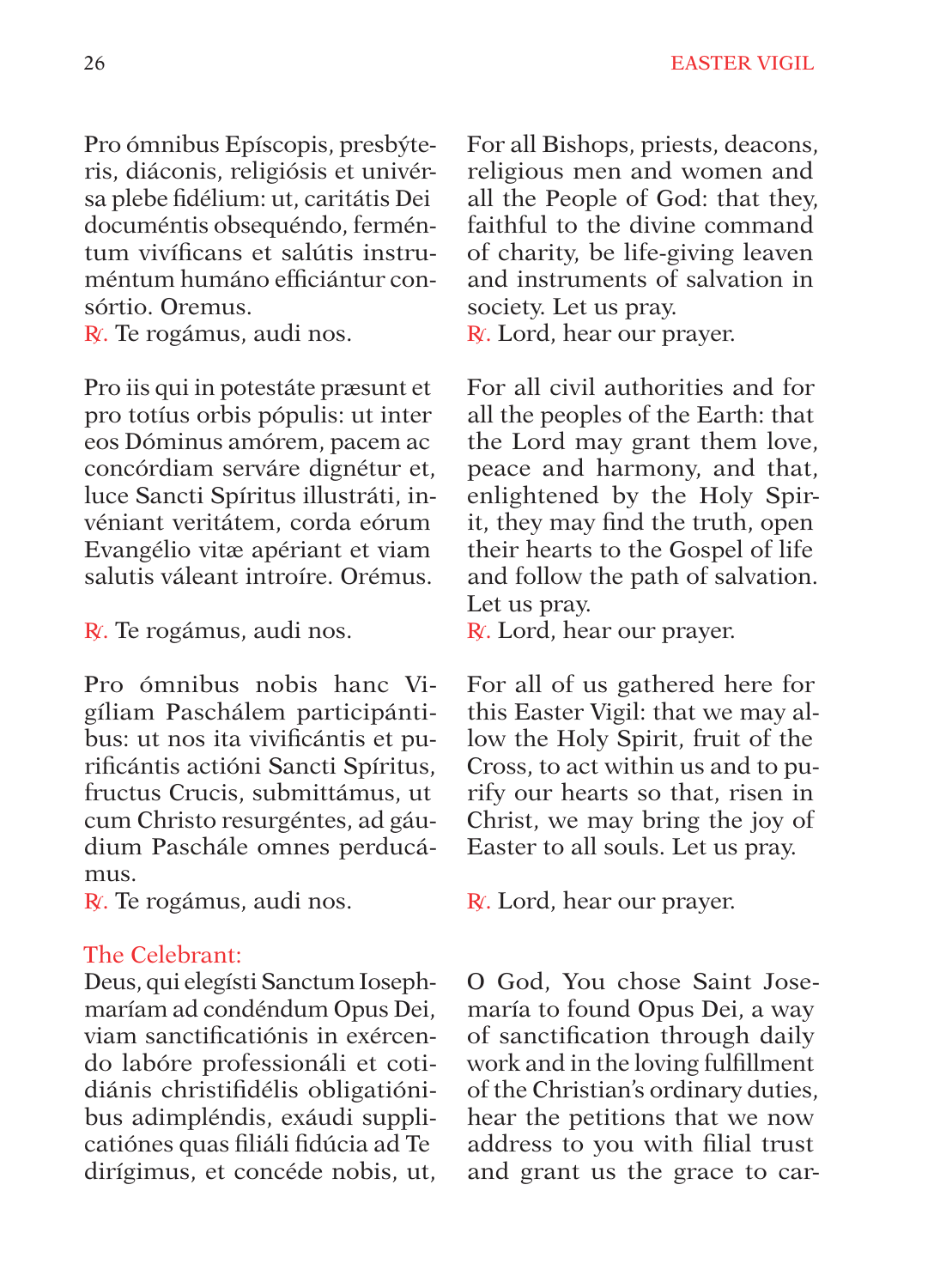Pro ómnibus Epíscopis, presbýteris, diáconis, religiósis et univérsa plebe fidélium: ut, caritátis Dei documéntis obsequéndo, ferméntum vivíficans et salútis instruméntum humáno efficiántur consórtio. Oremus.

R∫. Te rogámus, audi nos.

Pro iis qui in potestáte præsunt et pro totíus orbis pópulis: ut inter eos Dóminus amórem, pacem ac concórdiam serváre dignétur et, luce Sancti Spíritus illustráti, invéniant veritátem, corda eórum Evangélio vitæ apériant et viam salutis váleant introíre. Orémus.

R<sup>∫</sup> . Te rogámus, audi nos.

Pro ómnibus nobis hanc Vigíliam Paschálem participántibus: ut nos ita vivificántis et purificántis actióni Sancti Spíritus, fructus Crucis, submittámus, ut cum Christo resurgéntes, ad gáudium Paschále omnes perducámus.

R∫. Te rogámus, audi nos.

#### The Celebrant:

Deus, qui elegísti Sanctum Iosephmaríam ad condéndum Opus Dei, viam sanctificatiónis in exércendo labóre professionáli et cotidiánis christifidélis obligatiónibus adimpléndis, exáudi supplicatiónes quas filiáli fidúcia ad Te dirígimus, et concéde nobis, ut, For all Bishops, priests, deacons, religious men and women and all the People of God: that they, faithful to the divine command of charity, be life-giving leaven and instruments of salvation in society. Let us pray.

R∫. Lord, hear our prayer.

For all civil authorities and for all the peoples of the Earth: that the Lord may grant them love, peace and harmony, and that, enlightened by the Holy Spirit, they may find the truth, open their hearts to the Gospel of life and follow the path of salvation. Let us pray.

R∟ Lord, hear our prayer.

For all of us gathered here for this Easter Vigil: that we may allow the Holy Spirit, fruit of the Cross, to act within us and to purify our hearts so that, risen in Christ, we may bring the joy of Easter to all souls. Let us pray.

R∫. Lord, hear our prayer.

O God, You chose Saint Josemaría to found Opus Dei, a way of sanctification through daily work and in the loving fulfillment of the Christian's ordinary duties, hear the petitions that we now address to you with filial trust and grant us the grace to car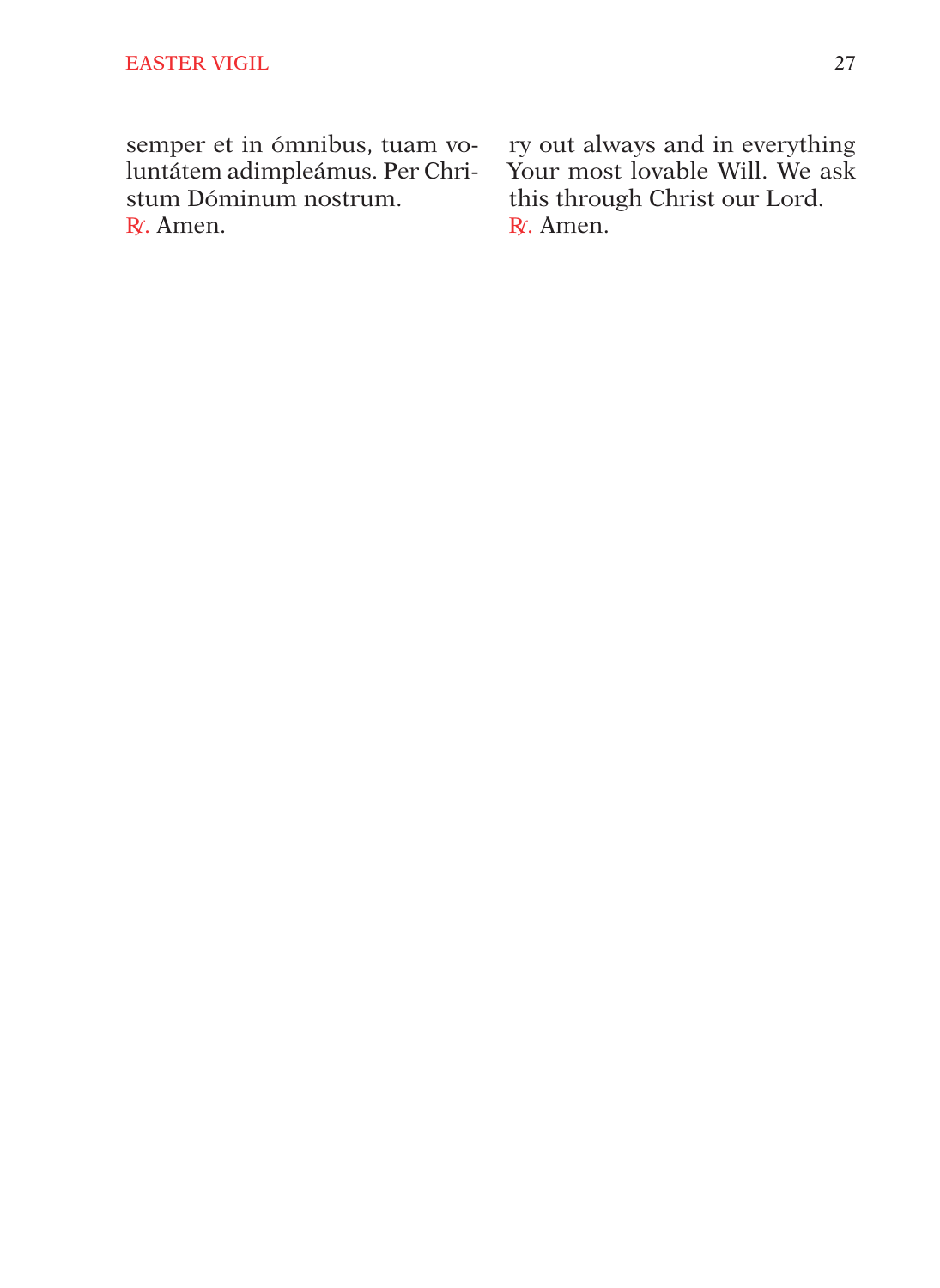semper et in ómnibus, tuam vo-<br>luntátem adimpleámus. Per Christum Dóminum nostrum. R. Amen.

ry out always and in everything<br>Your most lovable Will. We ask this through Christ our Lord. R. Amen.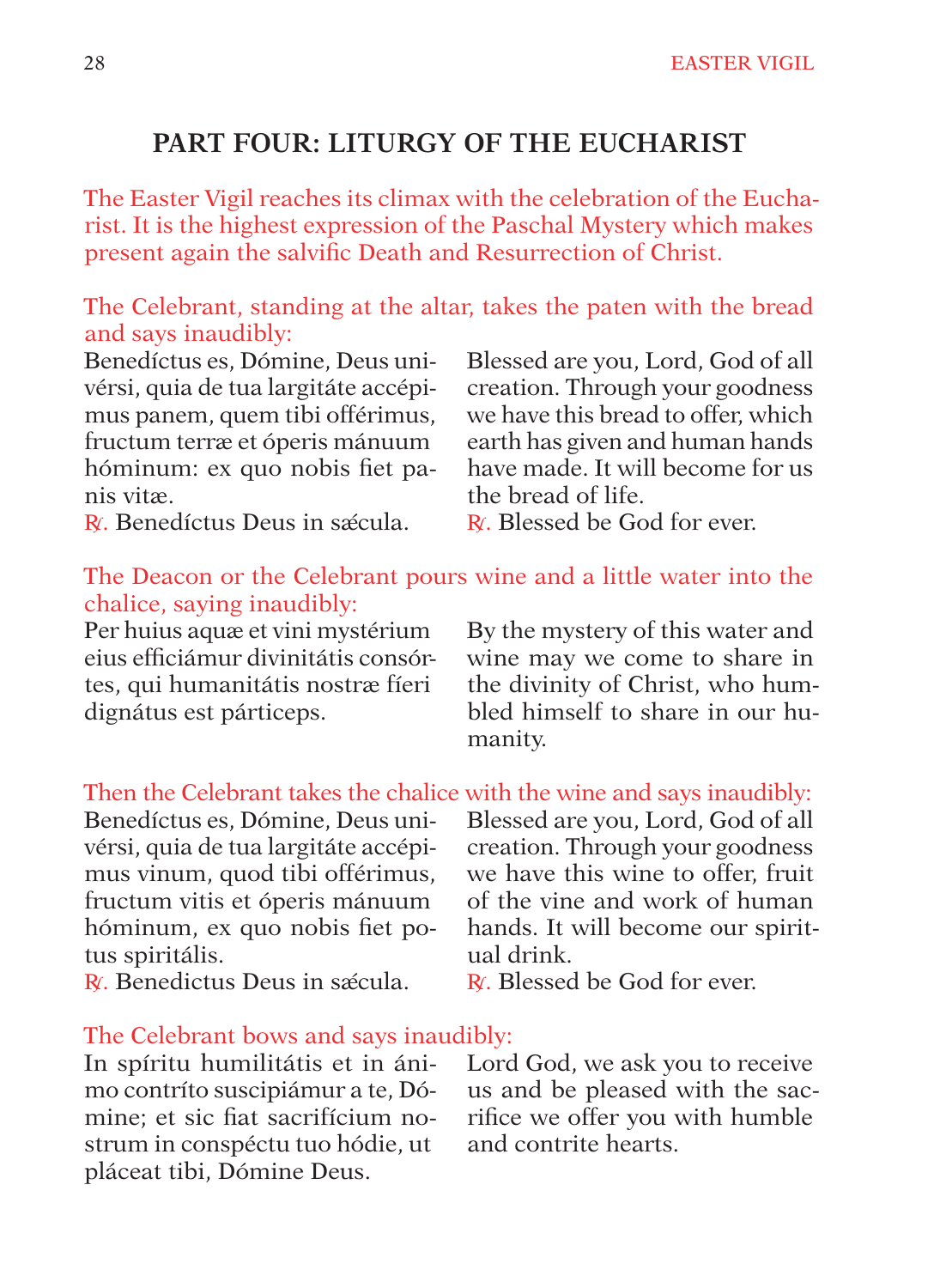# **PART FOUR: LITURGY OF THE EUCHARIST**

The Easter Vigil reaches its climax with the celebration of the Eucharist. It is the highest expression of the Paschal Mystery which makes present again the salvific Death and Resurrection of Christ.

The Celebrant, standing at the altar, takes the paten with the bread and says inaudibly:

Benedíctus es, Dómine, Deus univérsi, quia de tua largitáte accépimus panem, quem tibi offérimus, fructum terræ et óperis mánuum hóminum: ex quo nobis fiet panis vitæ.

Blessed are you, Lord, God of all creation. Through your goodness we have this bread to offer, which earth has given and human hands have made. It will become for us the bread of life.

R⊖ Benedíctus Deus in sǽcula.

R∫ Blessed be God for ever.

#### The Deacon or the Celebrant pours wine and a little water into the chalice, saying inaudibly:

Per huius aquæ et vini mystérium eius efficiámur divinitátis consórtes, qui humanitátis nostræ fíeri dignátus est párticeps.

By the mystery of this water and wine may we come to share in the divinity of Christ, who humbled himself to share in our humanity.

#### Then the Celebrant takes the chalice with the wine and says inaudibly:

Benedíctus es, Dómine, Deus univérsi, quia de tua largitáte accépimus vinum, quod tibi offérimus, fructum vitis et óperis mánuum hóminum, ex quo nobis fiet potus spiritális.

Blessed are you, Lord, God of all creation. Through your goodness we have this wine to offer, fruit of the vine and work of human hands. It will become our spiritual drink.

R⊖ Benedictus Deus in sǽcula.

R∫ Blessed be God for ever.

#### The Celebrant bows and says inaudibly:

In spíritu humilitátis et in ánimo contríto suscipiámur a te, Dómine; et sic fiat sacrifícium nostrum in conspéctu tuo hódie, ut pláceat tibi, Dómine Deus.

Lord God, we ask you to receive us and be pleased with the sacrifice we offer you with humble and contrite hearts.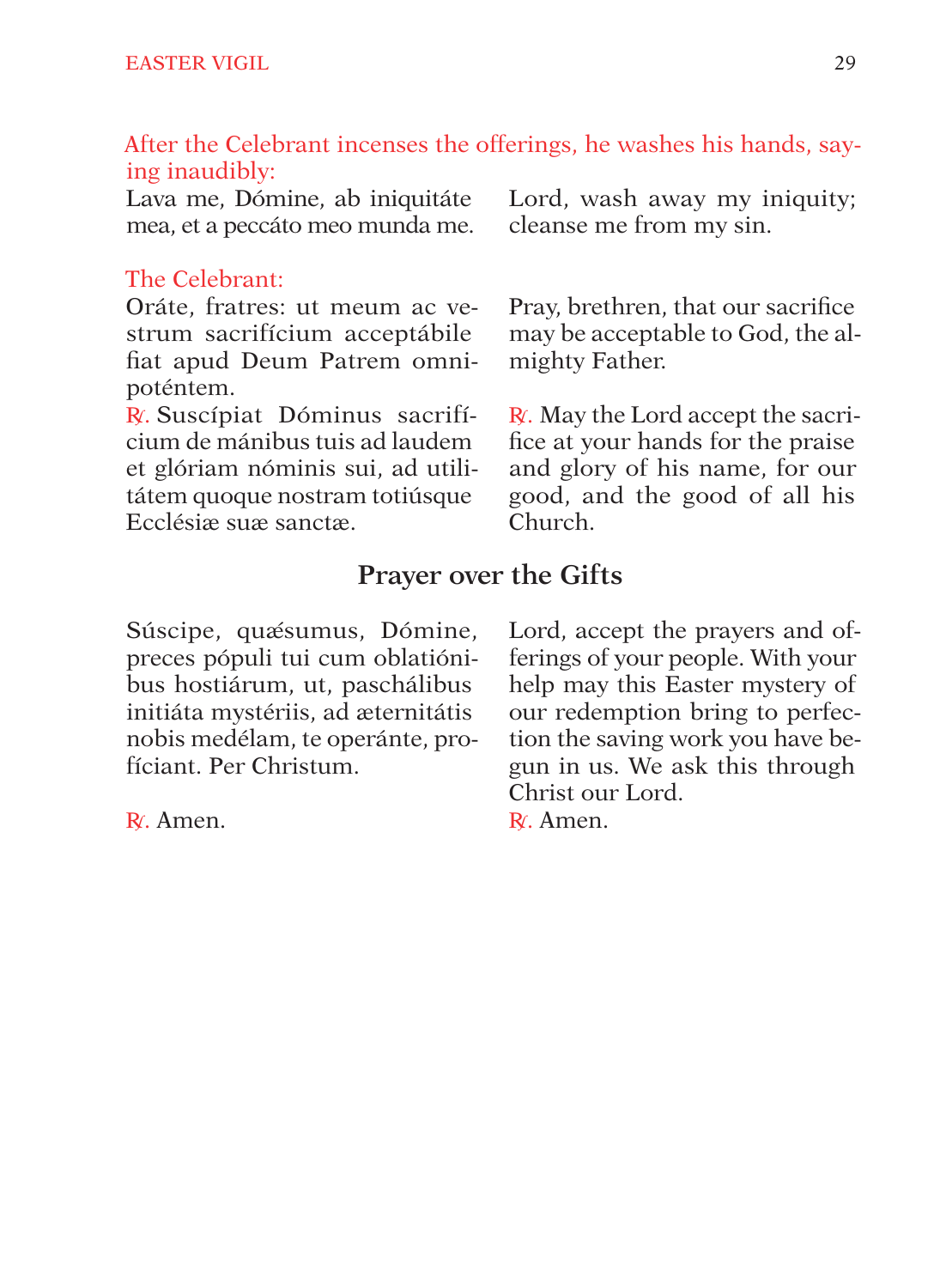After the Celebrant incenses the offerings, he washes his hands, saying inaudibly:

Lava me, Dómine, ab iniquitáte mea, et a peccáto meo munda me.

#### The Celebrant:

Oráte, fratres: ut meum ac vestrum sacrifícium acceptábile fiat apud Deum Patrem omnipoténtem.

R∫. Suscípiat Dóminus sacrifícium de mánibus tuis ad laudem et glóriam nóminis sui, ad utilitátem quoque nostram totiúsque Ecclésiæ suæ sanctæ.

Lord, wash away my iniquity; cleanse me from my sin.

Pray, brethren, that our sacrifice may be acceptable to God, the almighty Father.

R∫. May the Lord accept the sacrifice at your hands for the praise and glory of his name, for our good, and the good of all his Church.

# **Prayer over the Gifts**

Súscipe, quǽsumus, Dómine, preces pópuli tui cum oblatiónibus hostiárum, ut, paschálibus initiáta mystériis, ad æternitátis nobis medélam, te operánte, profíciant. Per Christum.

R<sup>∫</sup> . Amen.

Lord, accept the prayers and offerings of your people. With your help may this Easter mystery of our redemption bring to perfection the saving work you have begun in us. We ask this through Christ our Lord.

R<sup>∫</sup> . Amen.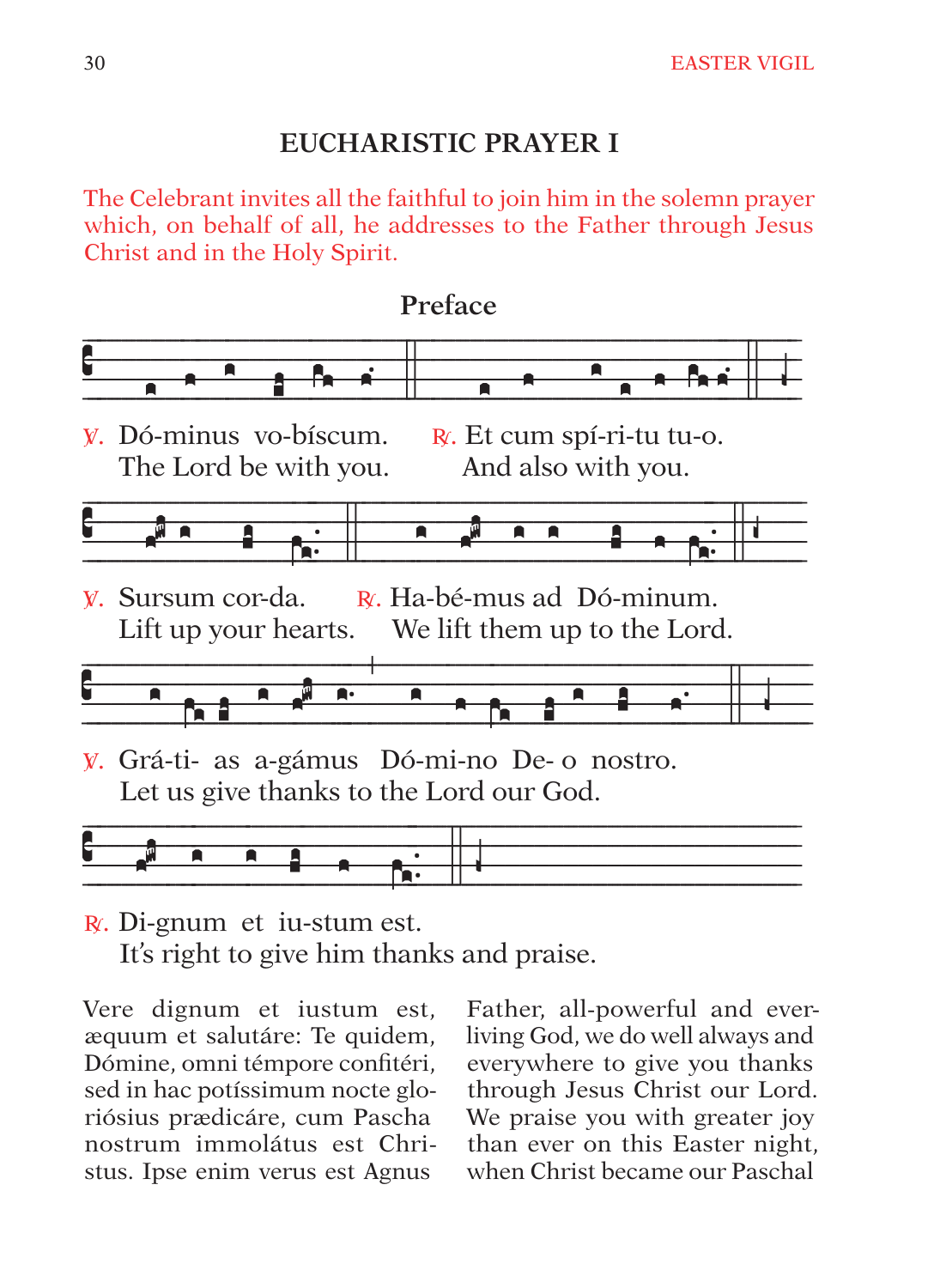# **EUCHARISTIC PRAYER I**

The Celebrant invites all the faithful to join him in the solemn prayer which, on behalf of all, he addresses to the Father through Jesus Christ and in the Holy Spirit.

Preface

| y. Dó-minus vo-bíscum.<br>The Lord be with you.                                                  |  | $R$ . Et cum spí-ri-tu tu-o. | And also with you. |  |  |
|--------------------------------------------------------------------------------------------------|--|------------------------------|--------------------|--|--|
|                                                                                                  |  |                              |                    |  |  |
| V. Sursum cor-da. R. Ha-bé-mus ad Dó-minum.<br>Lift up your hearts. We lift them up to the Lord. |  |                              |                    |  |  |
|                                                                                                  |  |                              |                    |  |  |
| y. Grá-ti- as a-gámus Dó-mi-no De- o nostro.<br>Let us give thanks to the Lord our God.          |  |                              |                    |  |  |



 $R$ . Di-gnum et iu-stum est. It's right to give him thanks and praise.

Vere dignum et iustum est, æquum et salutáre: Te quidem, Dómine, omni témpore confitéri, sed in hac potíssimum nocte gloriósius prædicáre, cum Pascha nostrum immolátus est Christus. Ipse enim verus est Agnus

Father, all-powerful and everliving God, we do well always and everywhere to give you thanks through Jesus Christ our Lord. We praise you with greater joy than ever on this Easter night, when Christ became our Paschal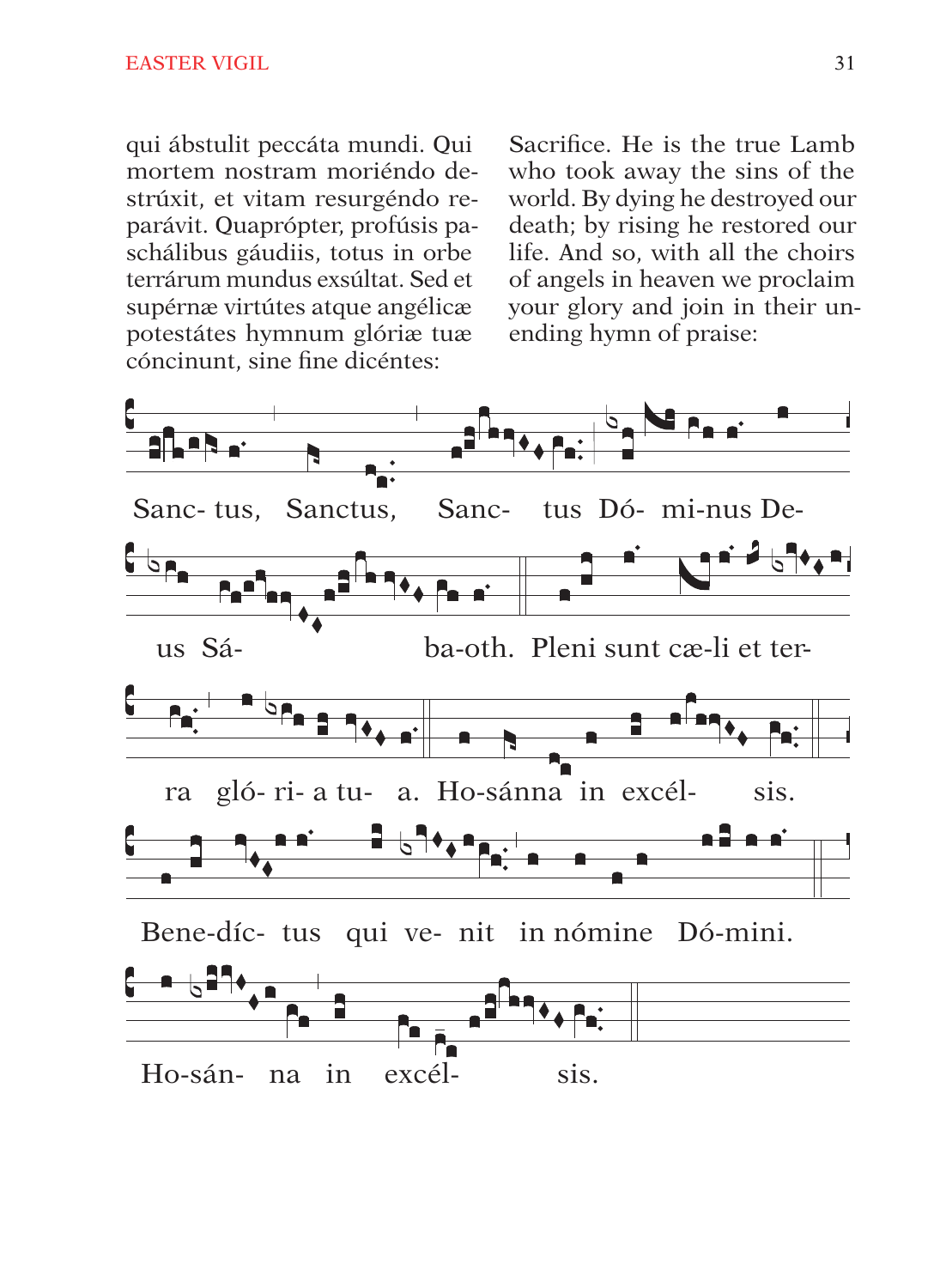qui ábstulit peccáta mundi. Qui mortem nostram moriéndo destrúxit, et vitam resurgéndo reparávit. Quaprópter, profúsis paschálibus gáudiis, totus in orbe terrárum mundus exsúltat. Sed et supérnæ virtútes atque angélicæ potestátes hymnum glóriæ tuæ cóncinunt, sine fine dicéntes:

Sacrifice. He is the true Lamb who took away the sins of the world. By dying he destroyed our death; by rising he restored our life. And so, with all the choirs of angels in heaven we proclaim your glory and join in their unending hymn of praise:

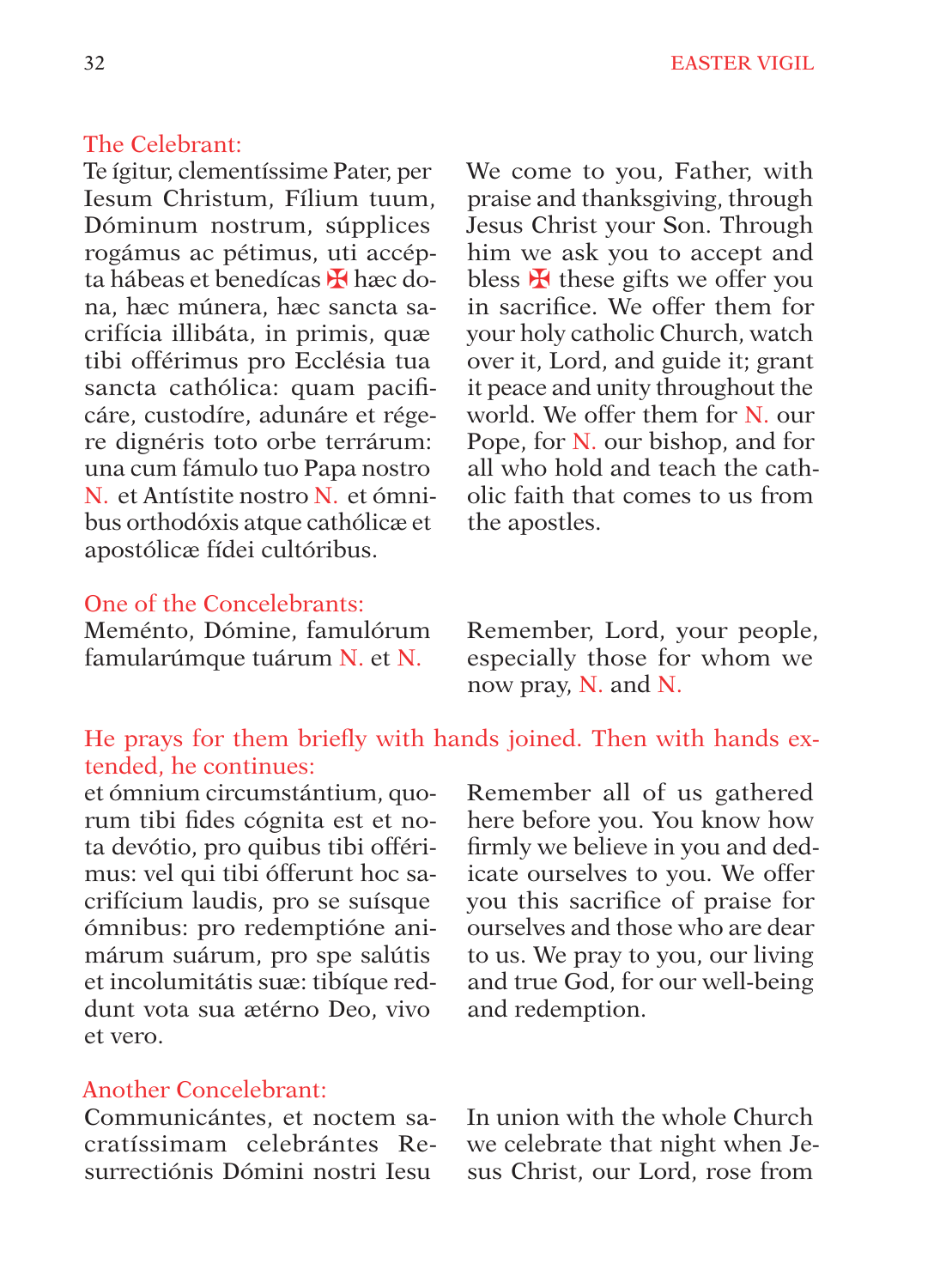#### The Celebrant:

Te ígitur, clementíssime Pater, per Iesum Christum, Fílium tuum, Dóminum nostrum, súpplices rogámus ac pétimus, uti accépta hábeas et benedícas **H** hæc dona, hæc múnera, hæc sancta sacrifícia illibáta, in primis, quæ tibi offérimus pro Ecclésia tua sancta cathólica: quam pacificáre, custodíre, adunáre et régere dignéris toto orbe terrárum: una cum fámulo tuo Papa nostro N. et Antístite nostro N. et ómnibus orthodóxis atque cathólicæ et apostólicæ fídei cultóribus.

#### One of the Concelebrants:

Meménto, Dómine, famulórum famularúmque tuárum N. et N.

We come to you, Father, with praise and thanksgiving, through Jesus Christ your Son. Through him we ask you to accept and bless  $\mathbf \mathbf F$  these gifts we offer you in sacrifice. We offer them for your holy catholic Church, watch over it, Lord, and guide it; grant it peace and unity throughout the world. We offer them for N. our Pope, for N. our bishop, and for all who hold and teach the catholic faith that comes to us from the apostles.

Remember, Lord, your people, especially those for whom we now pray, N. and N.

## He prays for them briefly with hands joined. Then with hands extended, he continues:

et ómnium circumstántium, quorum tibi fides cógnita est et nota devótio, pro quibus tibi offérimus: vel qui tibi ófferunt hoc sacrifícium laudis, pro se suísque ómnibus: pro redemptióne animárum suárum, pro spe salútis et incolumitátis suæ: tibíque reddunt vota sua ætérno Deo, vivo et vero.

#### Another Concelebrant:

Communicántes, et noctem sacratíssimam celebrántes Resurrectiónis Dómini nostri Iesu

Remember all of us gathered here before you. You know how firmly we believe in you and dedicate ourselves to you. We offer you this sacrifice of praise for ourselves and those who are dear to us. We pray to you, our living and true God, for our well-being and redemption.

In union with the whole Church we celebrate that night when Jesus Christ, our Lord, rose from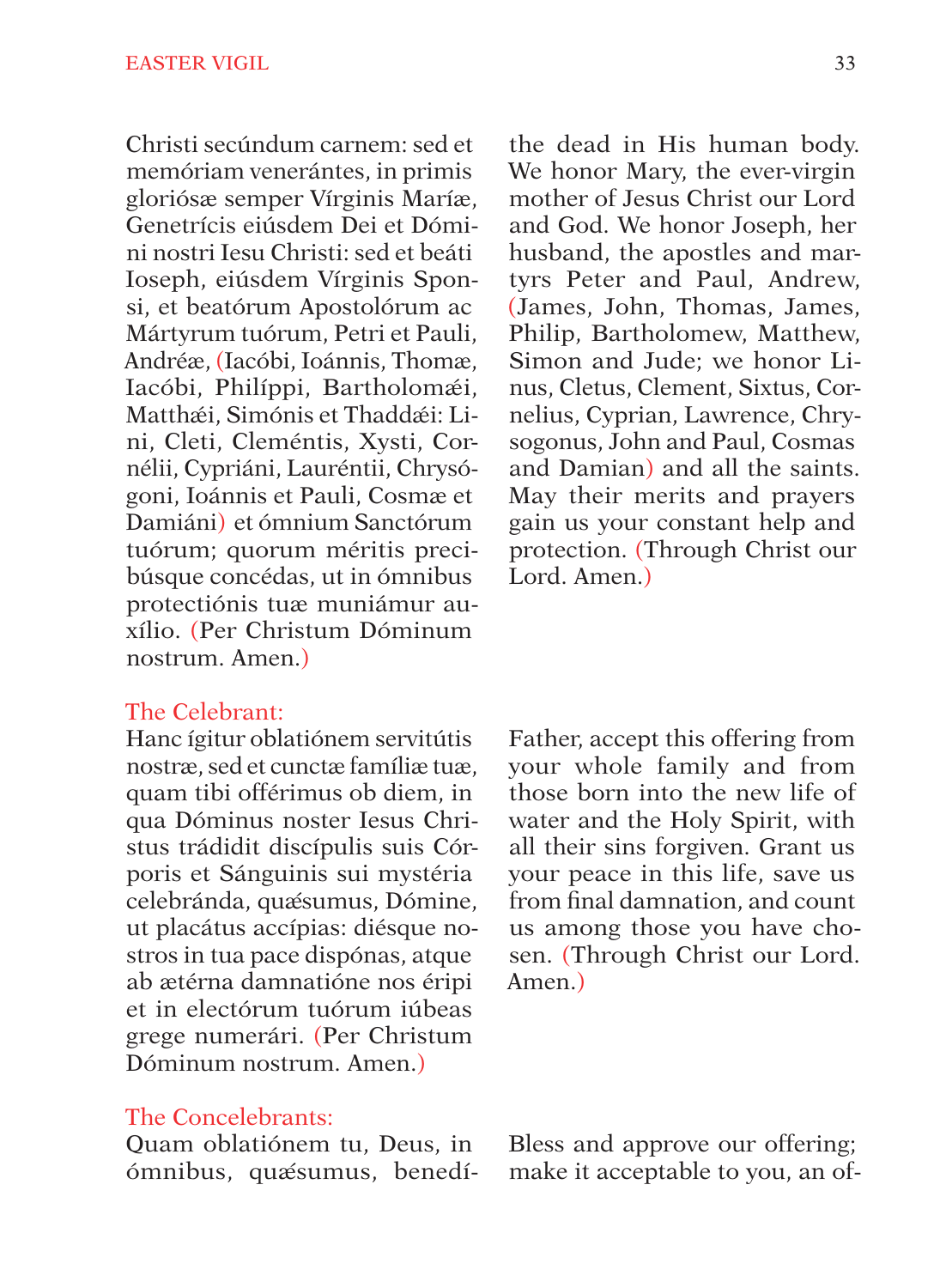Christi secúndum carnem: sed et memóriam venerántes, in primis gloriósæ semper Vírginis Maríæ, Genetrícis eiúsdem Dei et Dómini nostri Iesu Christi: sed et beáti Ioseph, eiúsdem Vírginis Sponsi, et beatórum Apostolórum ac Mártyrum tuórum, Petri et Pauli, Andréæ, (Iacóbi, Ioánnis, Thomæ, Iacóbi, Philíppi, Bartholomæi, Matthæi, Simónis et Thaddæi: Lini, Cleti, Cleméntis, Xysti, Cornélii, Cypriáni, Lauréntii, Chrysógoni, Ioánnis et Pauli, Cosmæ et Damiáni) et ómnium Sanctórum tuórum; quorum méritis precibúsque concédas, ut in ómnibus protectiónis tuæ muniámur auxílio. (Per Christum Dóminum nostrum. Amen.)

#### The Celebrant:

Hanc ígitur oblatiónem servitútis nostræ, sed et cunctæ famíliæ tuæ, quam tibi offérimus ob diem, in qua Dóminus noster Iesus Christus trádidit discípulis suis Córporis et Sánguinis sui mystéria celebránda, quæ´sumus, Dómine, ut placátus accípias: diésque nostros in tua pace dispónas, atque ab ætérna damnatióne nos éripi et in electórum tuórum iúbeas grege numerári. (Per Christum Dóminum nostrum. Amen.)

#### The Concelebrants:

Quam oblatiónem tu, Deus, in ómnibus, quæ´sumus, benedíthe dead in His human body. We honor Mary, the ever-virgin mother of Jesus Christ our Lord and God. We honor Joseph, her husband, the apostles and martyrs Peter and Paul, Andrew, (James, John, Thomas, James, Philip, Bartholomew, Matthew, Simon and Jude; we honor Linus, Cletus, Clement, Sixtus, Cornelius, Cyprian, Lawrence, Chrysogonus, John and Paul, Cosmas and Damian) and all the saints. May their merits and prayers gain us your constant help and protection. (Through Christ our Lord. Amen.)

Father, accept this offering from your whole family and from those born into the new life of water and the Holy Spirit, with all their sins forgiven. Grant us your peace in this life, save us from final damnation, and count us among those you have chosen. (Through Christ our Lord. Amen.)

Bless and approve our offering; make it acceptable to you, an of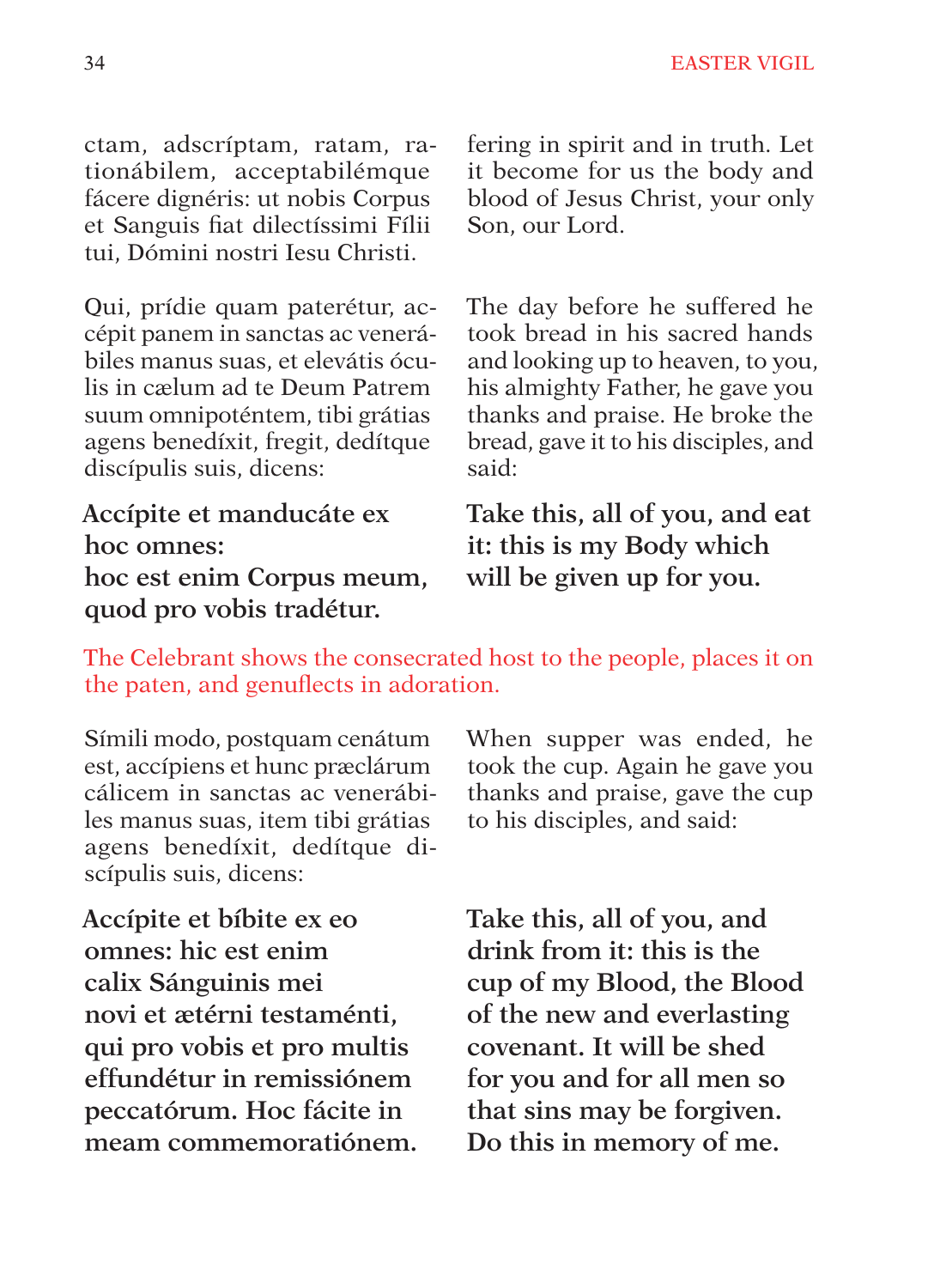ctam, adscríptam, ratam, rationábilem, acceptabilémque fácere dignéris: ut nobis Corpus et Sanguis fiat dilectíssimi Fílii tui, Dómini nostri Iesu Christi.

Qui, prídie quam paterétur, accépit panem in sanctas ac venerábiles manus suas, et elevátis óculis in cælum ad te Deum Patrem suum omnipoténtem, tibi grátias agens benedíxit, fregit, dedítque discípulis suis, dicens:

**Accípite et manducáte ex hoc omnes: hoc est enim Corpus meum, quod pro vobis tradétur.**

fering in spirit and in truth. Let it become for us the body and blood of Jesus Christ, your only Son, our Lord.

The day before he suffered he took bread in his sacred hands and looking up to heaven, to you, his almighty Father, he gave you thanks and praise. He broke the bread, gave it to his disciples, and said:

**Take this, all of you, and eat it: this is my Body which will be given up for you.**

The Celebrant shows the consecrated host to the people, places it on the paten, and genuflects in adoration.

Símili modo, postquam cenátum est, accípiens et hunc præclárum cálicem in sanctas ac venerábiles manus suas, item tibi grátias agens benedíxit, dedítque discípulis suis, dicens:

**Accípite et bíbite ex eo omnes: hic est enim calix Sánguinis mei novi et ætérni testaménti, qui pro vobis et pro multis effundétur in remissiónem peccatórum. Hoc fácite in meam commemoratiónem.** When supper was ended, he took the cup. Again he gave you thanks and praise, gave the cup to his disciples, and said:

**Take this, all of you, and drink from it: this is the cup of my Blood, the Blood of the new and everlasting covenant. It will be shed for you and for all men so that sins may be forgiven. Do this in memory of me.**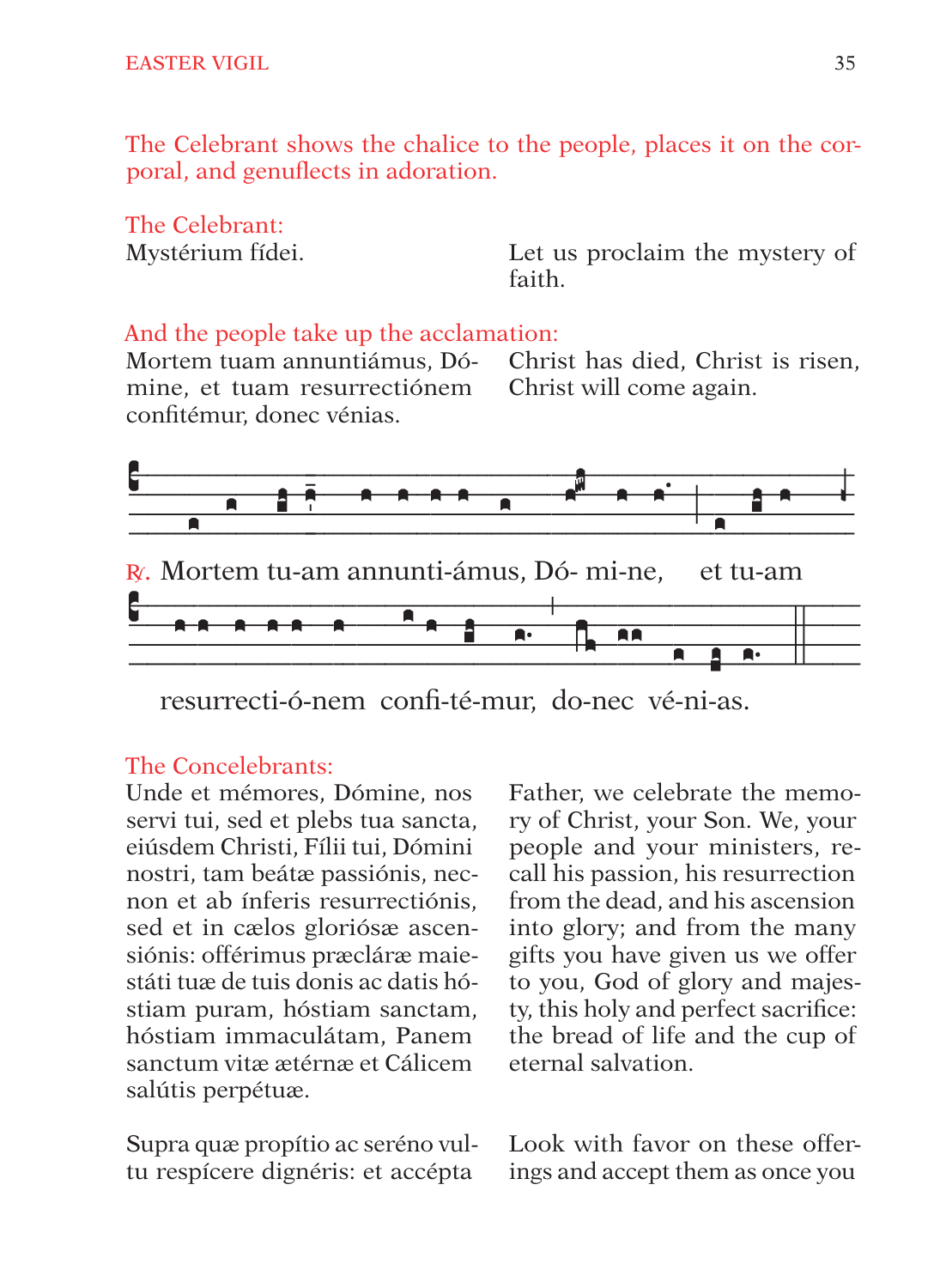The Celebrant shows the chalice to the people, places it on the corporal, and genuflects in adoration.

The Celebrant<sup>.</sup> Mystérium fídei.

Let us proclaim the mystery of faith

#### And the people take up the acclamation:

Mortem tuam annuntiámus. Dómine, et tuam resurrectiónem confitémur, donec vénias.

Christ has died, Christ is risen, Christ will come again.



resurrecti-ó-nem confi-té-mur, do-nec vé-ni-as.

#### The Concelebrants:

Unde et mémores. Dómine, nos servi tui, sed et plebs tua sancta, eiúsdem Christi, Fílii tui, Dómini nostri, tam beátæ passiónis, necnon et ab ínferis resurrectiónis. sed et in cælos gloriósæ ascensiónis: offérimus præcláræ maiestáti tuæ de tuis donis ac datis hóstiam puram, hóstiam sanctam. hóstiam immaculátam. Panem sanctum vitæ ætérnæ et Cálicem salútis perpétuæ.

Supra quae propítio ac seréno vultu respícere dignéris: et accépta

Father, we celebrate the memory of Christ, your Son. We, your people and your ministers, recall his passion, his resurrection from the dead, and his ascension into glory; and from the many gifts you have given us we offer to you, God of glory and majesty, this holy and perfect sacrifice: the bread of life and the cup of eternal salvation.

Look with favor on these offerings and accept them as once you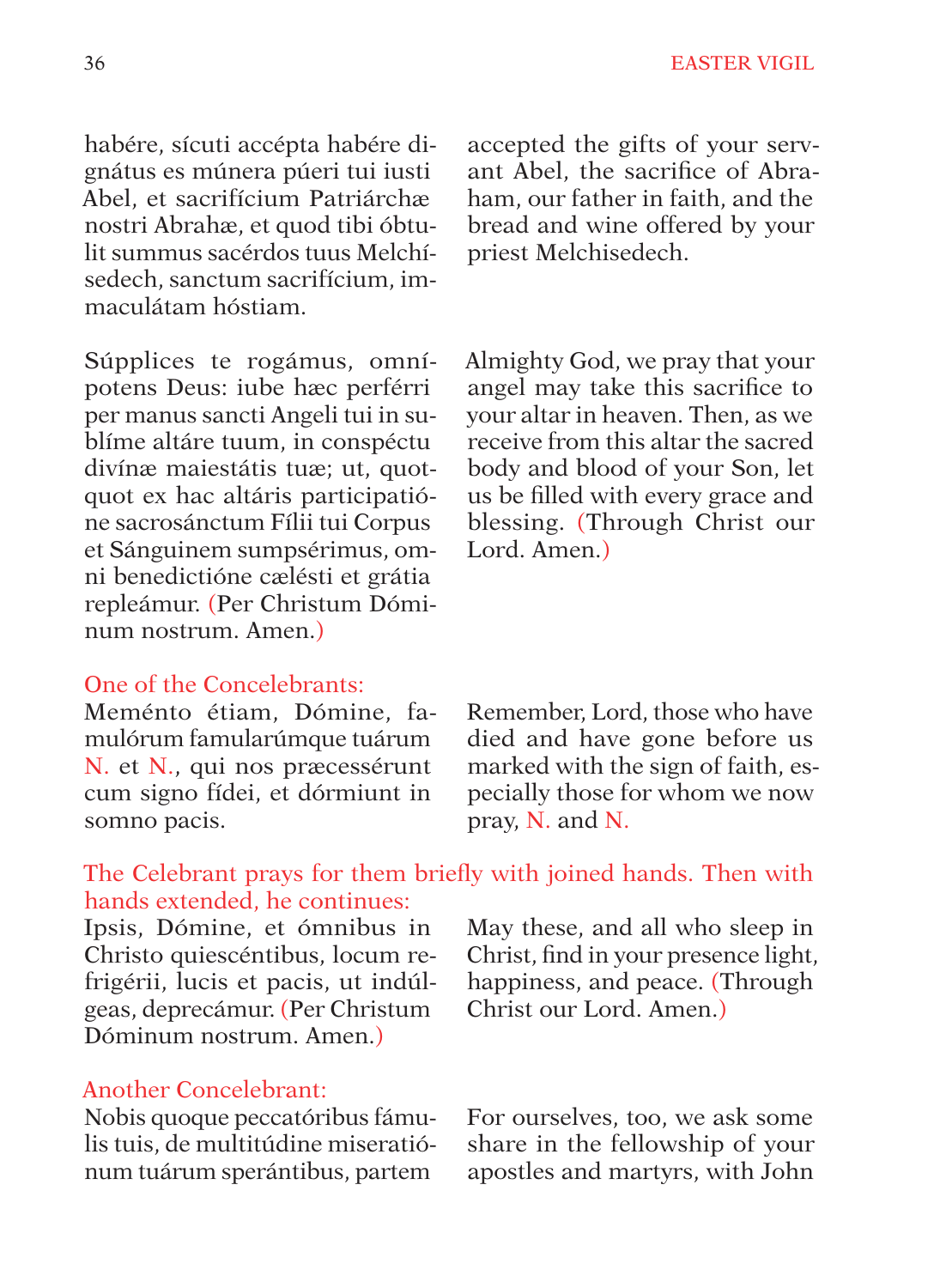habére, sícuti accépta habére dignátus es múnera púeri tui iusti Abel, et sacrifícium Patriárchæ nostri Abrahæ, et quod tibi óbtulit summus sacérdos tuus Melchísedech, sanctum sacrifícium, immaculátam hóstiam.

Súpplices te rogámus, omnípotens Deus: iube hæc perférri per manus sancti Angeli tui in sublíme altáre tuum, in conspéctu divínæ maiestátis tuæ; ut, quotquot ex hac altáris participatióne sacrosánctum Fílii tui Corpus et Sánguinem sumpsérimus, omni benedictióne cælésti et grátia repleámur. (Per Christum Dóminum nostrum. Amen.)

#### One of the Concelebrants:

Meménto étiam, Dómine, famulórum famularúmque tuárum N. et N., qui nos præcessérunt cum signo fídei, et dórmiunt in somno pacis.

accepted the gifts of your servant Abel, the sacrifice of Abraham, our father in faith, and the bread and wine offered by your priest Melchisedech.

Almighty God, we pray that your angel may take this sacrifice to your altar in heaven. Then, as we receive from this altar the sacred body and blood of your Son, let us be filled with every grace and blessing. (Through Christ our Lord Amen.)

Remember, Lord, those who have died and have gone before us marked with the sign of faith, especially those for whom we now pray, N. and N.

### The Celebrant prays for them briefly with joined hands. Then with hands extended, he continues:

Ipsis, Dómine, et ómnibus in Christo quiescéntibus, locum refrigérii, lucis et pacis, ut indúlgeas, deprecámur. (Per Christum Dóminum nostrum. Amen.)

#### Another Concelebrant:

Nobis quoque peccatóribus fámulis tuis, de multitúdine miseratiónum tuárum sperántibus, partem

May these, and all who sleep in Christ, find in your presence light, happiness, and peace. (Through Christ our Lord. Amen.)

For ourselves, too, we ask some share in the fellowship of your apostles and martyrs, with John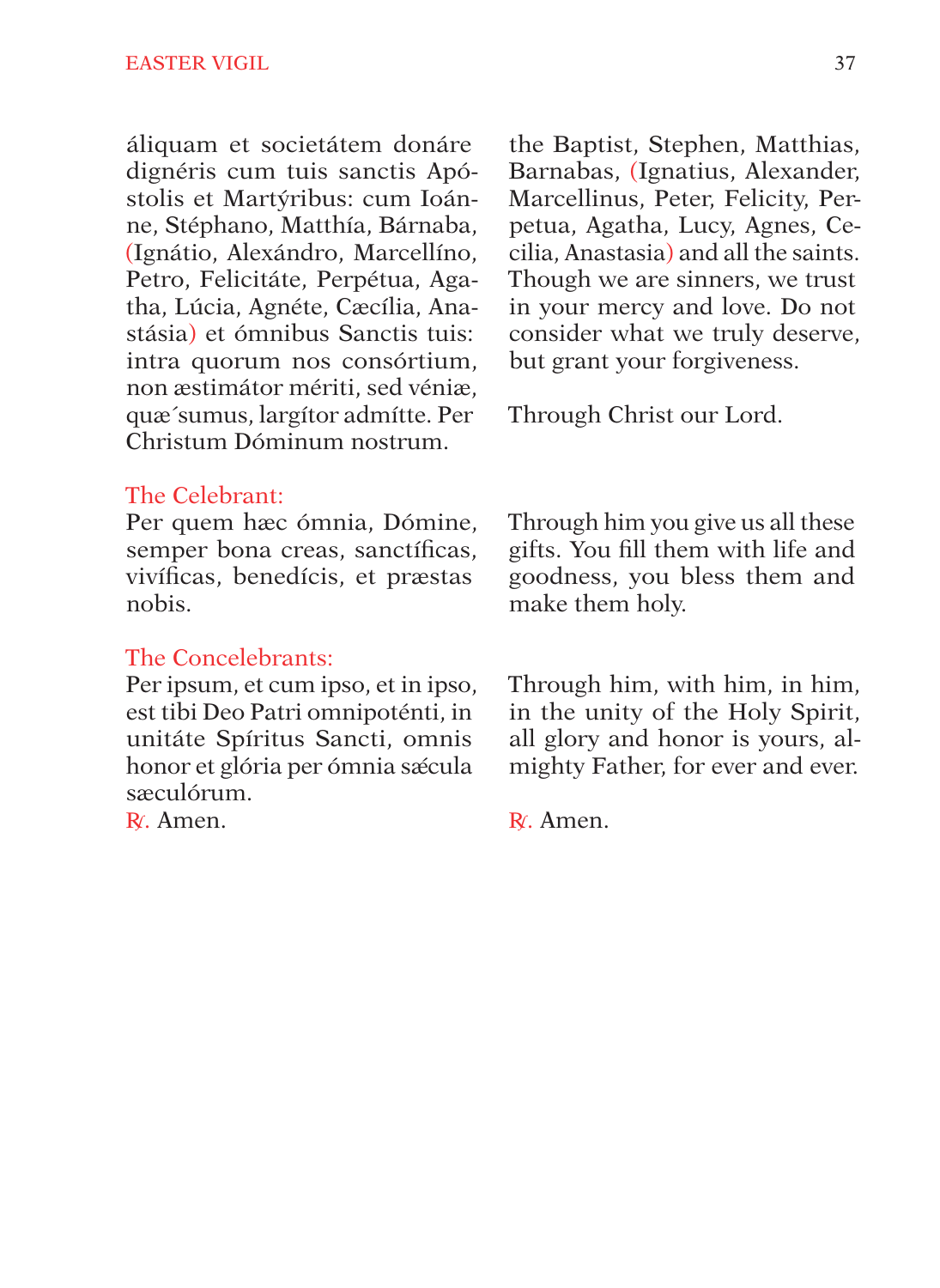áliquam et societátem donáre dignéris cum tuis sanctis Apóstolis et Martýribus: cum Ioánne, Stéphano, Matthía, Bárnaba, (Ignátio, Alexándro, Marcellíno, Petro, Felicitáte, Perpétua, Agatha, Lúcia, Agnéte, Cæcília, Anastásia) et ómnibus Sanctis tuis: intra quorum nos consórtium, non æstimátor mériti, sed véniæ, quæ´sumus, largítor admítte. Per Christum Dóminum nostrum.

The Celebrant:

Per quem hæc ómnia, Dómine, semper bona creas, sanctíficas, vivíficas, benedícis, et præstas nobis.

#### The Concelebrants:

Per ipsum, et cum ipso, et in ipso, est tibi Deo Patri omnipoténti, in unitáte Spíritus Sancti, omnis honor et glória per ómnia sæcula sæculórum.

R<sup>∫</sup> . Amen.

the Baptist, Stephen, Matthias, Barnabas, (Ignatius, Alexander, Marcellinus, Peter, Felicity, Perpetua, Agatha, Lucy, Agnes, Cecilia, Anastasia) and all the saints. Though we are sinners, we trust in your mercy and love. Do not consider what we truly deserve, but grant your forgiveness.

Through Christ our Lord.

Through him you give us all these gifts. You fill them with life and goodness, you bless them and make them holy.

Through him, with him, in him, in the unity of the Holy Spirit, all glory and honor is yours, almighty Father, for ever and ever.

R<sup>∫</sup> . Amen.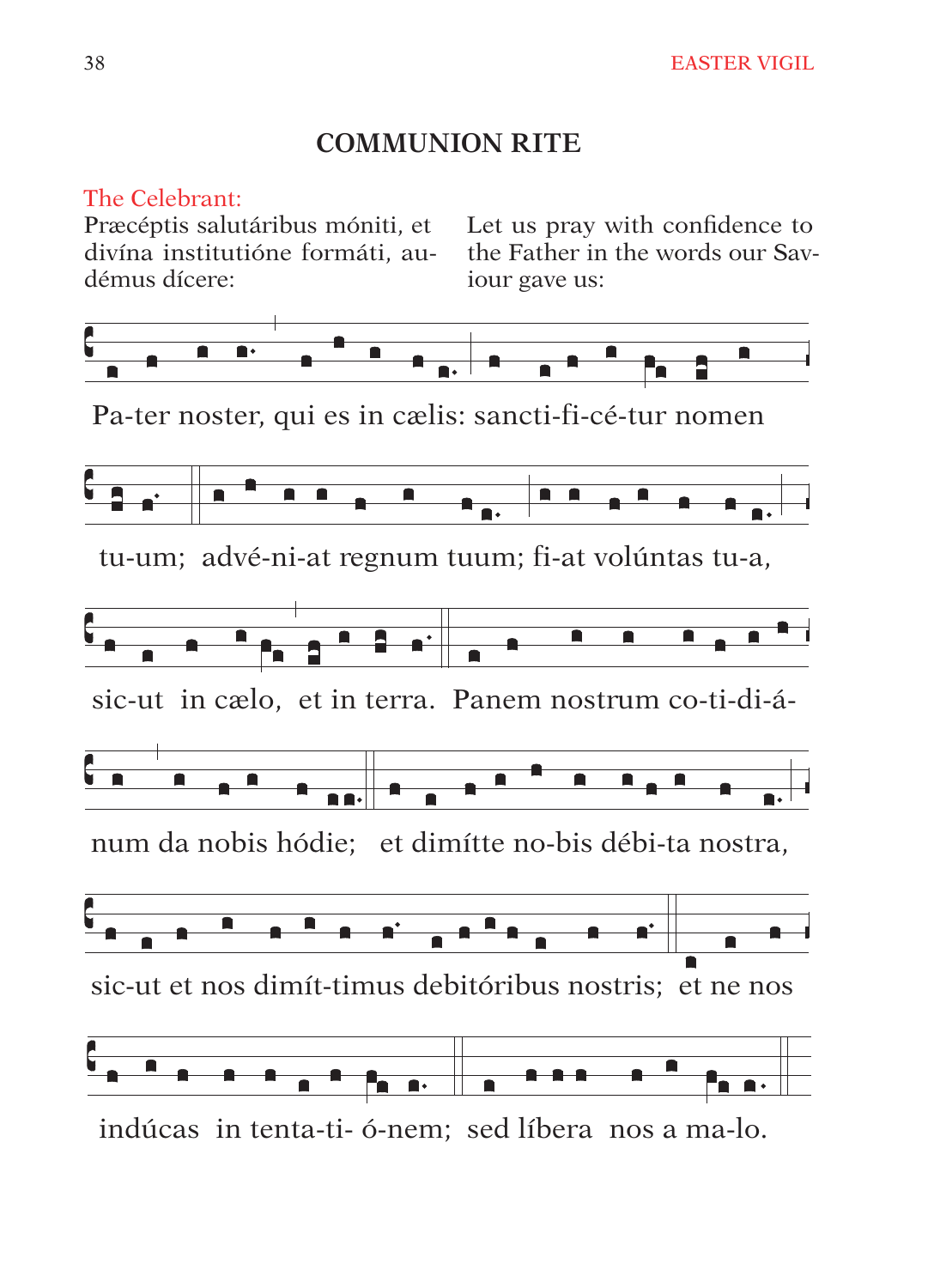# **COMMUNION RITE**

# The Celebrant:

divína institutióne formáti, audémus dícere<sup>.</sup>

Præcéptis salutáribus móniti, et Let us pray with confidence to the Father in the words our Saviour gave us:



Pa-ter noster, qui es in cælis: sancti-fi-cé-tur nomen



tu-um; advé-ni-at regnum tuum; fi-at volúntas tu-a,





sic-ut et nos dimít-timus debitóribus nostris; et ne nos



indúcas in tenta-ti- ó-nem; sed líbera nos a ma-lo.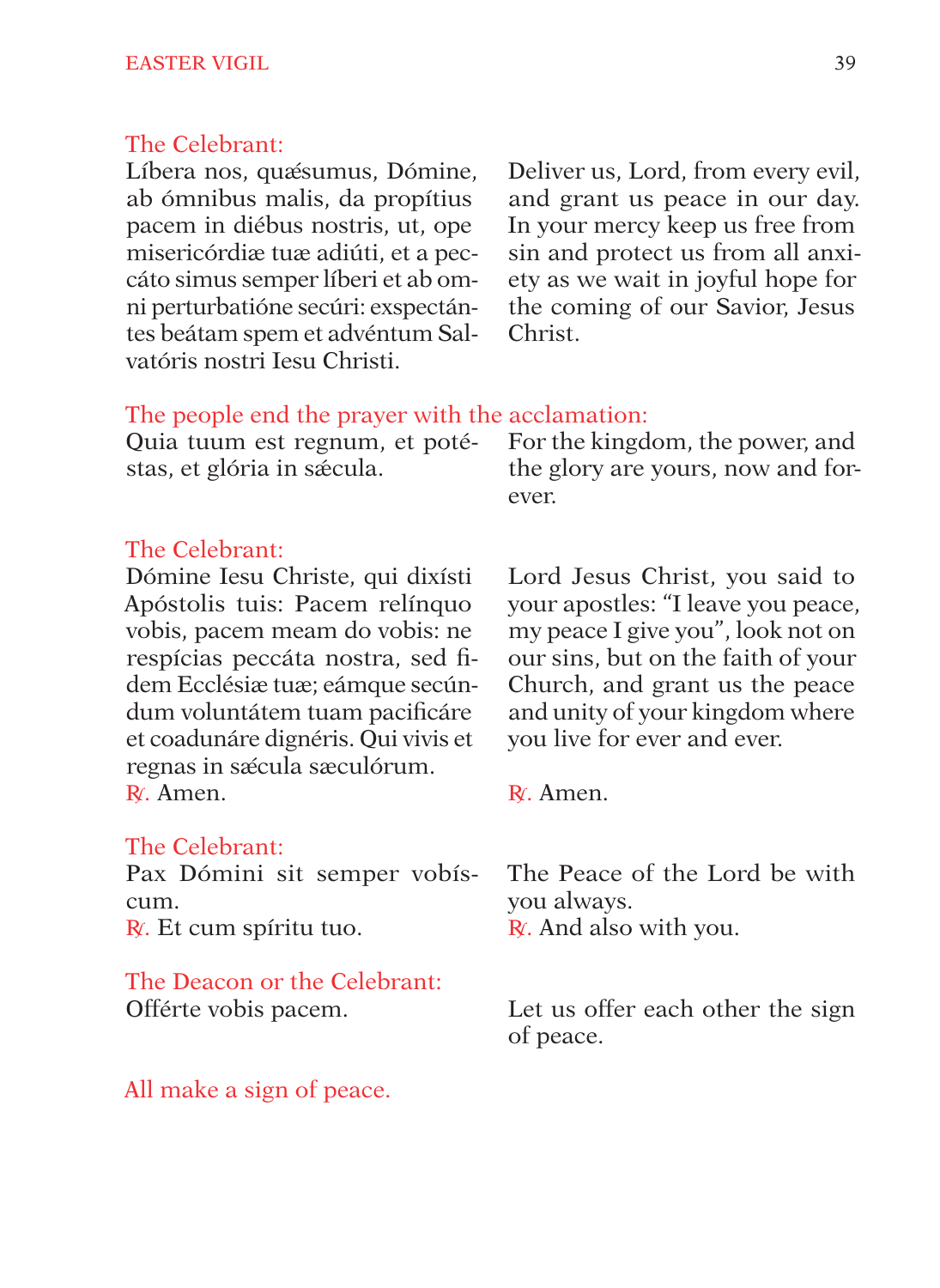#### The Celebrant:

Líbera nos, quæsumus, Dómine, ab ómnibus malis, da propítius pacem in diébus nostris, ut, ope misericórdiæ tuæ adiúti, et a peccáto simus semper líberi et ab omni perturbatióne secúri: exspectántes beátam spem et advéntum Salvatóris nostri Iesu Christi.

Deliver us, Lord, from every evil, and grant us peace in our day. In your mercy keep us free from sin and protect us from all anxiety as we wait in joyful hope for the coming of our Savior, Jesus Christ.

#### The people end the prayer with the acclamation:

|                            | Quia tuum est regnum, et poté For the kingdom, the power, and |
|----------------------------|---------------------------------------------------------------|
| stas, et glória in sæcula. | the glory are yours, now and for-                             |
|                            | ever.                                                         |

#### The Celebrant:

Dómine Iesu Christe, qui dixísti Apóstolis tuis: Pacem relínquo vobis, pacem meam do vobis: ne respícias peccáta nostra, sed fidem Ecclésiæ tuæ; eámque secúndum voluntátem tuam pacificáre et coadunáre dignéris. Qui vivis et regnas in sæcula sæculórum. R<sup>∫</sup> . Amen.

#### The Celebrant:

Pax Dómini sit semper vobíscum. R∫. Et cum spíritu tuo.

The Deacon or the Celebrant: Offérte vobis pacem.

All make a sign of peace.

Lord Jesus Christ, you said to your apostles: "I leave you peace, my peace I give you", look not on our sins, but on the faith of your Church, and grant us the peace and unity of your kingdom where you live for ever and ever.

R<sup>∫</sup> . Amen.

The Peace of the Lord be with you always. R∫. And also with you.

Let us offer each other the sign of peace.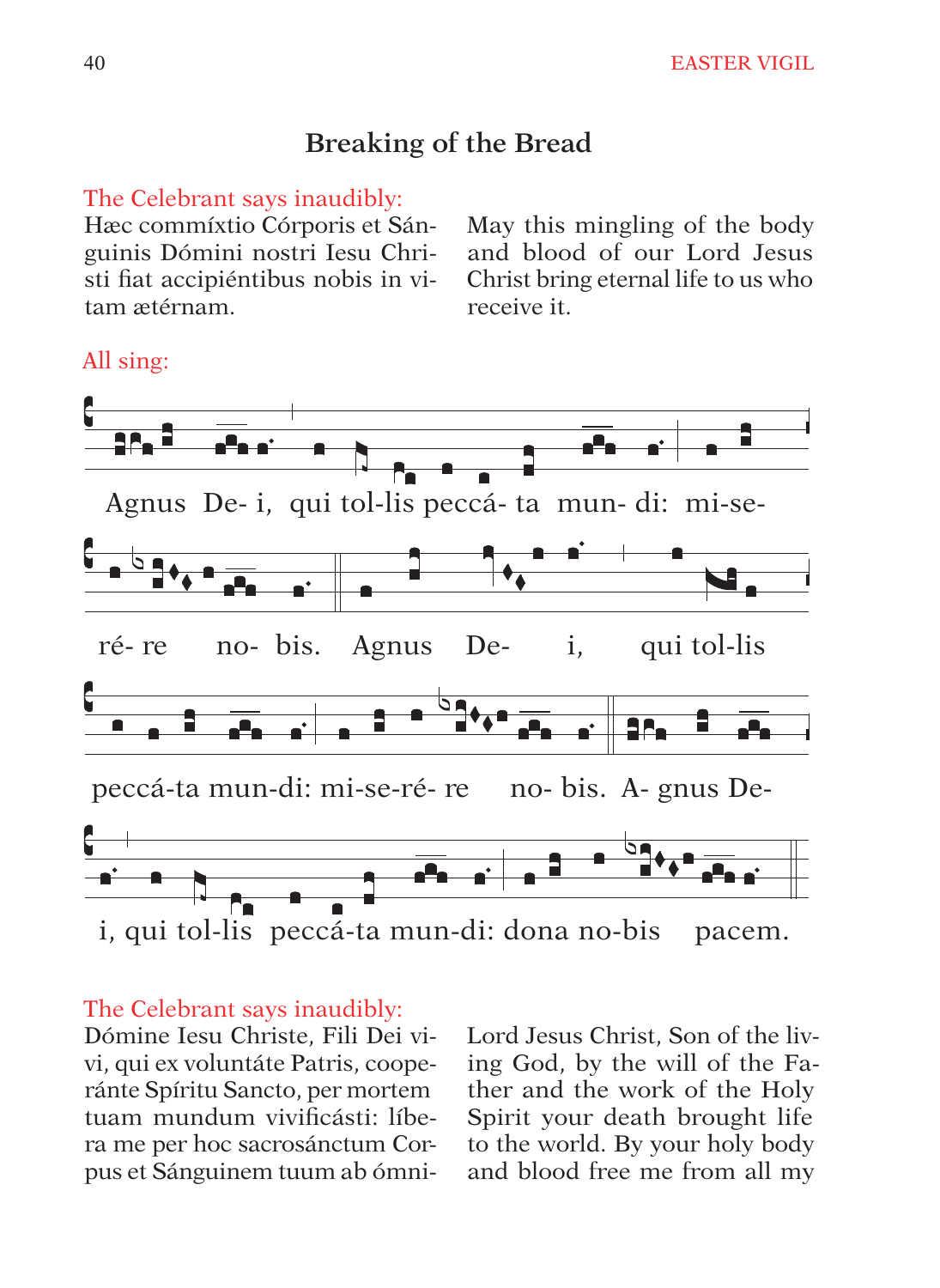# Breaking of the Bread

#### The Celebrant says inaudibly:

Hæc commíxtio Córporis et Sánguinis Dómini nostri Iesu Christi fiat accipiéntibus nobis in vitam ætérnam

May this mingling of the body and blood of our Lord Jesus Christ bring eternal life to us who receive it

# Agnus De-i, qui tol-lis peccá-ta mun-di: mi-sequi tol-lis no-bis. Agnus Deré-re i. peccá-ta mun-di: mi-se-ré- re no-bis. A- gnus Dei, qui tol-lis peccá-ta mun-di: dona no-bis pacem.

#### All sing:

#### The Celebrant says inaudibly:

Dómine Iesu Christe, Fili Dei vivi, qui ex voluntáte Patris, cooperánte Spíritu Sancto, per mortem tuam mundum vivificásti: líbera me per hoc sacrosánctum Corpus et Sánguinem tuum ab ómniLord Jesus Christ. Son of the living God, by the will of the Father and the work of the Holy Spirit your death brought life to the world. By your holy body and blood free me from all my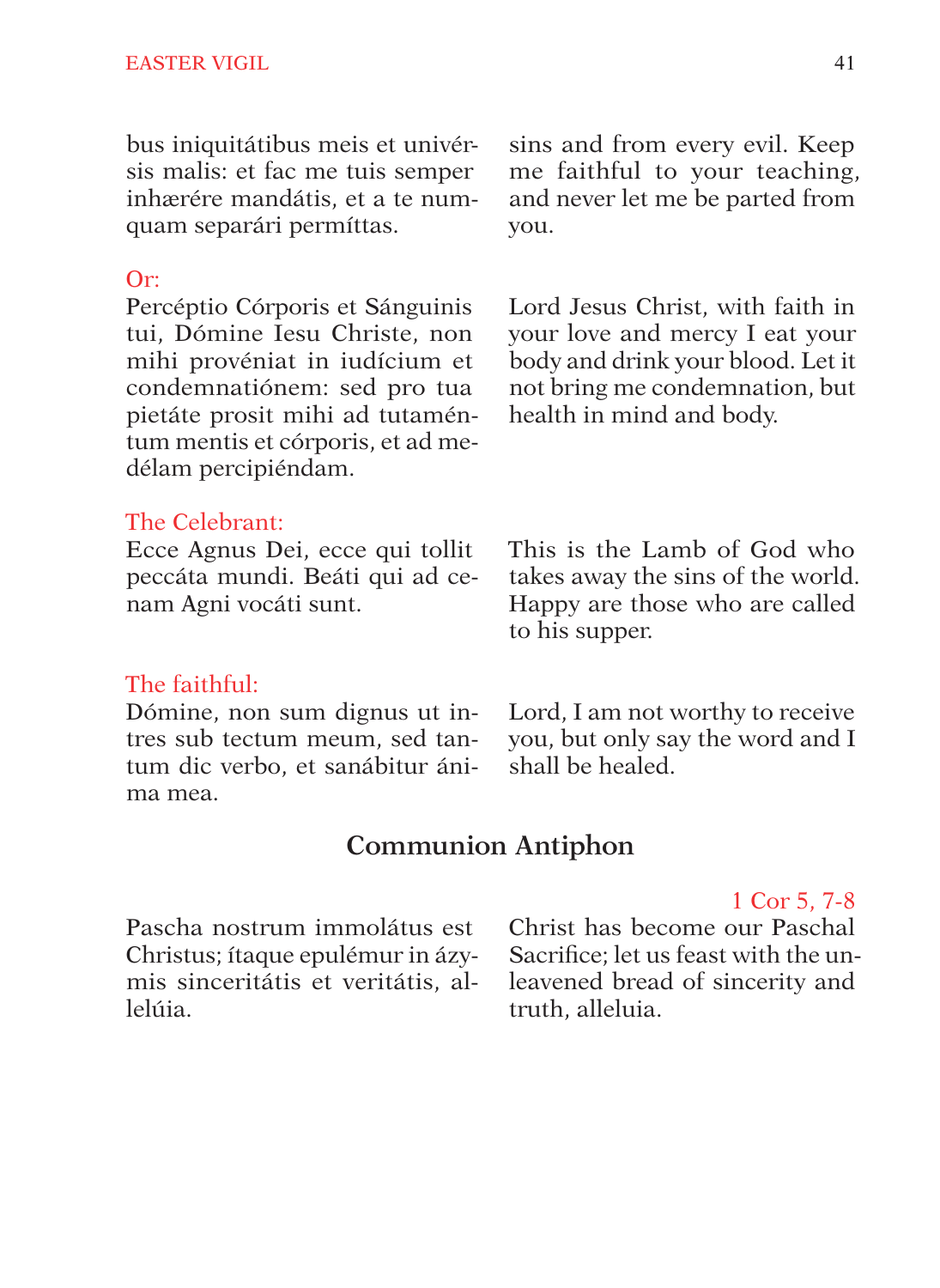bus iniquitátibus meis et univérsis malis: et fac me tuis semper inhærére mandátis, et a te numquam separári permíttas.

#### Or:

Percéptio Córporis et Sánguinis tui, Dómine Iesu Christe, non mihi provéniat in iudícium et condemnatiónem: sed pro tua pietáte prosit mihi ad tutaméntum mentis et córporis, et ad medélam percipiéndam.

#### The Celebrant:

Ecce Agnus Dei, ecce qui tollit peccáta mundi. Beáti qui ad cenam Agni vocáti sunt.

#### The faithful:

Dómine, non sum dignus ut intres sub tectum meum, sed tantum dic verbo, et sanábitur ánima mea.

sins and from every evil. Keep me faithful to your teaching, and never let me be parted from you.

Lord Jesus Christ, with faith in your love and mercy I eat your body and drink your blood. Let it not bring me condemnation, but health in mind and body.

This is the Lamb of God who takes away the sins of the world. Happy are those who are called to his supper.

Lord, I am not worthy to receive you, but only say the word and I shall be healed.

#### **Communion Antiphon**

1 Cor 5, 7-8

Pascha nostrum immolátus est Christus; ítaque epulémur in ázymis sinceritátis et veritátis, allelúia.

Christ has become our Paschal Sacrifice; let us feast with the unleavened bread of sincerity and truth, alleluia.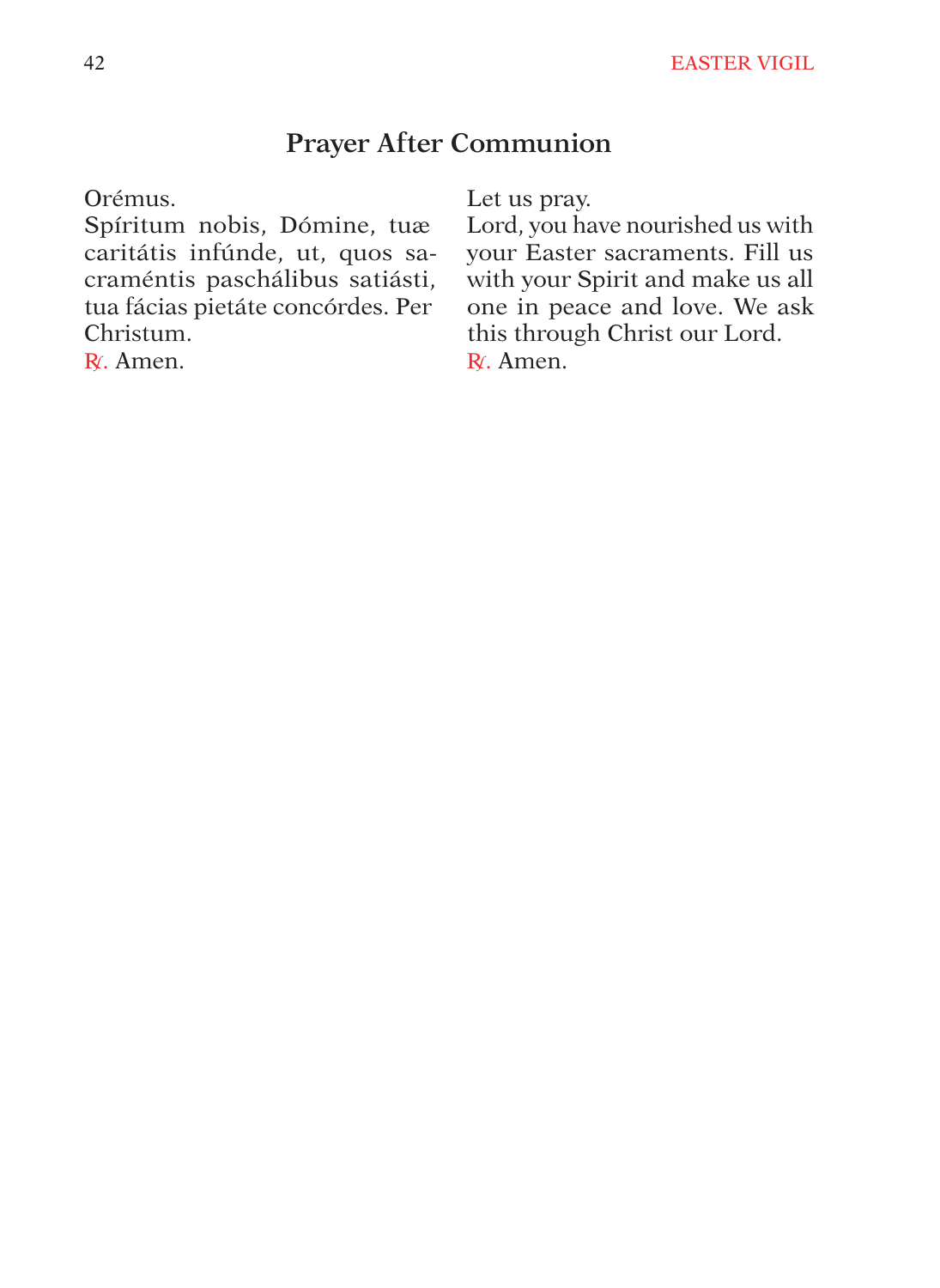# **Prayer After Communion**

Orémus.

Spíritum nobis, Dómine, tuæ caritátis infúnde, ut, quos sacraméntis paschálibus satiásti, tua fácias pietáte concórdes. Per Christum.

R<sup>∫</sup> . Amen.

Let us pray.

Lord, you have nourished us with your Easter sacraments. Fill us with your Spirit and make us all one in peace and love. We ask this through Christ our Lord. R<sup>∫</sup> . Amen.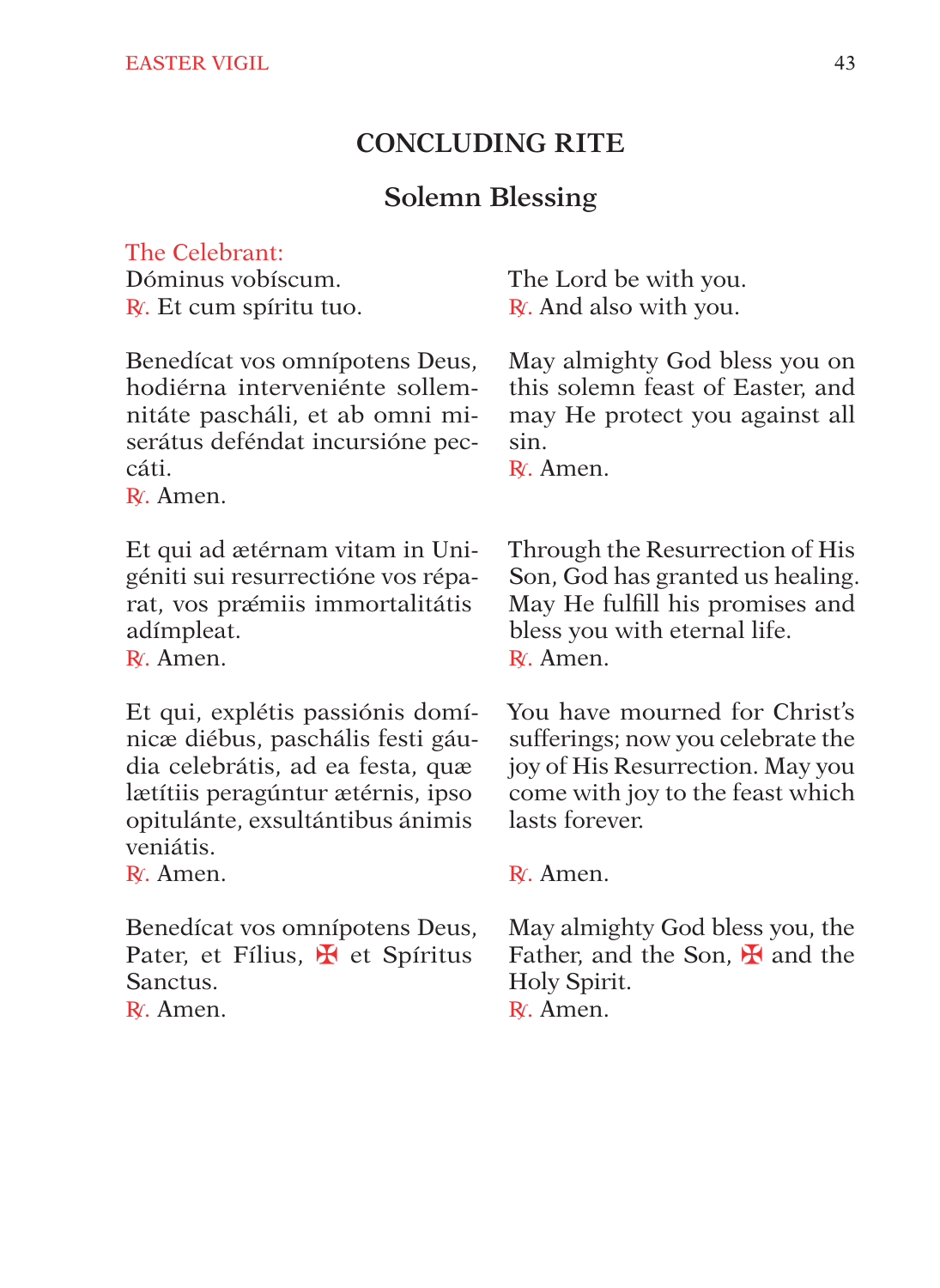# **CONCLUDING RITE**

# **Solemn Blessing**

### The Celebrant:

Dóminus vobíscum. R<sup>∫</sup> . Et cum spíritu tuo.

Benedícat vos omnípotens Deus, hodiérna interveniénte sollemnitáte pascháli, et ab omni miserátus deféndat incursióne peccáti.

R<sup>∫</sup> . Amen.

Et qui ad ætérnam vitam in Unigéniti sui resurrectióne vos réparat, vos præmiis immortalitátis adímpleat.

R<sup>∫</sup> . Amen.

Et qui, explétis passiónis domínicæ diébus, paschális festi gáudia celebrátis, ad ea festa, quæ lætítiis peragúntur ætérnis, ipso opitulánte, exsultántibus ánimis veniátis.

R∕ Amen.

Benedícat vos omnípotens Deus, Pater, et Fílius, H et Spíritus Sanctus.

R<sup>∫</sup> . Amen.

The Lord be with you. R⊄. And also with you.

May almighty God bless you on this solemn feast of Easter, and may He protect you against all sin.

R<sup>∫</sup> . Amen.

Through the Resurrection of His Son, God has granted us healing. May He fulfill his promises and bless you with eternal life. R<sup>∫</sup> . Amen.

You have mourned for Christ's sufferings; now you celebrate the joy of His Resurrection. May you come with joy to the feast which lasts forever.

R∕ Amen.

May almighty God bless you, the Father, and the Son,  $\mathbf{\ddot{H}}$  and the Holy Spirit.

R<sup>∫</sup> . Amen.